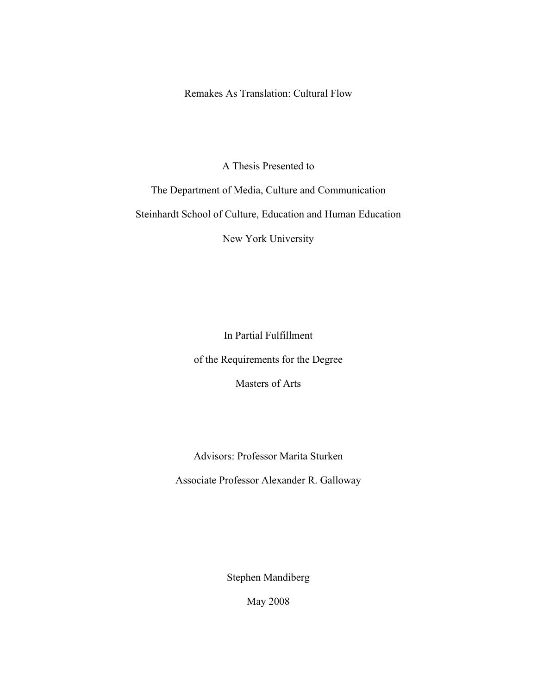Remakes As Translation: Cultural Flow

A Thesis Presented to

The Department of Media, Culture and Communication

Steinhardt School of Culture, Education and Human Education

New York University

In Partial Fulfillment of the Requirements for the Degree

Masters of Arts

Advisors: Professor Marita Sturken

Associate Professor Alexander R. Galloway

Stephen Mandiberg

May 2008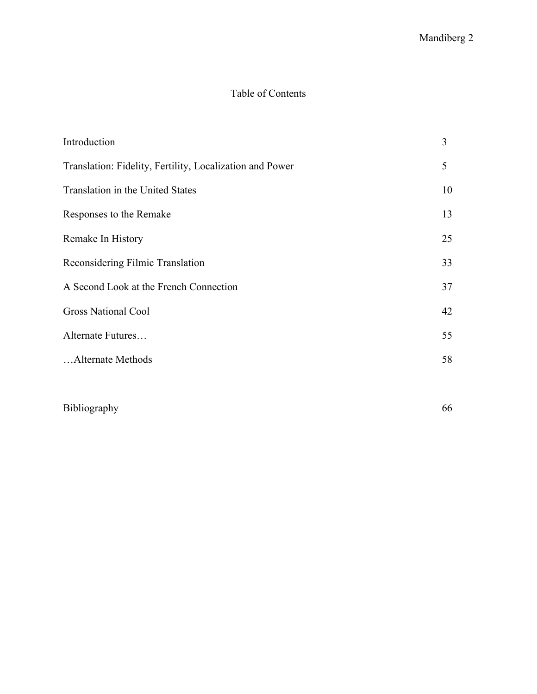## Table of Contents

| Introduction                                             | 3  |
|----------------------------------------------------------|----|
| Translation: Fidelity, Fertility, Localization and Power | 5  |
| Translation in the United States                         | 10 |
| Responses to the Remake                                  | 13 |
| Remake In History                                        | 25 |
| Reconsidering Filmic Translation                         | 33 |
| A Second Look at the French Connection                   | 37 |
| <b>Gross National Cool</b>                               | 42 |
| Alternate Futures                                        | 55 |
| Alternate Methods                                        | 58 |
|                                                          |    |

Bibliography 66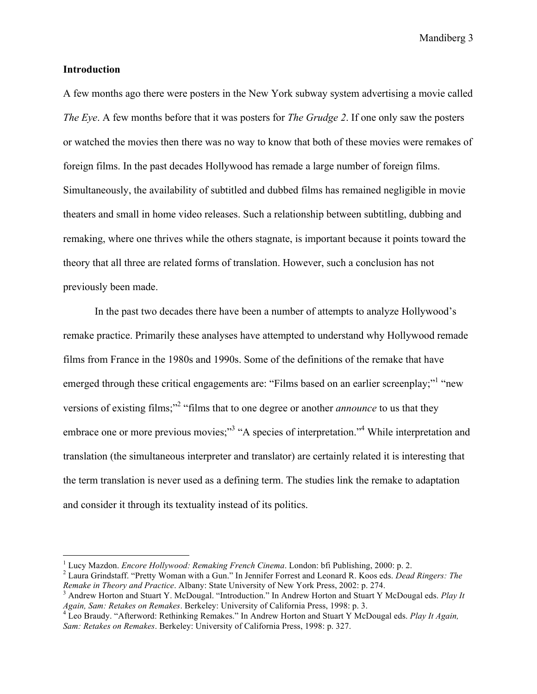#### **Introduction**

A few months ago there were posters in the New York subway system advertising a movie called *The Eye*. A few months before that it was posters for *The Grudge 2*. If one only saw the posters or watched the movies then there was no way to know that both of these movies were remakes of foreign films. In the past decades Hollywood has remade a large number of foreign films. Simultaneously, the availability of subtitled and dubbed films has remained negligible in movie theaters and small in home video releases. Such a relationship between subtitling, dubbing and remaking, where one thrives while the others stagnate, is important because it points toward the theory that all three are related forms of translation. However, such a conclusion has not previously been made.

In the past two decades there have been a number of attempts to analyze Hollywood's remake practice. Primarily these analyses have attempted to understand why Hollywood remade films from France in the 1980s and 1990s. Some of the definitions of the remake that have emerged through these critical engagements are: "Films based on an earlier screenplay;" "new versions of existing films;<sup>"2</sup> "films that to one degree or another *announce* to us that they embrace one or more previous movies;"<sup>3</sup> "A species of interpretation."<sup>4</sup> While interpretation and translation (the simultaneous interpreter and translator) are certainly related it is interesting that the term translation is never used as a defining term. The studies link the remake to adaptation and consider it through its textuality instead of its politics.

 $\frac{1}{1}$ <sup>1</sup> Lucy Mazdon. *Encore Hollywood: Remaking French Cinema*. London: bfi Publishing, 2000: p. 2.

Laura Grindstaff. "Pretty Woman with a Gun." In Jennifer Forrest and Leonard R. Koos eds. *Dead Ringers: The Remake in Theory and Practice*. Albany: State University of New York Press, 2002: p. 274. <sup>3</sup>

<sup>&</sup>lt;sup>3</sup> Andrew Horton and Stuart Y. McDougal. "Introduction." In Andrew Horton and Stuart Y McDougal eds. *Play It Again, Sam: Retakes on Remakes*. Berkeley: University of California Press, 1998: p. 3. <sup>4</sup> Leo Braudy. "Afterword: Rethinking Remakes." In Andrew Horton and Stuart Y McDougal eds. *Play It Again,* 

*Sam: Retakes on Remakes*. Berkeley: University of California Press, 1998: p. 327.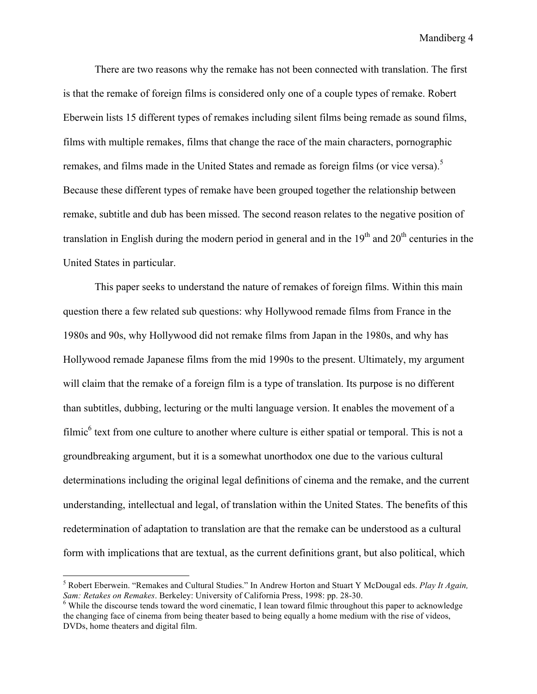There are two reasons why the remake has not been connected with translation. The first is that the remake of foreign films is considered only one of a couple types of remake. Robert Eberwein lists 15 different types of remakes including silent films being remade as sound films, films with multiple remakes, films that change the race of the main characters, pornographic remakes, and films made in the United States and remade as foreign films (or vice versa).<sup>5</sup> Because these different types of remake have been grouped together the relationship between remake, subtitle and dub has been missed. The second reason relates to the negative position of translation in English during the modern period in general and in the  $19<sup>th</sup>$  and  $20<sup>th</sup>$  centuries in the United States in particular.

This paper seeks to understand the nature of remakes of foreign films. Within this main question there a few related sub questions: why Hollywood remade films from France in the 1980s and 90s, why Hollywood did not remake films from Japan in the 1980s, and why has Hollywood remade Japanese films from the mid 1990s to the present. Ultimately, my argument will claim that the remake of a foreign film is a type of translation. Its purpose is no different than subtitles, dubbing, lecturing or the multi language version. It enables the movement of a filmic<sup>6</sup> text from one culture to another where culture is either spatial or temporal. This is not a groundbreaking argument, but it is a somewhat unorthodox one due to the various cultural determinations including the original legal definitions of cinema and the remake, and the current understanding, intellectual and legal, of translation within the United States. The benefits of this redetermination of adaptation to translation are that the remake can be understood as a cultural form with implications that are textual, as the current definitions grant, but also political, which

 <sup>5</sup> Robert Eberwein. "Remakes and Cultural Studies." In Andrew Horton and Stuart Y McDougal eds. *Play It Again, Sam: Retakes on Remakes*. Berkeley: University of California Press, 1998: pp. 28-30. <sup>6</sup>

While the discourse tends toward the word cinematic, I lean toward filmic throughout this paper to acknowledge the changing face of cinema from being theater based to being equally a home medium with the rise of videos, DVDs, home theaters and digital film.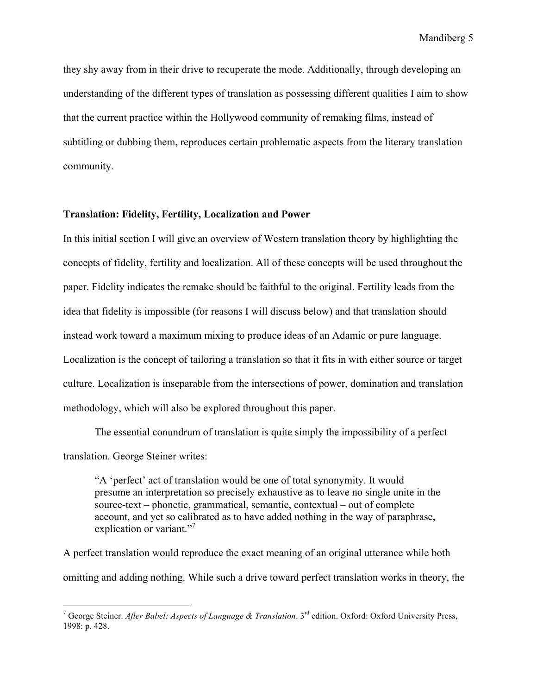they shy away from in their drive to recuperate the mode. Additionally, through developing an understanding of the different types of translation as possessing different qualities I aim to show that the current practice within the Hollywood community of remaking films, instead of subtitling or dubbing them, reproduces certain problematic aspects from the literary translation community.

### **Translation: Fidelity, Fertility, Localization and Power**

In this initial section I will give an overview of Western translation theory by highlighting the concepts of fidelity, fertility and localization. All of these concepts will be used throughout the paper. Fidelity indicates the remake should be faithful to the original. Fertility leads from the idea that fidelity is impossible (for reasons I will discuss below) and that translation should instead work toward a maximum mixing to produce ideas of an Adamic or pure language. Localization is the concept of tailoring a translation so that it fits in with either source or target culture. Localization is inseparable from the intersections of power, domination and translation methodology, which will also be explored throughout this paper.

The essential conundrum of translation is quite simply the impossibility of a perfect translation. George Steiner writes:

"A 'perfect' act of translation would be one of total synonymity. It would presume an interpretation so precisely exhaustive as to leave no single unite in the source-text – phonetic, grammatical, semantic, contextual – out of complete account, and yet so calibrated as to have added nothing in the way of paraphrase, explication or variant."<sup>7</sup>

A perfect translation would reproduce the exact meaning of an original utterance while both omitting and adding nothing. While such a drive toward perfect translation works in theory, the

<sup>-&</sup>lt;br>7 George Steiner. *After Babel: Aspects of Language & Translation*. 3rd edition. Oxford: Oxford University Press, 1998: p. 428.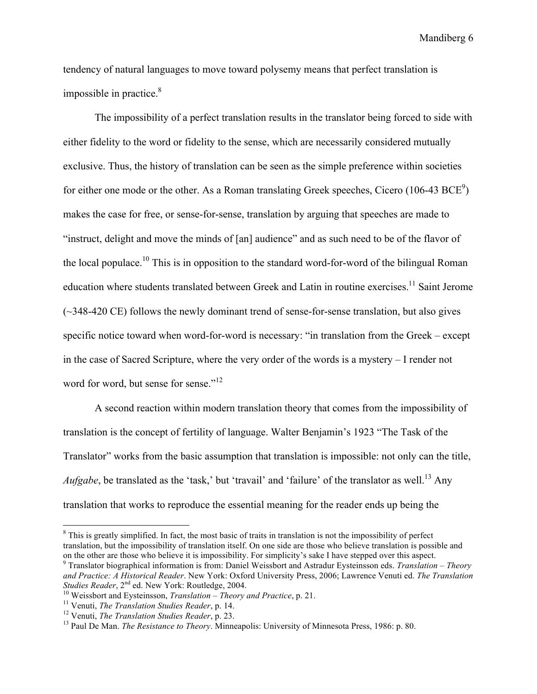tendency of natural languages to move toward polysemy means that perfect translation is impossible in practice. $8$ 

The impossibility of a perfect translation results in the translator being forced to side with either fidelity to the word or fidelity to the sense, which are necessarily considered mutually exclusive. Thus, the history of translation can be seen as the simple preference within societies for either one mode or the other. As a Roman translating Greek speeches, Cicero  $(106-43 \text{ BCE}^9)$ makes the case for free, or sense-for-sense, translation by arguing that speeches are made to "instruct, delight and move the minds of [an] audience" and as such need to be of the flavor of the local populace.10 This is in opposition to the standard word-for-word of the bilingual Roman education where students translated between Greek and Latin in routine exercises.<sup>11</sup> Saint Jerome (~348-420 CE) follows the newly dominant trend of sense-for-sense translation, but also gives specific notice toward when word-for-word is necessary: "in translation from the Greek – except in the case of Sacred Scripture, where the very order of the words is a mystery – I render not word for word, but sense for sense."<sup>12</sup>

A second reaction within modern translation theory that comes from the impossibility of translation is the concept of fertility of language. Walter Benjamin's 1923 "The Task of the Translator" works from the basic assumption that translation is impossible: not only can the title, *Aufgabe*, be translated as the 'task,' but 'travail' and 'failure' of the translator as well.<sup>13</sup> Any translation that works to reproduce the essential meaning for the reader ends up being the

 $\frac{1}{8}$  $8$  This is greatly simplified. In fact, the most basic of traits in translation is not the impossibility of perfect translation, but the impossibility of translation itself. On one side are those who believe translation is possible and on the other are those who believe it is impossibility. For simplicity's sake I have stepped over this aspect. <sup>9</sup>

Translator biographical information is from: Daniel Weissbort and Astradur Eysteinsson eds. *Translation – Theory and Practice: A Historical Reader*. New York: Oxford University Press, 2006; Lawrence Venuti ed. *The Translation* 

<sup>&</sup>lt;sup>10</sup> Weissbort and Eysteinsson, *Translation* – *Theory and Practice*, p. 21.<br><sup>11</sup> Venuti, *The Translation Studies Reader*, p. 14.<br><sup>12</sup> Venuti, *The Translation Studies Reader*, p. 23.<br><sup>13</sup> Paul De Man. *The Resistance t*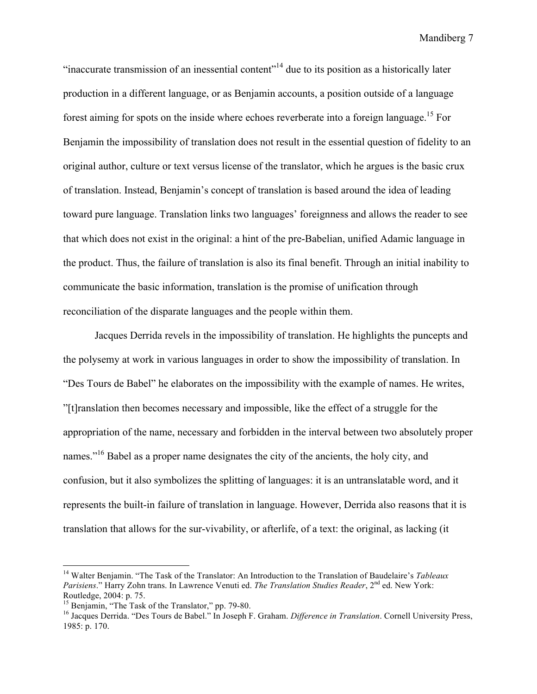"inaccurate transmission of an inessential content"<sup>14</sup> due to its position as a historically later production in a different language, or as Benjamin accounts, a position outside of a language forest aiming for spots on the inside where echoes reverberate into a foreign language.<sup>15</sup> For Benjamin the impossibility of translation does not result in the essential question of fidelity to an original author, culture or text versus license of the translator, which he argues is the basic crux of translation. Instead, Benjamin's concept of translation is based around the idea of leading toward pure language. Translation links two languages' foreignness and allows the reader to see that which does not exist in the original: a hint of the pre-Babelian, unified Adamic language in the product. Thus, the failure of translation is also its final benefit. Through an initial inability to communicate the basic information, translation is the promise of unification through reconciliation of the disparate languages and the people within them.

Jacques Derrida revels in the impossibility of translation. He highlights the puncepts and the polysemy at work in various languages in order to show the impossibility of translation. In "Des Tours de Babel" he elaborates on the impossibility with the example of names. He writes, "[t]ranslation then becomes necessary and impossible, like the effect of a struggle for the appropriation of the name, necessary and forbidden in the interval between two absolutely proper names."<sup>16</sup> Babel as a proper name designates the city of the ancients, the holy city, and confusion, but it also symbolizes the splitting of languages: it is an untranslatable word, and it represents the built-in failure of translation in language. However, Derrida also reasons that it is translation that allows for the sur-vivability, or afterlife, of a text: the original, as lacking (it

 <sup>14</sup> Walter Benjamin. "The Task of the Translator: An Introduction to the Translation of Baudelaire's *Tableaux Parisiens*." Harry Zohn trans. In Lawrence Venuti ed. *The Translation Studies Reader*, 2nd ed. New York: Routledge, 2004: p. 75.<br><sup>15</sup> Benjamin, "The Task of the Translator," pp. 79-80.

<sup>&</sup>lt;sup>16</sup> Jacques Derrida. "Des Tours de Babel." In Joseph F. Graham. *Difference in Translation*. Cornell University Press, 1985: p. 170.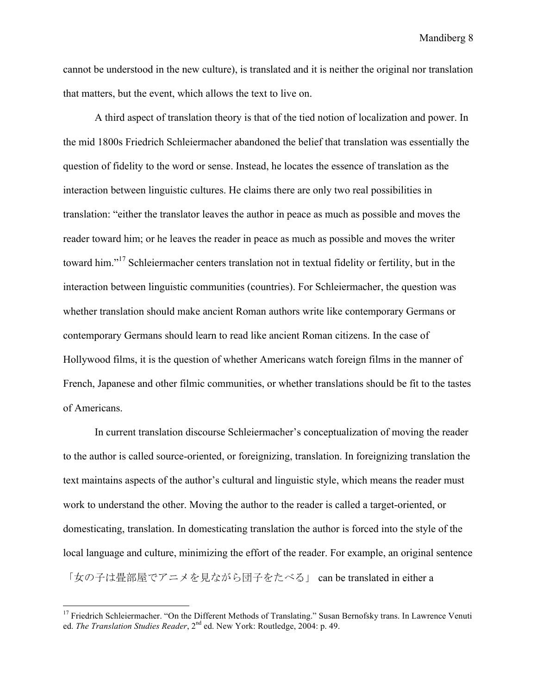cannot be understood in the new culture), is translated and it is neither the original nor translation that matters, but the event, which allows the text to live on.

A third aspect of translation theory is that of the tied notion of localization and power. In the mid 1800s Friedrich Schleiermacher abandoned the belief that translation was essentially the question of fidelity to the word or sense. Instead, he locates the essence of translation as the interaction between linguistic cultures. He claims there are only two real possibilities in translation: "either the translator leaves the author in peace as much as possible and moves the reader toward him; or he leaves the reader in peace as much as possible and moves the writer toward him."17 Schleiermacher centers translation not in textual fidelity or fertility, but in the interaction between linguistic communities (countries). For Schleiermacher, the question was whether translation should make ancient Roman authors write like contemporary Germans or contemporary Germans should learn to read like ancient Roman citizens. In the case of Hollywood films, it is the question of whether Americans watch foreign films in the manner of French, Japanese and other filmic communities, or whether translations should be fit to the tastes of Americans.

In current translation discourse Schleiermacher's conceptualization of moving the reader to the author is called source-oriented, or foreignizing, translation. In foreignizing translation the text maintains aspects of the author's cultural and linguistic style, which means the reader must work to understand the other. Moving the author to the reader is called a target-oriented, or domesticating, translation. In domesticating translation the author is forced into the style of the local language and culture, minimizing the effort of the reader. For example, an original sentence 「女の子は畳部屋でアニメを見ながら団子をたべる」 can be translated in either a

<sup>&</sup>lt;sup>17</sup> Friedrich Schleiermacher. "On the Different Methods of Translating." Susan Bernofsky trans. In Lawrence Venuti ed. *The Translation Studies Reader*, 2<sup>nd</sup> ed. New York: Routledge, 2004: p. 49.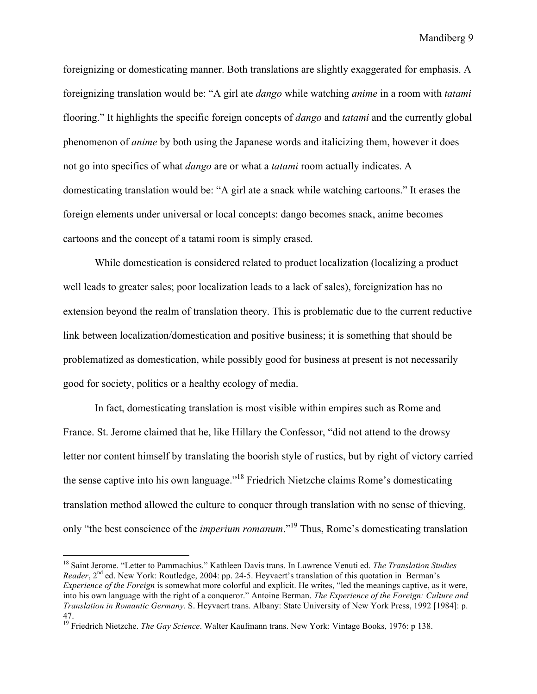foreignizing or domesticating manner. Both translations are slightly exaggerated for emphasis. A foreignizing translation would be: "A girl ate *dango* while watching *anime* in a room with *tatami* flooring." It highlights the specific foreign concepts of *dango* and *tatami* and the currently global phenomenon of *anime* by both using the Japanese words and italicizing them, however it does not go into specifics of what *dango* are or what a *tatami* room actually indicates. A domesticating translation would be: "A girl ate a snack while watching cartoons." It erases the foreign elements under universal or local concepts: dango becomes snack, anime becomes cartoons and the concept of a tatami room is simply erased.

While domestication is considered related to product localization (localizing a product well leads to greater sales; poor localization leads to a lack of sales), foreignization has no extension beyond the realm of translation theory. This is problematic due to the current reductive link between localization/domestication and positive business; it is something that should be problematized as domestication, while possibly good for business at present is not necessarily good for society, politics or a healthy ecology of media.

In fact, domesticating translation is most visible within empires such as Rome and France. St. Jerome claimed that he, like Hillary the Confessor, "did not attend to the drowsy letter nor content himself by translating the boorish style of rustics, but by right of victory carried the sense captive into his own language."18 Friedrich Nietzche claims Rome's domesticating translation method allowed the culture to conquer through translation with no sense of thieving, only "the best conscience of the *imperium romanum*."19 Thus, Rome's domesticating translation

 <sup>18</sup> Saint Jerome. "Letter to Pammachius." Kathleen Davis trans. In Lawrence Venuti ed. *The Translation Studies Reader*, 2<sup>nd</sup> ed. New York: Routledge, 2004: pp. 24-5. Heyvaert's translation of this quotation in Berman's *Experience of the Foreign* is somewhat more colorful and explicit. He writes, "led the meanings captive, as it were, into his own language with the right of a conqueror." Antoine Berman. *The Experience of the Foreign: Culture and Translation in Romantic Germany*. S. Heyvaert trans. Albany: State University of New York Press, 1992 [1984]: p. 47.

<sup>19</sup> Friedrich Nietzche. *The Gay Science*. Walter Kaufmann trans. New York: Vintage Books, 1976: p 138.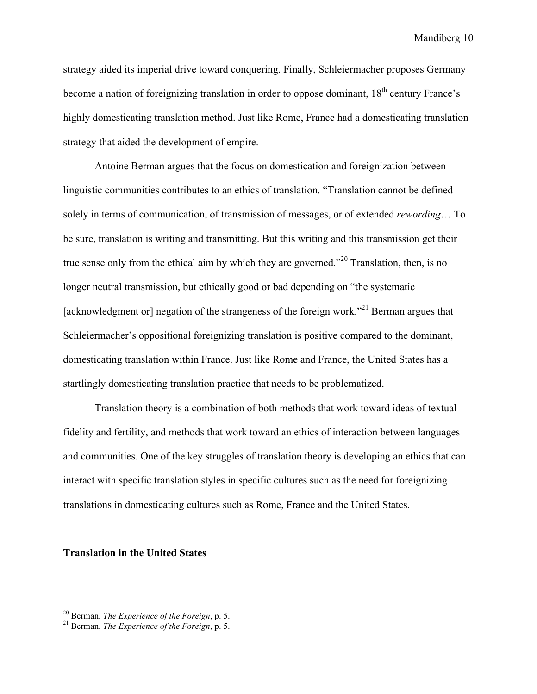strategy aided its imperial drive toward conquering. Finally, Schleiermacher proposes Germany become a nation of foreignizing translation in order to oppose dominant,  $18<sup>th</sup>$  century France's highly domesticating translation method. Just like Rome, France had a domesticating translation strategy that aided the development of empire.

Antoine Berman argues that the focus on domestication and foreignization between linguistic communities contributes to an ethics of translation. "Translation cannot be defined solely in terms of communication, of transmission of messages, or of extended *rewording*… To be sure, translation is writing and transmitting. But this writing and this transmission get their true sense only from the ethical aim by which they are governed."<sup>20</sup> Translation, then, is no longer neutral transmission, but ethically good or bad depending on "the systematic [acknowledgment or] negation of the strangeness of the foreign work.<sup>"21</sup> Berman argues that Schleiermacher's oppositional foreignizing translation is positive compared to the dominant, domesticating translation within France. Just like Rome and France, the United States has a startlingly domesticating translation practice that needs to be problematized.

Translation theory is a combination of both methods that work toward ideas of textual fidelity and fertility, and methods that work toward an ethics of interaction between languages and communities. One of the key struggles of translation theory is developing an ethics that can interact with specific translation styles in specific cultures such as the need for foreignizing translations in domesticating cultures such as Rome, France and the United States.

#### **Translation in the United States**

 <sup>20</sup> Berman, *The Experience of the Foreign*, p. 5. 21 Berman, *The Experience of the Foreign*, p. 5.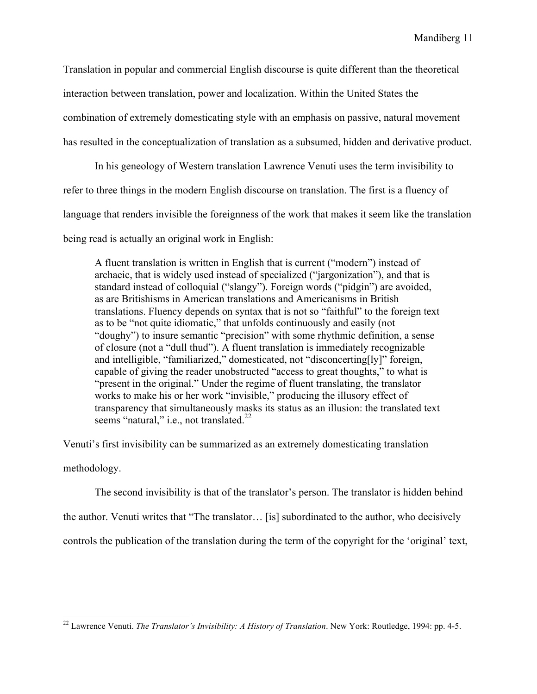Translation in popular and commercial English discourse is quite different than the theoretical interaction between translation, power and localization. Within the United States the combination of extremely domesticating style with an emphasis on passive, natural movement has resulted in the conceptualization of translation as a subsumed, hidden and derivative product.

In his geneology of Western translation Lawrence Venuti uses the term invisibility to refer to three things in the modern English discourse on translation. The first is a fluency of language that renders invisible the foreignness of the work that makes it seem like the translation being read is actually an original work in English:

A fluent translation is written in English that is current ("modern") instead of archaeic, that is widely used instead of specialized ("jargonization"), and that is standard instead of colloquial ("slangy"). Foreign words ("pidgin") are avoided, as are Britishisms in American translations and Americanisms in British translations. Fluency depends on syntax that is not so "faithful" to the foreign text as to be "not quite idiomatic," that unfolds continuously and easily (not "doughy") to insure semantic "precision" with some rhythmic definition, a sense of closure (not a "dull thud"). A fluent translation is immediately recognizable and intelligible, "familiarized," domesticated, not "disconcerting[ly]" foreign, capable of giving the reader unobstructed "access to great thoughts," to what is "present in the original." Under the regime of fluent translating, the translator works to make his or her work "invisible," producing the illusory effect of transparency that simultaneously masks its status as an illusion: the translated text seems "natural," i.e., not translated. $^{22}$ 

Venuti's first invisibility can be summarized as an extremely domesticating translation

methodology.

The second invisibility is that of the translator's person. The translator is hidden behind

the author. Venuti writes that "The translator… [is] subordinated to the author, who decisively

controls the publication of the translation during the term of the copyright for the 'original' text,

 <sup>22</sup> Lawrence Venuti. *The Translator's Invisibility: A History of Translation*. New York: Routledge, 1994: pp. 4-5.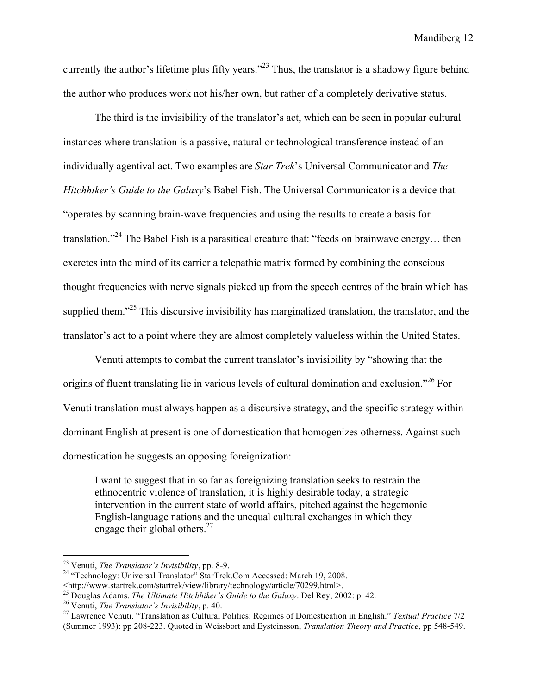currently the author's lifetime plus fifty years."<sup>23</sup> Thus, the translator is a shadowy figure behind the author who produces work not his/her own, but rather of a completely derivative status.

The third is the invisibility of the translator's act, which can be seen in popular cultural instances where translation is a passive, natural or technological transference instead of an individually agentival act. Two examples are *Star Trek*'s Universal Communicator and *The Hitchhiker's Guide to the Galaxy*'s Babel Fish. The Universal Communicator is a device that "operates by scanning brain-wave frequencies and using the results to create a basis for translation."<sup>24</sup> The Babel Fish is a parasitical creature that: "feeds on brainwave energy... then excretes into the mind of its carrier a telepathic matrix formed by combining the conscious thought frequencies with nerve signals picked up from the speech centres of the brain which has supplied them."<sup>25</sup> This discursive invisibility has marginalized translation, the translator, and the translator's act to a point where they are almost completely valueless within the United States.

Venuti attempts to combat the current translator's invisibility by "showing that the origins of fluent translating lie in various levels of cultural domination and exclusion."26 For Venuti translation must always happen as a discursive strategy, and the specific strategy within dominant English at present is one of domestication that homogenizes otherness. Against such domestication he suggests an opposing foreignization:

I want to suggest that in so far as foreignizing translation seeks to restrain the ethnocentric violence of translation, it is highly desirable today, a strategic intervention in the current state of world affairs, pitched against the hegemonic English-language nations and the unequal cultural exchanges in which they engage their global others. $27$ 

<sup>&</sup>lt;sup>23</sup> Venuti, *The Translator's Invisibility*, pp. 8-9.<br><sup>24</sup> "Technology: Universal Translator" StarTrek.Com Accessed: March 19, 2008.<br><http://www.startrek.com/startrek/view/library/technology/article/70299.html>.

<sup>&</sup>lt;sup>25</sup> Douglas Adams. *The Ultimate Hitchhiker's Guide to the Galaxy*. Del Rey, 2002: p. 42.<br><sup>26</sup> Venuti, *The Translator's Invisibility*, p. 40.<br><sup>27</sup> Lawrence Venuti. "Translation as Cultural Politics: Regimes of Domestica

<sup>(</sup>Summer 1993): pp 208-223. Quoted in Weissbort and Eysteinsson, *Translation Theory and Practice*, pp 548-549.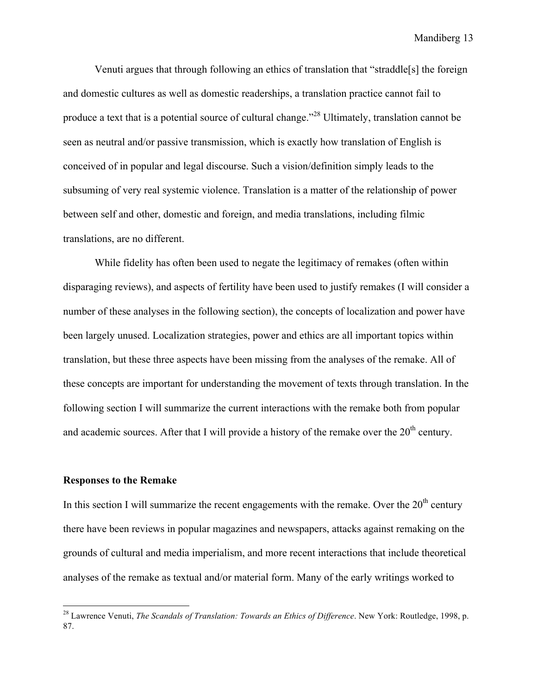Venuti argues that through following an ethics of translation that "straddle[s] the foreign and domestic cultures as well as domestic readerships, a translation practice cannot fail to produce a text that is a potential source of cultural change."28 Ultimately, translation cannot be seen as neutral and/or passive transmission, which is exactly how translation of English is conceived of in popular and legal discourse. Such a vision/definition simply leads to the subsuming of very real systemic violence. Translation is a matter of the relationship of power between self and other, domestic and foreign, and media translations, including filmic translations, are no different.

While fidelity has often been used to negate the legitimacy of remakes (often within disparaging reviews), and aspects of fertility have been used to justify remakes (I will consider a number of these analyses in the following section), the concepts of localization and power have been largely unused. Localization strategies, power and ethics are all important topics within translation, but these three aspects have been missing from the analyses of the remake. All of these concepts are important for understanding the movement of texts through translation. In the following section I will summarize the current interactions with the remake both from popular and academic sources. After that I will provide a history of the remake over the  $20<sup>th</sup>$  century.

#### **Responses to the Remake**

In this section I will summarize the recent engagements with the remake. Over the  $20<sup>th</sup>$  century there have been reviews in popular magazines and newspapers, attacks against remaking on the grounds of cultural and media imperialism, and more recent interactions that include theoretical analyses of the remake as textual and/or material form. Many of the early writings worked to

 <sup>28</sup> Lawrence Venuti, *The Scandals of Translation: Towards an Ethics of Difference*. New York: Routledge, 1998, p. 87.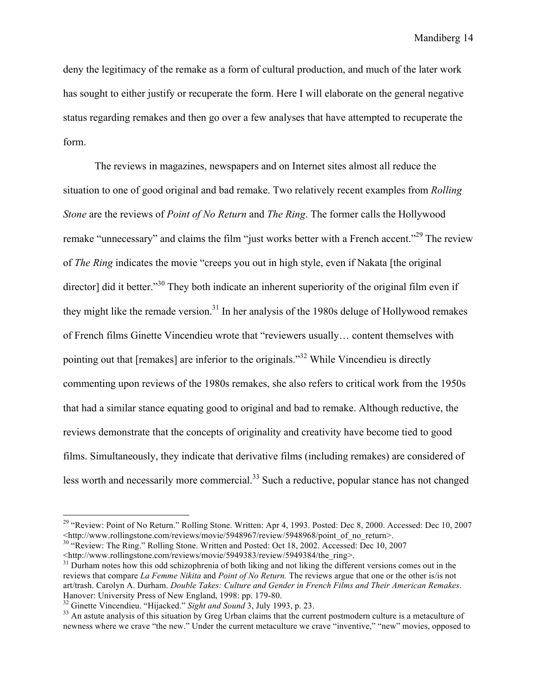deny the legitimacy of the remake as a form of cultural production, and much of the later work has sought to either justify or recuperate the form. Here I will elaborate on the general negative status regarding remakes and then go over a few analyses that have attempted to recuperate the form.

The reviews in magazines, newspapers and on Internet sites almost all reduce the situation to one of good original and bad remake. Two relatively recent examples from *Rolling Stone* are the reviews of *Point of No Return* and *The Ring*. The former calls the Hollywood remake "unnecessary" and claims the film "just works better with a French accent."<sup>29</sup> The review of *The Ring* indicates the movie "creeps you out in high style, even if Nakata [the original director] did it better."<sup>30</sup> They both indicate an inherent superiority of the original film even if they might like the remade version.<sup>31</sup> In her analysis of the 1980s deluge of Hollywood remakes of French films Ginette Vincendieu wrote that "reviewers usually… content themselves with pointing out that [remakes] are inferior to the originals."32 While Vincendieu is directly commenting upon reviews of the 1980s remakes, she also refers to critical work from the 1950s that had a similar stance equating good to original and bad to remake. Although reductive, the reviews demonstrate that the concepts of originality and creativity have become tied to good films. Simultaneously, they indicate that derivative films (including remakes) are considered of less worth and necessarily more commercial.<sup>33</sup> Such a reductive, popular stance has not changed

<sup>&</sup>lt;sup>29</sup> "Review: Point of No Return." Rolling Stone. Written: Apr 4, 1993. Posted: Dec 8, 2000. Accessed: Dec 10, 2007  $\lt$ http://www.rollingstone.com/reviews/movie/5948967/review/5948968/point of no return>.

<sup>&</sup>lt;sup>30</sup> "Review: The Ring." Rolling Stone. Written and Posted: Oct 18, 2002. Accessed: Dec 10, 2007

<sup>&</sup>lt;http://www.rollingstone.com/reviews/movie/5949383/review/5949384/the\_ring>. 31 Durham notes how this odd schizophrenia of both liking and not liking the different versions comes out in the reviews that compare *La Femme Nikita* and *Point of No Return.* The reviews argue that one or the other is/is not art/trash. Carolyn A. Durham. *Double Takes: Culture and Gender in French Films and Their American Remakes*. Hanover: University Press of New England, 1998: pp. 179-80.<br><sup>32</sup> Ginette Vincendieu. "Hijacked." *Sight and Sound* 3, July 1993, p. 23.<br><sup>33</sup> An astute analysis of this situation by Greg Urban claims that the current postmo

newness where we crave "the new." Under the current metaculture we crave "inventive," "new" movies, opposed to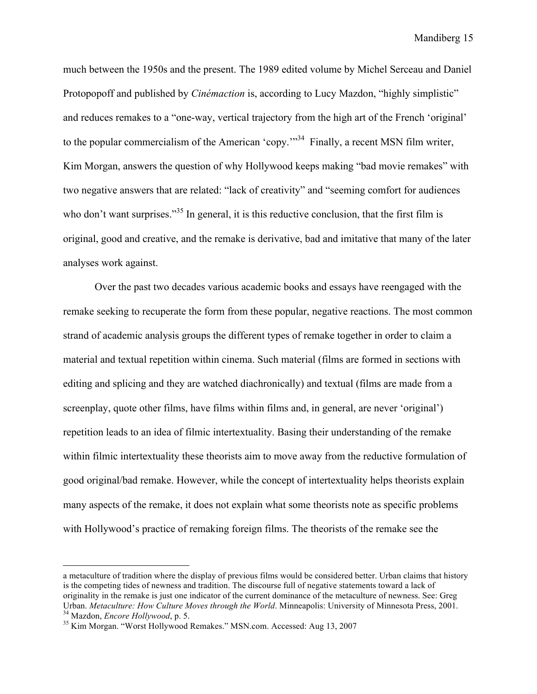much between the 1950s and the present. The 1989 edited volume by Michel Serceau and Daniel Protopopoff and published by *Cinémaction* is, according to Lucy Mazdon, "highly simplistic" and reduces remakes to a "one-way, vertical trajectory from the high art of the French 'original' to the popular commercialism of the American 'copy.'"<sup>34</sup> Finally, a recent MSN film writer, Kim Morgan, answers the question of why Hollywood keeps making "bad movie remakes" with two negative answers that are related: "lack of creativity" and "seeming comfort for audiences who don't want surprises."<sup>35</sup> In general, it is this reductive conclusion, that the first film is original, good and creative, and the remake is derivative, bad and imitative that many of the later analyses work against.

Over the past two decades various academic books and essays have reengaged with the remake seeking to recuperate the form from these popular, negative reactions. The most common strand of academic analysis groups the different types of remake together in order to claim a material and textual repetition within cinema. Such material (films are formed in sections with editing and splicing and they are watched diachronically) and textual (films are made from a screenplay, quote other films, have films within films and, in general, are never 'original') repetition leads to an idea of filmic intertextuality. Basing their understanding of the remake within filmic intertextuality these theorists aim to move away from the reductive formulation of good original/bad remake. However, while the concept of intertextuality helps theorists explain many aspects of the remake, it does not explain what some theorists note as specific problems with Hollywood's practice of remaking foreign films. The theorists of the remake see the

 $\overline{a}$ 

a metaculture of tradition where the display of previous films would be considered better. Urban claims that history is the competing tides of newness and tradition. The discourse full of negative statements toward a lack of originality in the remake is just one indicator of the current dominance of the metaculture of newness. See: Greg Urban. Metaculture: How Culture Moves through the World. Minneapolis: University of Minnesota Press, 2001.<br><sup>34</sup> Mazdon, *Encore Hollywood*, p. 5.<br><sup>35</sup> Kim Morgan. "Worst Hollywood Remakes." MSN.com. Accessed: Aug 13, 2007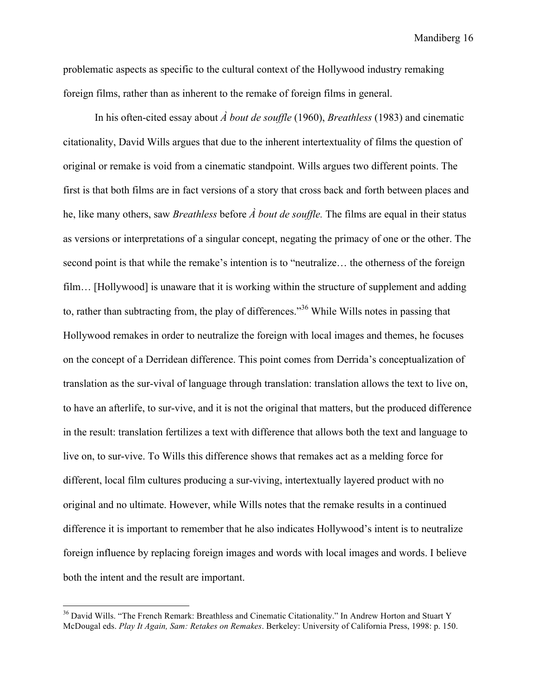problematic aspects as specific to the cultural context of the Hollywood industry remaking foreign films, rather than as inherent to the remake of foreign films in general.

In his often-cited essay about *À bout de souffle* (1960), *Breathless* (1983) and cinematic citationality, David Wills argues that due to the inherent intertextuality of films the question of original or remake is void from a cinematic standpoint. Wills argues two different points. The first is that both films are in fact versions of a story that cross back and forth between places and he, like many others, saw *Breathless* before *À bout de souffle.* The films are equal in their status as versions or interpretations of a singular concept, negating the primacy of one or the other. The second point is that while the remake's intention is to "neutralize… the otherness of the foreign film... [Hollywood] is unaware that it is working within the structure of supplement and adding to, rather than subtracting from, the play of differences."36 While Wills notes in passing that Hollywood remakes in order to neutralize the foreign with local images and themes, he focuses on the concept of a Derridean difference. This point comes from Derrida's conceptualization of translation as the sur-vival of language through translation: translation allows the text to live on, to have an afterlife, to sur-vive, and it is not the original that matters, but the produced difference in the result: translation fertilizes a text with difference that allows both the text and language to live on, to sur-vive. To Wills this difference shows that remakes act as a melding force for different, local film cultures producing a sur-viving, intertextually layered product with no original and no ultimate. However, while Wills notes that the remake results in a continued difference it is important to remember that he also indicates Hollywood's intent is to neutralize foreign influence by replacing foreign images and words with local images and words. I believe both the intent and the result are important.

<sup>&</sup>lt;sup>36</sup> David Wills. "The French Remark: Breathless and Cinematic Citationality." In Andrew Horton and Stuart Y McDougal eds. *Play It Again, Sam: Retakes on Remakes*. Berkeley: University of California Press, 1998: p. 150.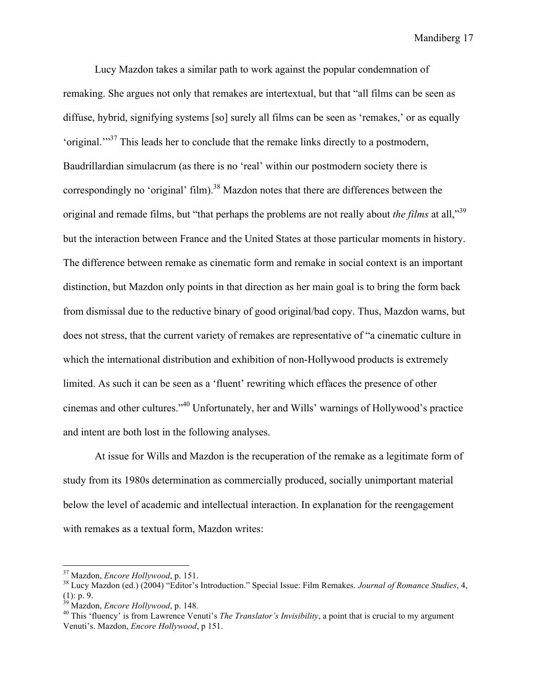Lucy Mazdon takes a similar path to work against the popular condemnation of remaking. She argues not only that remakes are intertextual, but that "all films can be seen as diffuse, hybrid, signifying systems [so] surely all films can be seen as 'remakes,' or as equally 'original.'"37 This leads her to conclude that the remake links directly to a postmodern, Baudrillardian simulacrum (as there is no 'real' within our postmodern society there is correspondingly no 'original' film).<sup>38</sup> Mazdon notes that there are differences between the original and remade films, but "that perhaps the problems are not really about *the films* at all,"<sup>39</sup> but the interaction between France and the United States at those particular moments in history. The difference between remake as cinematic form and remake in social context is an important distinction, but Mazdon only points in that direction as her main goal is to bring the form back from dismissal due to the reductive binary of good original/bad copy. Thus, Mazdon warns, but does not stress, that the current variety of remakes are representative of "a cinematic culture in which the international distribution and exhibition of non-Hollywood products is extremely limited. As such it can be seen as a 'fluent' rewriting which effaces the presence of other cinemas and other cultures."40 Unfortunately, her and Wills' warnings of Hollywood's practice and intent are both lost in the following analyses.

At issue for Wills and Mazdon is the recuperation of the remake as a legitimate form of study from its 1980s determination as commercially produced, socially unimportant material below the level of academic and intellectual interaction. In explanation for the reengagement with remakes as a textual form, Mazdon writes:

<sup>&</sup>lt;sup>37</sup> Mazdon, *Encore Hollywood*, p. 151.<br><sup>38</sup> Lucy Mazdon (ed.) (2004) "Editor's Introduction." Special Issue: Film Remakes. *Journal of Romance Studies*, 4, (1): p. 9.<br><sup>39</sup> Mazdon, *Encore Hollywood*, p. 148.

<sup>&</sup>lt;sup>40</sup> This 'fluency' is from Lawrence Venuti's *The Translator's Invisibility*, a point that is crucial to my argument Venuti's. Mazdon, *Encore Hollywood*, p 151.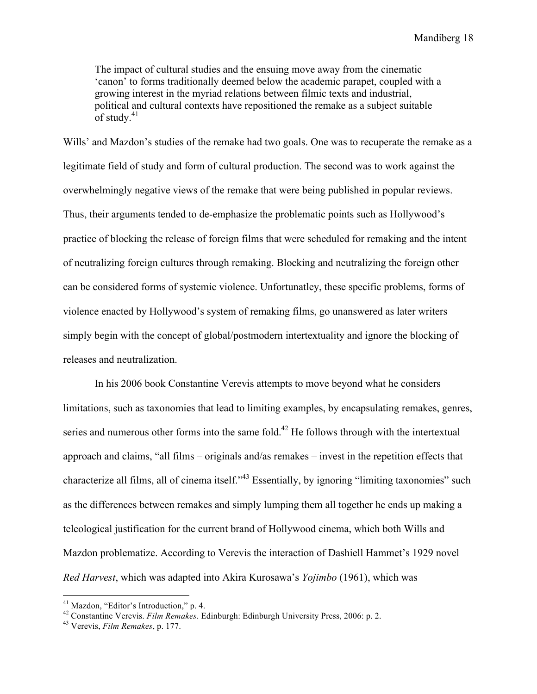The impact of cultural studies and the ensuing move away from the cinematic 'canon' to forms traditionally deemed below the academic parapet, coupled with a growing interest in the myriad relations between filmic texts and industrial, political and cultural contexts have repositioned the remake as a subject suitable of study. $41$ 

Wills' and Mazdon's studies of the remake had two goals. One was to recuperate the remake as a legitimate field of study and form of cultural production. The second was to work against the overwhelmingly negative views of the remake that were being published in popular reviews. Thus, their arguments tended to de-emphasize the problematic points such as Hollywood's practice of blocking the release of foreign films that were scheduled for remaking and the intent of neutralizing foreign cultures through remaking. Blocking and neutralizing the foreign other can be considered forms of systemic violence. Unfortunatley, these specific problems, forms of violence enacted by Hollywood's system of remaking films, go unanswered as later writers simply begin with the concept of global/postmodern intertextuality and ignore the blocking of releases and neutralization.

In his 2006 book Constantine Verevis attempts to move beyond what he considers limitations, such as taxonomies that lead to limiting examples, by encapsulating remakes, genres, series and numerous other forms into the same fold.<sup>42</sup> He follows through with the intertextual approach and claims, "all films – originals and/as remakes – invest in the repetition effects that characterize all films, all of cinema itself."43 Essentially, by ignoring "limiting taxonomies" such as the differences between remakes and simply lumping them all together he ends up making a teleological justification for the current brand of Hollywood cinema, which both Wills and Mazdon problematize. According to Verevis the interaction of Dashiell Hammet's 1929 novel *Red Harvest*, which was adapted into Akira Kurosawa's *Yojimbo* (1961), which was

 <sup>41</sup> Mazdon, "Editor's Introduction," p. 4.

<sup>42</sup> Constantine Verevis. *Film Remakes*. Edinburgh: Edinburgh University Press, 2006: p. 2. 43 Verevis, *Film Remakes*, p. 177.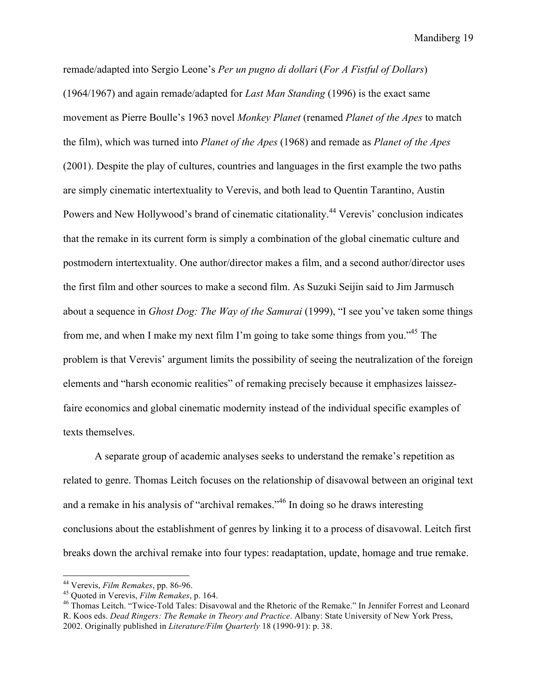remade/adapted into Sergio Leone's *Per un pugno di dollari* (*For A Fistful of Dollars*) (1964/1967) and again remade/adapted for *Last Man Standing* (1996) is the exact same movement as Pierre Boulle's 1963 novel *Monkey Planet* (renamed *Planet of the Apes* to match the film), which was turned into *Planet of the Apes* (1968) and remade as *Planet of the Apes*  (2001). Despite the play of cultures, countries and languages in the first example the two paths are simply cinematic intertextuality to Verevis, and both lead to Quentin Tarantino, Austin Powers and New Hollywood's brand of cinematic citationality.<sup>44</sup> Verevis' conclusion indicates that the remake in its current form is simply a combination of the global cinematic culture and postmodern intertextuality. One author/director makes a film, and a second author/director uses the first film and other sources to make a second film. As Suzuki Seijin said to Jim Jarmusch about a sequence in *Ghost Dog: The Way of the Samurai* (1999), "I see you've taken some things from me, and when I make my next film I'm going to take some things from you."45 The problem is that Verevis' argument limits the possibility of seeing the neutralization of the foreign elements and "harsh economic realities" of remaking precisely because it emphasizes laissezfaire economics and global cinematic modernity instead of the individual specific examples of texts themselves.

A separate group of academic analyses seeks to understand the remake's repetition as related to genre. Thomas Leitch focuses on the relationship of disavowal between an original text and a remake in his analysis of "archival remakes."46 In doing so he draws interesting conclusions about the establishment of genres by linking it to a process of disavowal. Leitch first breaks down the archival remake into four types: readaptation, update, homage and true remake.

<sup>&</sup>lt;sup>44</sup> Verevis, *Film Remakes*, pp. 86-96.<br><sup>45</sup> Quoted in Verevis, *Film Remakes*, p. 164.<br><sup>46</sup> Thomas Leitch. "Twice-Told Tales: Disavowal and the Rhetoric of the Remake." In Jennifer Forrest and Leonard R. Koos eds. *Dead Ringers: The Remake in Theory and Practice*. Albany: State University of New York Press, 2002. Originally published in *Literature/Film Quarterly* 18 (1990-91): p. 38.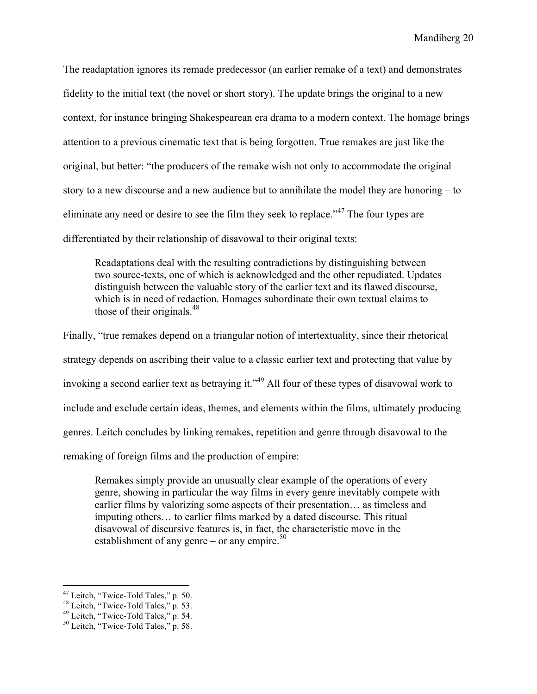The readaptation ignores its remade predecessor (an earlier remake of a text) and demonstrates fidelity to the initial text (the novel or short story). The update brings the original to a new context, for instance bringing Shakespearean era drama to a modern context. The homage brings attention to a previous cinematic text that is being forgotten. True remakes are just like the original, but better: "the producers of the remake wish not only to accommodate the original story to a new discourse and a new audience but to annihilate the model they are honoring – to eliminate any need or desire to see the film they seek to replace."<sup>47</sup> The four types are differentiated by their relationship of disavowal to their original texts:

Readaptations deal with the resulting contradictions by distinguishing between two source-texts, one of which is acknowledged and the other repudiated. Updates distinguish between the valuable story of the earlier text and its flawed discourse, which is in need of redaction. Homages subordinate their own textual claims to those of their originals.<sup>48</sup>

Finally, "true remakes depend on a triangular notion of intertextuality, since their rhetorical strategy depends on ascribing their value to a classic earlier text and protecting that value by invoking a second earlier text as betraying it."<sup>49</sup> All four of these types of disavowal work to include and exclude certain ideas, themes, and elements within the films, ultimately producing genres. Leitch concludes by linking remakes, repetition and genre through disavowal to the remaking of foreign films and the production of empire:

Remakes simply provide an unusually clear example of the operations of every genre, showing in particular the way films in every genre inevitably compete with earlier films by valorizing some aspects of their presentation… as timeless and imputing others… to earlier films marked by a dated discourse. This ritual disavowal of discursive features is, in fact, the characteristic move in the establishment of any genre – or any empire. $50$ 

<sup>&</sup>lt;sup>47</sup> Leitch, "Twice-Told Tales," p. 50.<br><sup>48</sup> Leitch, "Twice-Told Tales," p. 53.<br><sup>49</sup> Leitch, "Twice-Told Tales," p. 54.<br><sup>50</sup> Leitch, "Twice-Told Tales," p. 58.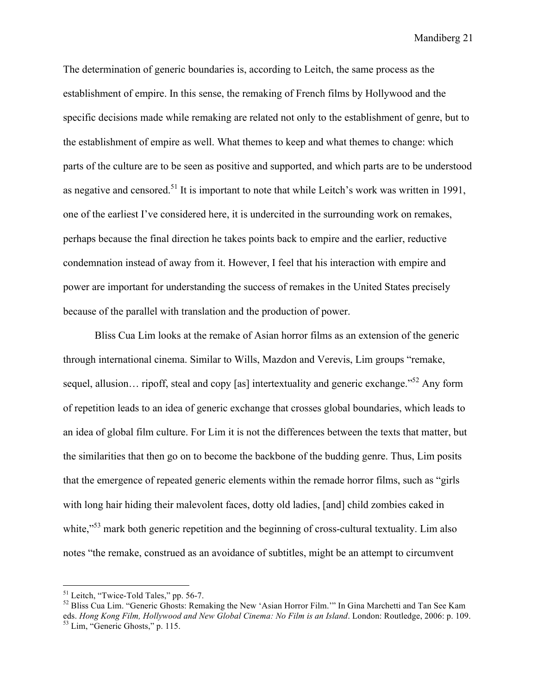The determination of generic boundaries is, according to Leitch, the same process as the establishment of empire. In this sense, the remaking of French films by Hollywood and the specific decisions made while remaking are related not only to the establishment of genre, but to the establishment of empire as well. What themes to keep and what themes to change: which parts of the culture are to be seen as positive and supported, and which parts are to be understood as negative and censored.<sup>51</sup> It is important to note that while Leitch's work was written in 1991, one of the earliest I've considered here, it is undercited in the surrounding work on remakes, perhaps because the final direction he takes points back to empire and the earlier, reductive condemnation instead of away from it. However, I feel that his interaction with empire and power are important for understanding the success of remakes in the United States precisely because of the parallel with translation and the production of power.

Bliss Cua Lim looks at the remake of Asian horror films as an extension of the generic through international cinema. Similar to Wills, Mazdon and Verevis, Lim groups "remake, sequel, allusion... ripoff, steal and copy [as] intertextuality and generic exchange."<sup>52</sup> Any form of repetition leads to an idea of generic exchange that crosses global boundaries, which leads to an idea of global film culture. For Lim it is not the differences between the texts that matter, but the similarities that then go on to become the backbone of the budding genre. Thus, Lim posits that the emergence of repeated generic elements within the remade horror films, such as "girls with long hair hiding their malevolent faces, dotty old ladies, [and] child zombies caked in white,<sup>553</sup> mark both generic repetition and the beginning of cross-cultural textuality. Lim also notes "the remake, construed as an avoidance of subtitles, might be an attempt to circumvent

<sup>&</sup>lt;sup>51</sup> Leitch, "Twice-Told Tales," pp. 56-7.<br><sup>52</sup> Bliss Cua Lim. "Generic Ghosts: Remaking the New 'Asian Horror Film."" In Gina Marchetti and Tan See Kam eds. *Hong Kong Film, Hollywood and New Global Cinema: No Film is an Island. London: Routledge, 2006: p. 109.*<br><sup>53</sup> Lim, "Generic Ghosts," p. 115.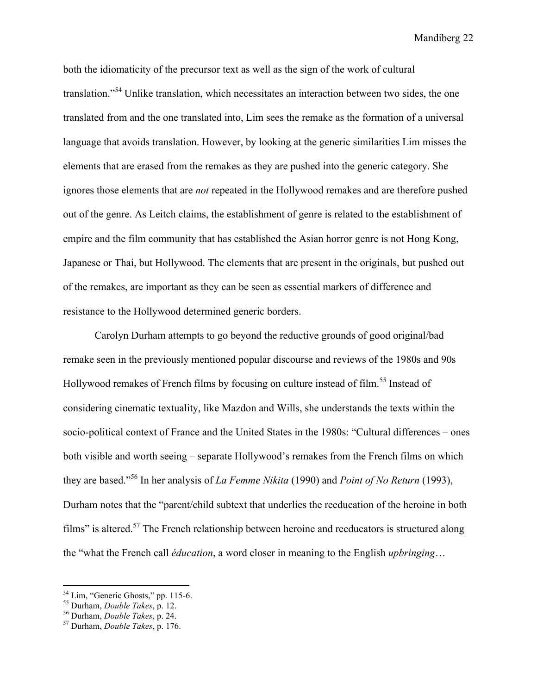both the idiomaticity of the precursor text as well as the sign of the work of cultural translation."54 Unlike translation, which necessitates an interaction between two sides, the one translated from and the one translated into, Lim sees the remake as the formation of a universal language that avoids translation. However, by looking at the generic similarities Lim misses the elements that are erased from the remakes as they are pushed into the generic category. She ignores those elements that are *not* repeated in the Hollywood remakes and are therefore pushed out of the genre. As Leitch claims, the establishment of genre is related to the establishment of empire and the film community that has established the Asian horror genre is not Hong Kong, Japanese or Thai, but Hollywood. The elements that are present in the originals, but pushed out of the remakes, are important as they can be seen as essential markers of difference and resistance to the Hollywood determined generic borders.

Carolyn Durham attempts to go beyond the reductive grounds of good original/bad remake seen in the previously mentioned popular discourse and reviews of the 1980s and 90s Hollywood remakes of French films by focusing on culture instead of film.<sup>55</sup> Instead of considering cinematic textuality, like Mazdon and Wills, she understands the texts within the socio-political context of France and the United States in the 1980s: "Cultural differences – ones both visible and worth seeing – separate Hollywood's remakes from the French films on which they are based."56 In her analysis of *La Femme Nikita* (1990) and *Point of No Return* (1993), Durham notes that the "parent/child subtext that underlies the reeducation of the heroine in both films" is altered.<sup>57</sup> The French relationship between heroine and reeducators is structured along the "what the French call *éducation*, a word closer in meaning to the English *upbringing*…

 <sup>54</sup> Lim, "Generic Ghosts," pp. 115-6. 55 Durham, *Double Takes*, p. 12. 56 Durham, *Double Takes*, p. 24. 57 Durham, *Double Takes*, p. 176.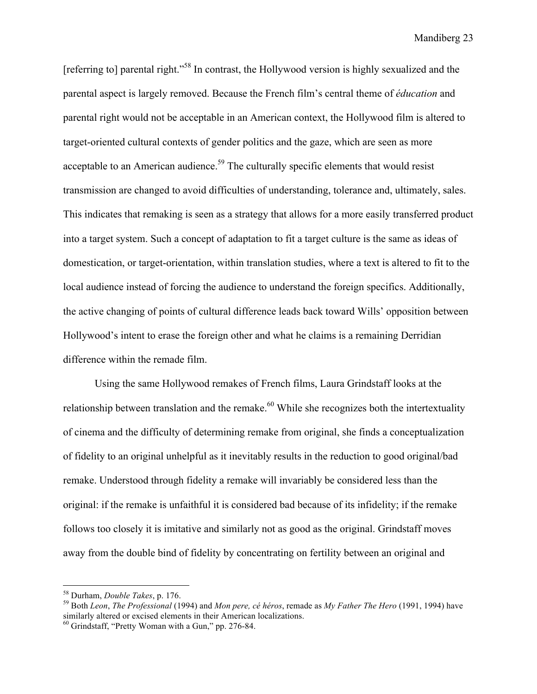[referring to] parental right."<sup>58</sup> In contrast, the Hollywood version is highly sexualized and the parental aspect is largely removed. Because the French film's central theme of *éducation* and parental right would not be acceptable in an American context, the Hollywood film is altered to target-oriented cultural contexts of gender politics and the gaze, which are seen as more acceptable to an American audience.<sup>59</sup> The culturally specific elements that would resist transmission are changed to avoid difficulties of understanding, tolerance and, ultimately, sales. This indicates that remaking is seen as a strategy that allows for a more easily transferred product into a target system. Such a concept of adaptation to fit a target culture is the same as ideas of domestication, or target-orientation, within translation studies, where a text is altered to fit to the local audience instead of forcing the audience to understand the foreign specifics. Additionally, the active changing of points of cultural difference leads back toward Wills' opposition between Hollywood's intent to erase the foreign other and what he claims is a remaining Derridian difference within the remade film.

Using the same Hollywood remakes of French films, Laura Grindstaff looks at the relationship between translation and the remake.<sup> $60$ </sup> While she recognizes both the intertextuality of cinema and the difficulty of determining remake from original, she finds a conceptualization of fidelity to an original unhelpful as it inevitably results in the reduction to good original/bad remake. Understood through fidelity a remake will invariably be considered less than the original: if the remake is unfaithful it is considered bad because of its infidelity; if the remake follows too closely it is imitative and similarly not as good as the original. Grindstaff moves away from the double bind of fidelity by concentrating on fertility between an original and

 <sup>58</sup> Durham, *Double Takes*, p. 176. 59 Both *Leon*, *The Professional* (1994) and *Mon pere, cé héros*, remade as *My Father The Hero* (1991, 1994) have similarly altered or excised elements in their American localizations.

 $60$  Grindstaff, "Pretty Woman with a Gun," pp. 276-84.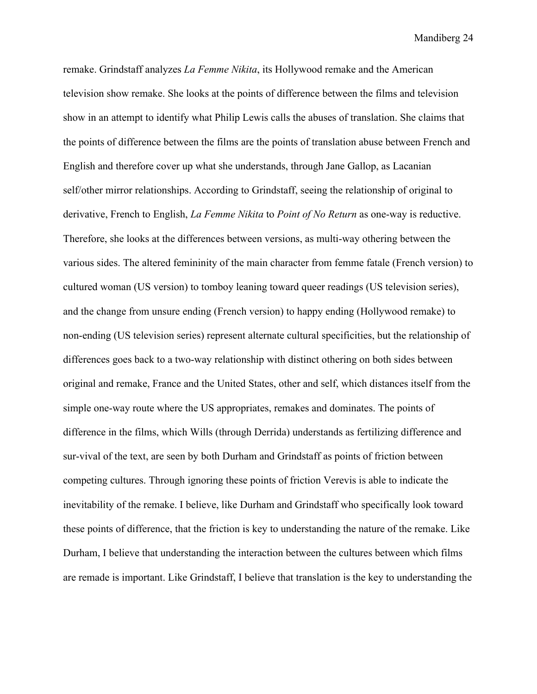remake. Grindstaff analyzes *La Femme Nikita*, its Hollywood remake and the American television show remake. She looks at the points of difference between the films and television show in an attempt to identify what Philip Lewis calls the abuses of translation. She claims that the points of difference between the films are the points of translation abuse between French and English and therefore cover up what she understands, through Jane Gallop, as Lacanian self/other mirror relationships. According to Grindstaff, seeing the relationship of original to derivative, French to English, *La Femme Nikita* to *Point of No Return* as one-way is reductive. Therefore, she looks at the differences between versions, as multi-way othering between the various sides. The altered femininity of the main character from femme fatale (French version) to cultured woman (US version) to tomboy leaning toward queer readings (US television series), and the change from unsure ending (French version) to happy ending (Hollywood remake) to non-ending (US television series) represent alternate cultural specificities, but the relationship of differences goes back to a two-way relationship with distinct othering on both sides between original and remake, France and the United States, other and self, which distances itself from the simple one-way route where the US appropriates, remakes and dominates. The points of difference in the films, which Wills (through Derrida) understands as fertilizing difference and sur-vival of the text, are seen by both Durham and Grindstaff as points of friction between competing cultures. Through ignoring these points of friction Verevis is able to indicate the inevitability of the remake. I believe, like Durham and Grindstaff who specifically look toward these points of difference, that the friction is key to understanding the nature of the remake. Like Durham, I believe that understanding the interaction between the cultures between which films are remade is important. Like Grindstaff, I believe that translation is the key to understanding the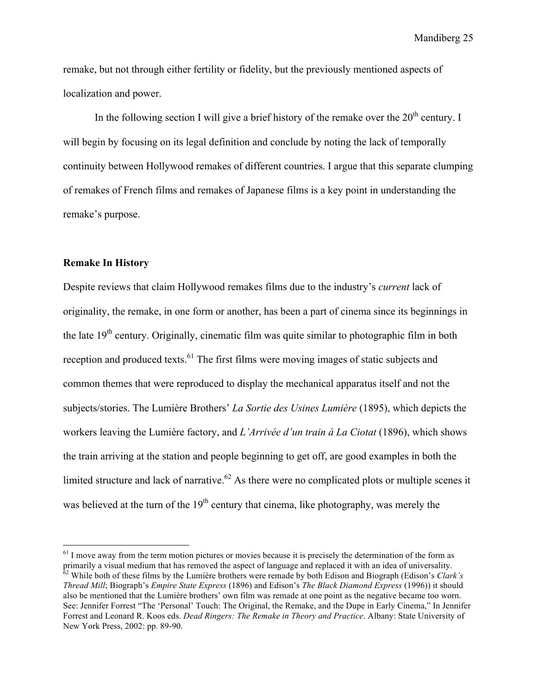remake, but not through either fertility or fidelity, but the previously mentioned aspects of localization and power.

In the following section I will give a brief history of the remake over the  $20<sup>th</sup>$  century. I will begin by focusing on its legal definition and conclude by noting the lack of temporally continuity between Hollywood remakes of different countries. I argue that this separate clumping of remakes of French films and remakes of Japanese films is a key point in understanding the remake's purpose.

#### **Remake In History**

Despite reviews that claim Hollywood remakes films due to the industry's *current* lack of originality, the remake, in one form or another, has been a part of cinema since its beginnings in the late  $19<sup>th</sup>$  century. Originally, cinematic film was quite similar to photographic film in both reception and produced texts.<sup>61</sup> The first films were moving images of static subjects and common themes that were reproduced to display the mechanical apparatus itself and not the subjects/stories. The Lumière Brothers' *La Sortie des Usines Lumière* (1895), which depicts the workers leaving the Lumière factory, and *L'Arrivée d'un train á La Ciotat* (1896), which shows the train arriving at the station and people beginning to get off, are good examples in both the limited structure and lack of narrative.<sup> $62$ </sup> As there were no complicated plots or multiple scenes it was believed at the turn of the  $19<sup>th</sup>$  century that cinema, like photography, was merely the

 $<sup>61</sup>$  I move away from the term motion pictures or movies because it is precisely the determination of the form as</sup> primarily a visual medium that has removed the aspect of language and replaced it with an idea of universality. 62 While both of these films by the Lumière brothers were remade by both Edison and Biograph (Edison's *Clark's Thread Mill*; Biograph's *Empire State Express* (1896) and Edison's *The Black Diamond Express* (1996)) it should also be mentioned that the Lumière brothers' own film was remade at one point as the negative became too worn. See: Jennifer Forrest "The 'Personal' Touch: The Original, the Remake, and the Dupe in Early Cinema," In Jennifer Forrest and Leonard R. Koos eds. *Dead Ringers: The Remake in Theory and Practice*. Albany: State University of New York Press, 2002: pp. 89-90.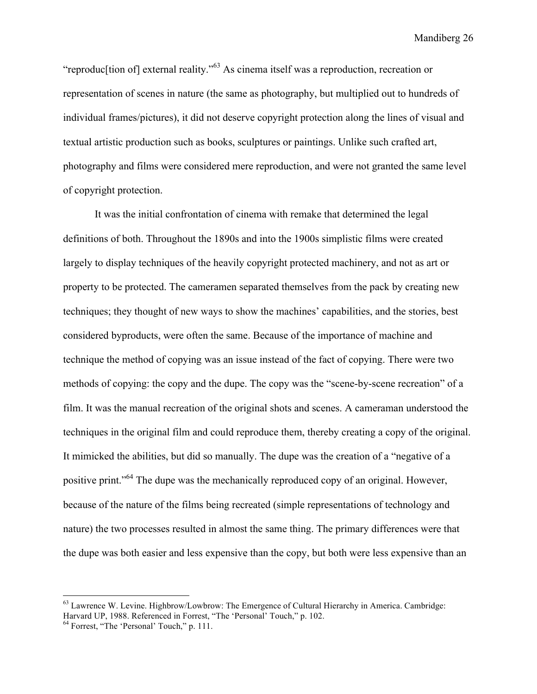"reproduc[tion of] external reality."63 As cinema itself was a reproduction, recreation or representation of scenes in nature (the same as photography, but multiplied out to hundreds of individual frames/pictures), it did not deserve copyright protection along the lines of visual and textual artistic production such as books, sculptures or paintings. Unlike such crafted art, photography and films were considered mere reproduction, and were not granted the same level of copyright protection.

It was the initial confrontation of cinema with remake that determined the legal definitions of both. Throughout the 1890s and into the 1900s simplistic films were created largely to display techniques of the heavily copyright protected machinery, and not as art or property to be protected. The cameramen separated themselves from the pack by creating new techniques; they thought of new ways to show the machines' capabilities, and the stories, best considered byproducts, were often the same. Because of the importance of machine and technique the method of copying was an issue instead of the fact of copying. There were two methods of copying: the copy and the dupe. The copy was the "scene-by-scene recreation" of a film. It was the manual recreation of the original shots and scenes. A cameraman understood the techniques in the original film and could reproduce them, thereby creating a copy of the original. It mimicked the abilities, but did so manually. The dupe was the creation of a "negative of a positive print."64 The dupe was the mechanically reproduced copy of an original. However, because of the nature of the films being recreated (simple representations of technology and nature) the two processes resulted in almost the same thing. The primary differences were that the dupe was both easier and less expensive than the copy, but both were less expensive than an

<sup>&</sup>lt;sup>63</sup> Lawrence W. Levine. Highbrow/Lowbrow: The Emergence of Cultural Hierarchy in America. Cambridge: Harvard UP, 1988. Referenced in Forrest, "The 'Personal' Touch," p. 102.

<sup>&</sup>lt;sup>64</sup> Forrest, "The 'Personal' Touch," p. 111.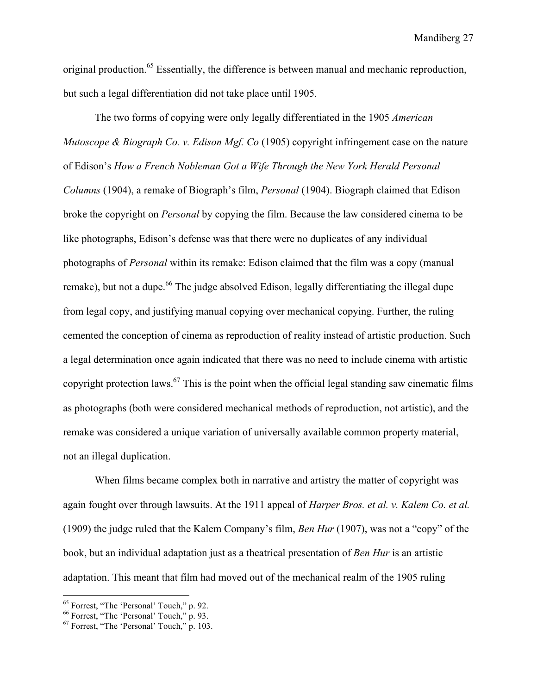original production.65 Essentially, the difference is between manual and mechanic reproduction, but such a legal differentiation did not take place until 1905.

The two forms of copying were only legally differentiated in the 1905 *American Mutoscope & Biograph Co. v. Edison Mgf. Co* (1905) copyright infringement case on the nature of Edison's *How a French Nobleman Got a Wife Through the New York Herald Personal Columns* (1904), a remake of Biograph's film, *Personal* (1904). Biograph claimed that Edison broke the copyright on *Personal* by copying the film. Because the law considered cinema to be like photographs, Edison's defense was that there were no duplicates of any individual photographs of *Personal* within its remake: Edison claimed that the film was a copy (manual remake), but not a dupe.<sup>66</sup> The judge absolved Edison, legally differentiating the illegal dupe from legal copy, and justifying manual copying over mechanical copying. Further, the ruling cemented the conception of cinema as reproduction of reality instead of artistic production. Such a legal determination once again indicated that there was no need to include cinema with artistic copyright protection laws.<sup>67</sup> This is the point when the official legal standing saw cinematic films as photographs (both were considered mechanical methods of reproduction, not artistic), and the remake was considered a unique variation of universally available common property material, not an illegal duplication.

When films became complex both in narrative and artistry the matter of copyright was again fought over through lawsuits. At the 1911 appeal of *Harper Bros. et al. v. Kalem Co. et al.* (1909) the judge ruled that the Kalem Company's film, *Ben Hur* (1907), was not a "copy" of the book, but an individual adaptation just as a theatrical presentation of *Ben Hur* is an artistic adaptation. This meant that film had moved out of the mechanical realm of the 1905 ruling

<sup>&</sup>lt;sup>65</sup> Forrest, "The 'Personal' Touch," p. 92.

 $66$  Forrest, "The 'Personal' Touch," p. 93.<br> $67$  Forrest, "The 'Personal' Touch," p. 103.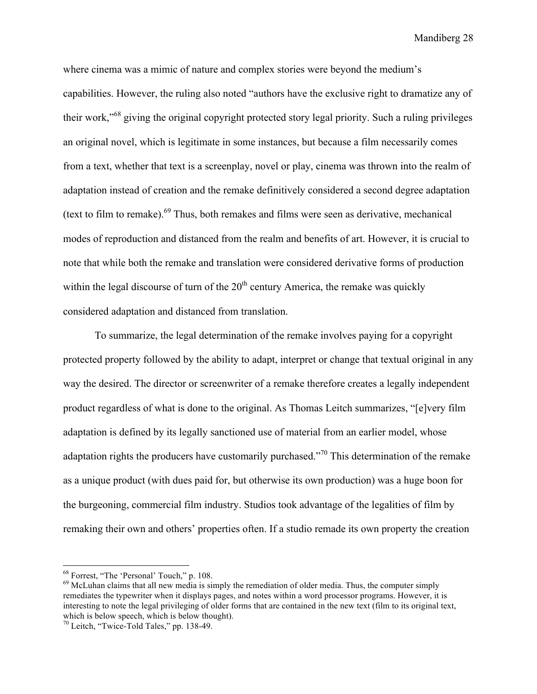where cinema was a mimic of nature and complex stories were beyond the medium's capabilities. However, the ruling also noted "authors have the exclusive right to dramatize any of their work,"68 giving the original copyright protected story legal priority. Such a ruling privileges an original novel, which is legitimate in some instances, but because a film necessarily comes from a text, whether that text is a screenplay, novel or play, cinema was thrown into the realm of adaptation instead of creation and the remake definitively considered a second degree adaptation (text to film to remake).<sup>69</sup> Thus, both remakes and films were seen as derivative, mechanical modes of reproduction and distanced from the realm and benefits of art. However, it is crucial to note that while both the remake and translation were considered derivative forms of production within the legal discourse of turn of the  $20<sup>th</sup>$  century America, the remake was quickly considered adaptation and distanced from translation.

To summarize, the legal determination of the remake involves paying for a copyright protected property followed by the ability to adapt, interpret or change that textual original in any way the desired. The director or screenwriter of a remake therefore creates a legally independent product regardless of what is done to the original. As Thomas Leitch summarizes, "[e]very film adaptation is defined by its legally sanctioned use of material from an earlier model, whose adaptation rights the producers have customarily purchased."<sup>70</sup> This determination of the remake as a unique product (with dues paid for, but otherwise its own production) was a huge boon for the burgeoning, commercial film industry. Studios took advantage of the legalities of film by remaking their own and others' properties often. If a studio remade its own property the creation

 <sup>68</sup> Forrest, "The 'Personal' Touch," p. 108.

<sup>&</sup>lt;sup>69</sup> McLuhan claims that all new media is simply the remediation of older media. Thus, the computer simply remediates the typewriter when it displays pages, and notes within a word processor programs. However, it is interesting to note the legal privileging of older forms that are contained in the new text (film to its original text, which is below speech, which is below thought).

 $70$  Leitch, "Twice-Told Tales," pp. 138-49.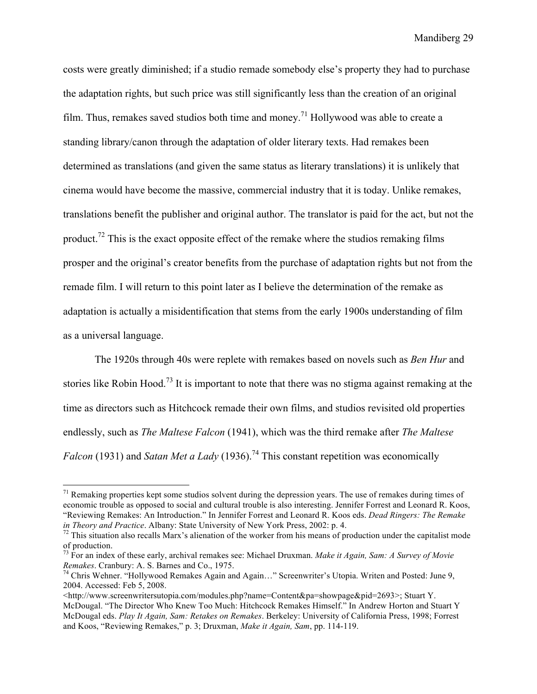costs were greatly diminished; if a studio remade somebody else's property they had to purchase the adaptation rights, but such price was still significantly less than the creation of an original film. Thus, remakes saved studios both time and money.<sup>71</sup> Hollywood was able to create a standing library/canon through the adaptation of older literary texts. Had remakes been determined as translations (and given the same status as literary translations) it is unlikely that cinema would have become the massive, commercial industry that it is today. Unlike remakes, translations benefit the publisher and original author. The translator is paid for the act, but not the product.<sup>72</sup> This is the exact opposite effect of the remake where the studios remaking films prosper and the original's creator benefits from the purchase of adaptation rights but not from the remade film. I will return to this point later as I believe the determination of the remake as adaptation is actually a misidentification that stems from the early 1900s understanding of film as a universal language.

The 1920s through 40s were replete with remakes based on novels such as *Ben Hur* and stories like Robin Hood.73 It is important to note that there was no stigma against remaking at the time as directors such as Hitchcock remade their own films, and studios revisited old properties endlessly, such as *The Maltese Falcon* (1941), which was the third remake after *The Maltese Falcon* (1931) and *Satan Met a Lady* (1936).<sup>74</sup> This constant repetition was economically

 $71$  Remaking properties kept some studios solvent during the depression years. The use of remakes during times of economic trouble as opposed to social and cultural trouble is also interesting. Jennifer Forrest and Leonard R. Koos, "Reviewing Remakes: An Introduction." In Jennifer Forrest and Leonard R. Koos eds. *Dead Ringers: The Remake in Theory and Practice*. Albany: State University of New York Press, 2002: p. 4.<br><sup>72</sup> This situation also recalls Marx's alienation of the worker from his means of production under the capitalist mode

of production.

<sup>73</sup> For an index of these early, archival remakes see: Michael Druxman. *Make it Again, Sam: A Survey of Movie* 

<sup>&</sup>lt;sup>74</sup> Chris Wehner. "Hollywood Remakes Again and Again..." Screenwriter's Utopia. Writen and Posted: June 9, 2004. Accessed: Feb 5, 2008.

<sup>&</sup>lt;http://www.screenwritersutopia.com/modules.php?name=Content&pa=showpage&pid=2693>; Stuart Y. McDougal. "The Director Who Knew Too Much: Hitchcock Remakes Himself." In Andrew Horton and Stuart Y McDougal eds. *Play It Again, Sam: Retakes on Remakes*. Berkeley: University of California Press, 1998; Forrest and Koos, "Reviewing Remakes," p. 3; Druxman, *Make it Again, Sam*, pp. 114-119.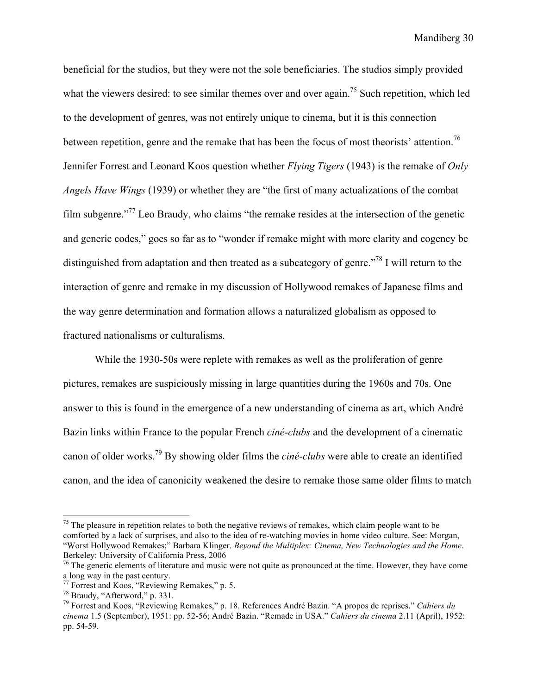beneficial for the studios, but they were not the sole beneficiaries. The studios simply provided what the viewers desired: to see similar themes over and over again.<sup>75</sup> Such repetition, which led to the development of genres, was not entirely unique to cinema, but it is this connection between repetition, genre and the remake that has been the focus of most theorists' attention.<sup>76</sup> Jennifer Forrest and Leonard Koos question whether *Flying Tigers* (1943) is the remake of *Only Angels Have Wings* (1939) or whether they are "the first of many actualizations of the combat film subgenre."77 Leo Braudy, who claims "the remake resides at the intersection of the genetic and generic codes," goes so far as to "wonder if remake might with more clarity and cogency be distinguished from adaptation and then treated as a subcategory of genre.<sup>778</sup> I will return to the interaction of genre and remake in my discussion of Hollywood remakes of Japanese films and the way genre determination and formation allows a naturalized globalism as opposed to fractured nationalisms or culturalisms.

While the 1930-50s were replete with remakes as well as the proliferation of genre pictures, remakes are suspiciously missing in large quantities during the 1960s and 70s. One answer to this is found in the emergence of a new understanding of cinema as art, which André Bazin links within France to the popular French *ciné-clubs* and the development of a cinematic canon of older works.79 By showing older films the *ciné-clubs* were able to create an identified canon, and the idea of canonicity weakened the desire to remake those same older films to match

 $75$  The pleasure in repetition relates to both the negative reviews of remakes, which claim people want to be comforted by a lack of surprises, and also to the idea of re-watching movies in home video culture. See: Morgan, "Worst Hollywood Remakes;" Barbara Klinger. *Beyond the Multiplex: Cinema, New Technologies and the Home*. Berkeley: University of California Press, 2006

 $^{76}$  The generic elements of literature and music were not quite as pronounced at the time. However, they have come a long way in the past century.

<sup>77</sup> Forrest and Koos, "Reviewing Remakes," p. 5.

<sup>78</sup> Braudy, "Afterword," p. 331. 79 Forrest and Koos, "Reviewing Remakes," p. 18. References André Bazin. "A propos de reprises." *Cahiers du cinema* 1.5 (September), 1951: pp. 52-56; André Bazin. "Remade in USA." *Cahiers du cinema* 2.11 (April), 1952: pp. 54-59.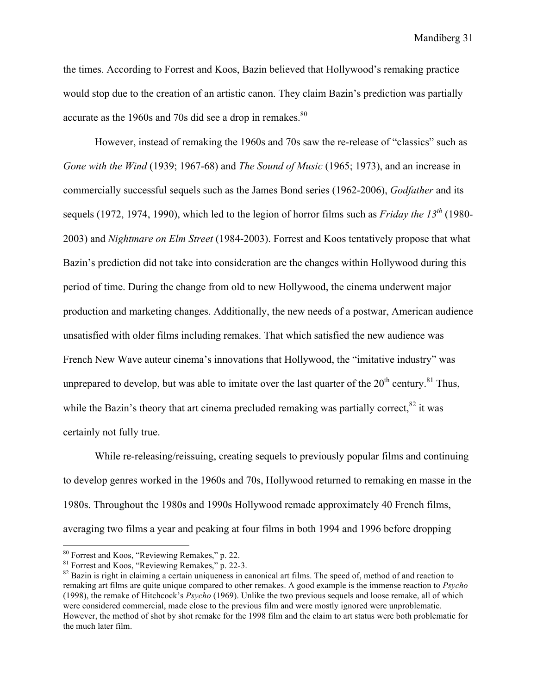the times. According to Forrest and Koos, Bazin believed that Hollywood's remaking practice would stop due to the creation of an artistic canon. They claim Bazin's prediction was partially accurate as the 1960s and 70s did see a drop in remakes. $80$ 

However, instead of remaking the 1960s and 70s saw the re-release of "classics" such as *Gone with the Wind* (1939; 1967-68) and *The Sound of Music* (1965; 1973), and an increase in commercially successful sequels such as the James Bond series (1962-2006), *Godfather* and its sequels (1972, 1974, 1990), which led to the legion of horror films such as *Friday the 13th* (1980- 2003) and *Nightmare on Elm Street* (1984-2003). Forrest and Koos tentatively propose that what Bazin's prediction did not take into consideration are the changes within Hollywood during this period of time. During the change from old to new Hollywood, the cinema underwent major production and marketing changes. Additionally, the new needs of a postwar, American audience unsatisfied with older films including remakes. That which satisfied the new audience was French New Wave auteur cinema's innovations that Hollywood, the "imitative industry" was unprepared to develop, but was able to imitate over the last quarter of the  $20^{th}$  century.<sup>81</sup> Thus, while the Bazin's theory that art cinema precluded remaking was partially correct,  $82$  it was certainly not fully true.

While re-releasing/reissuing, creating sequels to previously popular films and continuing to develop genres worked in the 1960s and 70s, Hollywood returned to remaking en masse in the 1980s. Throughout the 1980s and 1990s Hollywood remade approximately 40 French films, averaging two films a year and peaking at four films in both 1994 and 1996 before dropping

<sup>&</sup>lt;sup>80</sup> Forrest and Koos, "Reviewing Remakes," p. 22.<br>
<sup>81</sup> Forrest and Koos, "Reviewing Remakes," p. 22-3.

 $82$  Bazin is right in claiming a certain uniqueness in canonical art films. The speed of, method of and reaction to remaking art films are quite unique compared to other remakes. A good example is the immense reaction to *Psycho* (1998), the remake of Hitchcock's *Psycho* (1969). Unlike the two previous sequels and loose remake, all of which were considered commercial, made close to the previous film and were mostly ignored were unproblematic. However, the method of shot by shot remake for the 1998 film and the claim to art status were both problematic for the much later film.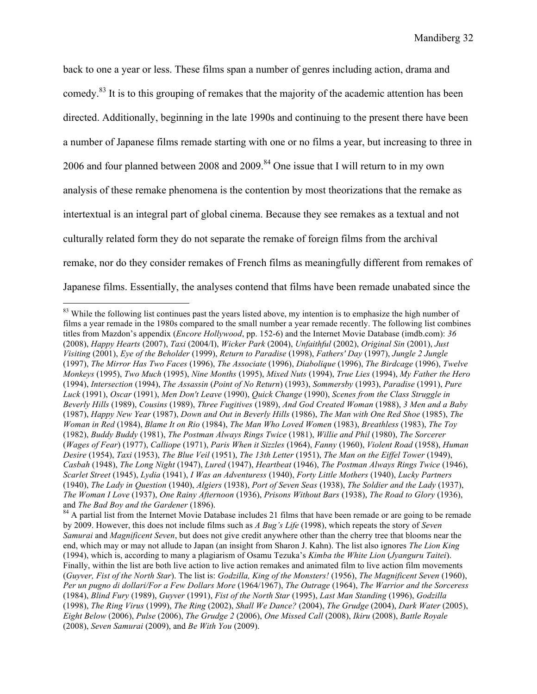back to one a year or less. These films span a number of genres including action, drama and comedy.<sup>83</sup> It is to this grouping of remakes that the majority of the academic attention has been directed. Additionally, beginning in the late 1990s and continuing to the present there have been a number of Japanese films remade starting with one or no films a year, but increasing to three in 2006 and four planned between 2008 and 2009.<sup>84</sup> One issue that I will return to in my own analysis of these remake phenomena is the contention by most theorizations that the remake as intertextual is an integral part of global cinema. Because they see remakes as a textual and not culturally related form they do not separate the remake of foreign films from the archival remake, nor do they consider remakes of French films as meaningfully different from remakes of Japanese films. Essentially, the analyses contend that films have been remade unabated since the

<sup>&</sup>lt;sup>83</sup> While the following list continues past the years listed above, my intention is to emphasize the high number of films a year remade in the 1980s compared to the small number a year remade recently. The following list combines titles from Mazdon's appendix (*Encore Hollywood*, pp. 152-6) and the Internet Movie Database (imdb.com): *36* (2008), *Happy Hearts* (2007), *Taxi* (2004/I), *Wicker Park* (2004), *Unfaithful* (2002), *Original Sin* (2001), *Just Visiting* (2001), *Eye of the Beholder* (1999), *Return to Paradise* (1998), *Fathers' Day* (1997), *Jungle 2 Jungle* (1997), *The Mirror Has Two Faces* (1996), *The Associate* (1996), *Diabolique* (1996), *The Birdcage* (1996), *Twelve Monkeys* (1995), *Two Much* (1995), *Nine Months* (1995), *Mixed Nuts* (1994), *True Lies* (1994), *My Father the Hero* (1994), *Intersection* (1994), *The Assassin* (*Point of No Return*) (1993), *Sommersby* (1993), *Paradise* (1991), *Pure Luck* (1991), *Oscar* (1991), *Men Don't Leave* (1990), *Quick Change* (1990), *Scenes from the Class Struggle in Beverly Hills* (1989), *Cousins* (1989), *Three Fugitives* (1989), *And God Created Woman* (1988), *3 Men and a Baby* (1987), *Happy New Year* (1987), *Down and Out in Beverly Hills* (1986), *The Man with One Red Shoe* (1985), *The Woman in Red* (1984), *Blame It on Rio* (1984), *The Man Who Loved Women* (1983), *Breathless* (1983), *The Toy* (1982), *Buddy Buddy* (1981), *The Postman Always Rings Twice* (1981), *Willie and Phil* (1980), *The Sorcerer* (*Wages of Fear*) (1977), *Calliope* (1971), *Paris When it Sizzles* (1964), *Fanny* (1960), *Violent Road* (1958), *Human Desire* (1954), *Taxi* (1953), *The Blue Veil* (1951), *The 13th Letter* (1951), *The Man on the Eiffel Tower* (1949), *Casbah* (1948), *The Long Night* (1947), *Lured* (1947), *Heartbeat* (1946), *The Postman Always Rings Twice* (1946), *Scarlet Street* (1945), *Lydia* (1941), *I Was an Adventuress* (1940), *Forty Little Mothers* (1940), *Lucky Partners* (1940), *The Lady in Question* (1940), *Algiers* (1938), *Port of Seven Seas* (1938), *The Soldier and the Lady* (1937), *The Woman I Love* (1937), *One Rainy Afternoon* (1936), *Prisons Without Bars* (1938), *The Road to Glory* (1936), and *The Bad Boy and the Gardener* (1896).<br><sup>84</sup> A partial list from the Internet Movie Database includes 21 films that have been remade or are going to be remade

by 2009. However, this does not include films such as *A Bug's Life* (1998), which repeats the story of *Seven Samurai* and *Magnificent Seven*, but does not give credit anywhere other than the cherry tree that blooms near the end, which may or may not allude to Japan (an insight from Sharon J. Kahn). The list also ignores *The Lion King* (1994), which is, according to many a plagiarism of Osamu Tezuka's *Kimba the White Lion* (*Jyanguru Taitei*). Finally, within the list are both live action to live action remakes and animated film to live action film movements (*Guyver, Fist of the North Star*). The list is: *Godzilla, King of the Monsters!* (1956), *The Magnificent Seven* (1960), *Per un pugno di dollari/For a Few Dollars More* (1964/1967), *The Outrage* (1964), *The Warrior and the Sorceress* (1984), *Blind Fury* (1989), *Guyver* (1991), *Fist of the North Star* (1995), *Last Man Standing* (1996), *Godzilla* (1998), *The Ring Virus* (1999), *The Ring* (2002), *Shall We Dance?* (2004), *The Grudge* (2004), *Dark Water* (2005), *Eight Below* (2006), *Pulse* (2006), *The Grudge 2* (2006), *One Missed Call* (2008), *Ikiru* (2008), *Battle Royale* (2008), *Seven Samurai* (2009), and *Be With You* (2009).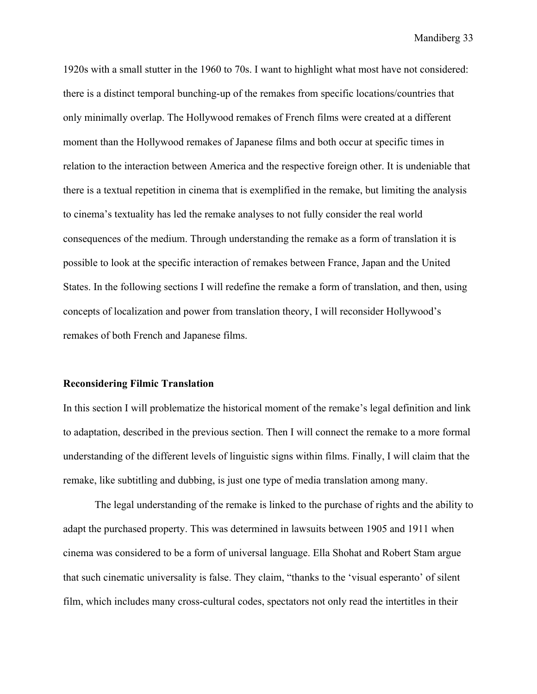1920s with a small stutter in the 1960 to 70s. I want to highlight what most have not considered: there is a distinct temporal bunching-up of the remakes from specific locations/countries that only minimally overlap. The Hollywood remakes of French films were created at a different moment than the Hollywood remakes of Japanese films and both occur at specific times in relation to the interaction between America and the respective foreign other. It is undeniable that there is a textual repetition in cinema that is exemplified in the remake, but limiting the analysis to cinema's textuality has led the remake analyses to not fully consider the real world consequences of the medium. Through understanding the remake as a form of translation it is possible to look at the specific interaction of remakes between France, Japan and the United States. In the following sections I will redefine the remake a form of translation, and then, using concepts of localization and power from translation theory, I will reconsider Hollywood's remakes of both French and Japanese films.

#### **Reconsidering Filmic Translation**

In this section I will problematize the historical moment of the remake's legal definition and link to adaptation, described in the previous section. Then I will connect the remake to a more formal understanding of the different levels of linguistic signs within films. Finally, I will claim that the remake, like subtitling and dubbing, is just one type of media translation among many.

The legal understanding of the remake is linked to the purchase of rights and the ability to adapt the purchased property. This was determined in lawsuits between 1905 and 1911 when cinema was considered to be a form of universal language. Ella Shohat and Robert Stam argue that such cinematic universality is false. They claim, "thanks to the 'visual esperanto' of silent film, which includes many cross-cultural codes, spectators not only read the intertitles in their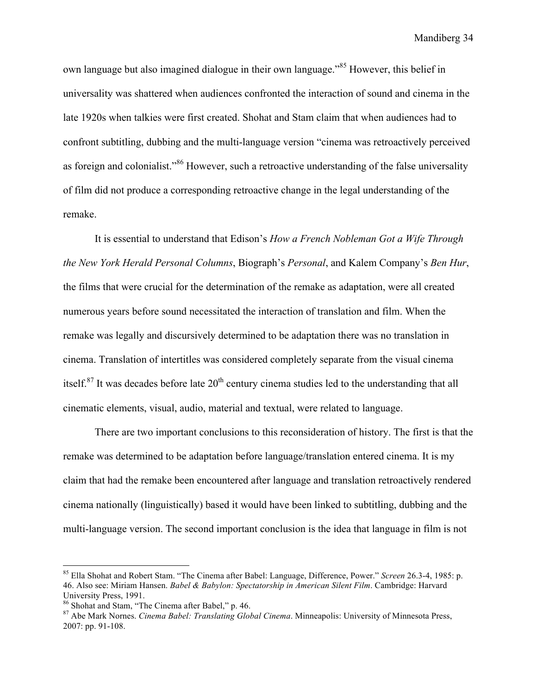own language but also imagined dialogue in their own language."<sup>85</sup> However, this belief in universality was shattered when audiences confronted the interaction of sound and cinema in the late 1920s when talkies were first created. Shohat and Stam claim that when audiences had to confront subtitling, dubbing and the multi-language version "cinema was retroactively perceived as foreign and colonialist."<sup>86</sup> However, such a retroactive understanding of the false universality of film did not produce a corresponding retroactive change in the legal understanding of the remake.

It is essential to understand that Edison's *How a French Nobleman Got a Wife Through the New York Herald Personal Columns*, Biograph's *Personal*, and Kalem Company's *Ben Hur*, the films that were crucial for the determination of the remake as adaptation, were all created numerous years before sound necessitated the interaction of translation and film. When the remake was legally and discursively determined to be adaptation there was no translation in cinema. Translation of intertitles was considered completely separate from the visual cinema itself. $87$  It was decades before late  $20<sup>th</sup>$  century cinema studies led to the understanding that all cinematic elements, visual, audio, material and textual, were related to language.

There are two important conclusions to this reconsideration of history. The first is that the remake was determined to be adaptation before language/translation entered cinema. It is my claim that had the remake been encountered after language and translation retroactively rendered cinema nationally (linguistically) based it would have been linked to subtitling, dubbing and the multi-language version. The second important conclusion is the idea that language in film is not

 <sup>85</sup> Ella Shohat and Robert Stam. "The Cinema after Babel: Language, Difference, Power." *Screen* 26.3-4, 1985: p. 46. Also see: Miriam Hansen. *Babel & Babylon: Spectatorship in American Silent Film*. Cambridge: Harvard University Press, 1991.<br><sup>86</sup> Shohat and Stam, "The Cinema after Babel," p. 46.

<sup>&</sup>lt;sup>87</sup> Abe Mark Nornes. *Cinema Babel: Translating Global Cinema*. Minneapolis: University of Minnesota Press, 2007: pp. 91-108.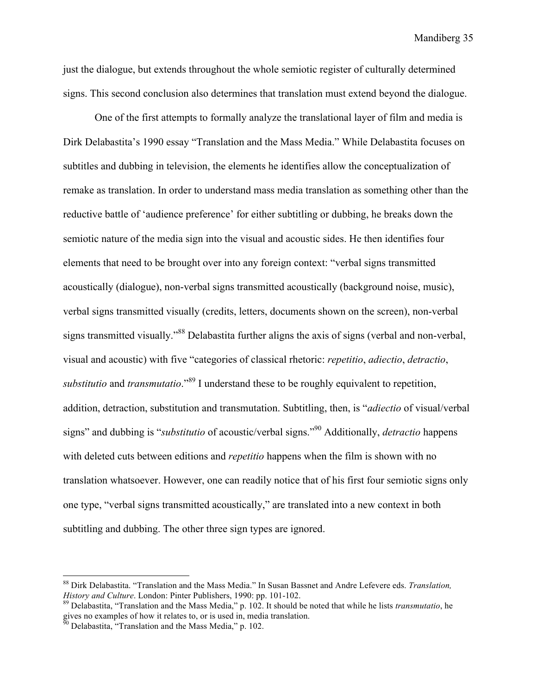just the dialogue, but extends throughout the whole semiotic register of culturally determined signs. This second conclusion also determines that translation must extend beyond the dialogue.

One of the first attempts to formally analyze the translational layer of film and media is Dirk Delabastita's 1990 essay "Translation and the Mass Media." While Delabastita focuses on subtitles and dubbing in television, the elements he identifies allow the conceptualization of remake as translation. In order to understand mass media translation as something other than the reductive battle of 'audience preference' for either subtitling or dubbing, he breaks down the semiotic nature of the media sign into the visual and acoustic sides. He then identifies four elements that need to be brought over into any foreign context: "verbal signs transmitted acoustically (dialogue), non-verbal signs transmitted acoustically (background noise, music), verbal signs transmitted visually (credits, letters, documents shown on the screen), non-verbal signs transmitted visually."<sup>88</sup> Delabastita further aligns the axis of signs (verbal and non-verbal, visual and acoustic) with five "categories of classical rhetoric: *repetitio*, *adiectio*, *detractio*, *substitutio* and *transmutatio*."89 I understand these to be roughly equivalent to repetition, addition, detraction, substitution and transmutation. Subtitling, then, is "*adiectio* of visual/verbal signs" and dubbing is "*substitutio* of acoustic/verbal signs."90 Additionally, *detractio* happens with deleted cuts between editions and *repetitio* happens when the film is shown with no translation whatsoever. However, one can readily notice that of his first four semiotic signs only one type, "verbal signs transmitted acoustically," are translated into a new context in both subtitling and dubbing. The other three sign types are ignored.

 <sup>88</sup> Dirk Delabastita. "Translation and the Mass Media." In Susan Bassnet and Andre Lefevere eds. *Translation, History and Culture*. London: Pinter Publishers, 1990: pp. 101-102.<br><sup>89</sup> Delabastita, "Translation and the Mass Media," p. 102. It should be noted that while he lists *transmutatio*, he

gives no examples of how it relates to, or is used in, media translation.

 $\frac{50}{90}$  Delabastita, "Translation and the Mass Media," p. 102.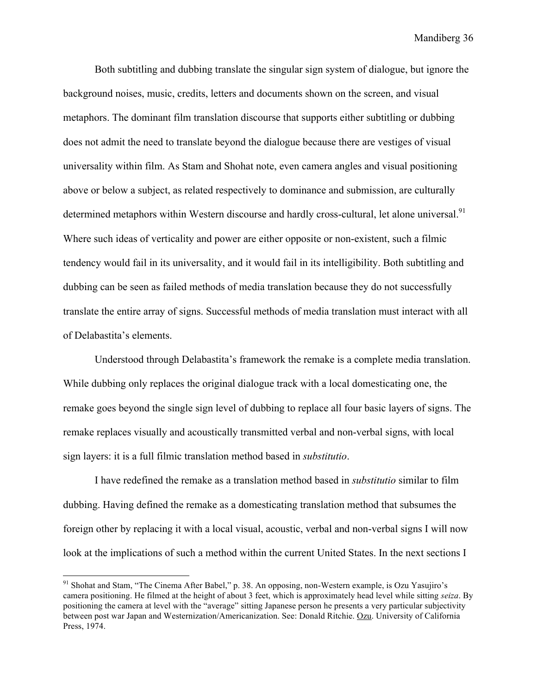Both subtitling and dubbing translate the singular sign system of dialogue, but ignore the background noises, music, credits, letters and documents shown on the screen, and visual metaphors. The dominant film translation discourse that supports either subtitling or dubbing does not admit the need to translate beyond the dialogue because there are vestiges of visual universality within film. As Stam and Shohat note, even camera angles and visual positioning above or below a subject, as related respectively to dominance and submission, are culturally determined metaphors within Western discourse and hardly cross-cultural, let alone universal.<sup>91</sup> Where such ideas of verticality and power are either opposite or non-existent, such a filmic tendency would fail in its universality, and it would fail in its intelligibility. Both subtitling and dubbing can be seen as failed methods of media translation because they do not successfully translate the entire array of signs. Successful methods of media translation must interact with all of Delabastita's elements.

Understood through Delabastita's framework the remake is a complete media translation. While dubbing only replaces the original dialogue track with a local domesticating one, the remake goes beyond the single sign level of dubbing to replace all four basic layers of signs. The remake replaces visually and acoustically transmitted verbal and non-verbal signs, with local sign layers: it is a full filmic translation method based in *substitutio*.

I have redefined the remake as a translation method based in *substitutio* similar to film dubbing. Having defined the remake as a domesticating translation method that subsumes the foreign other by replacing it with a local visual, acoustic, verbal and non-verbal signs I will now look at the implications of such a method within the current United States. In the next sections I

<sup>&</sup>lt;sup>91</sup> Shohat and Stam, "The Cinema After Babel," p. 38. An opposing, non-Western example, is Ozu Yasujiro's camera positioning. He filmed at the height of about 3 feet, which is approximately head level while sitting *seiza*. By positioning the camera at level with the "average" sitting Japanese person he presents a very particular subjectivity between post war Japan and Westernization/Americanization. See: Donald Ritchie. Ozu. University of California Press, 1974.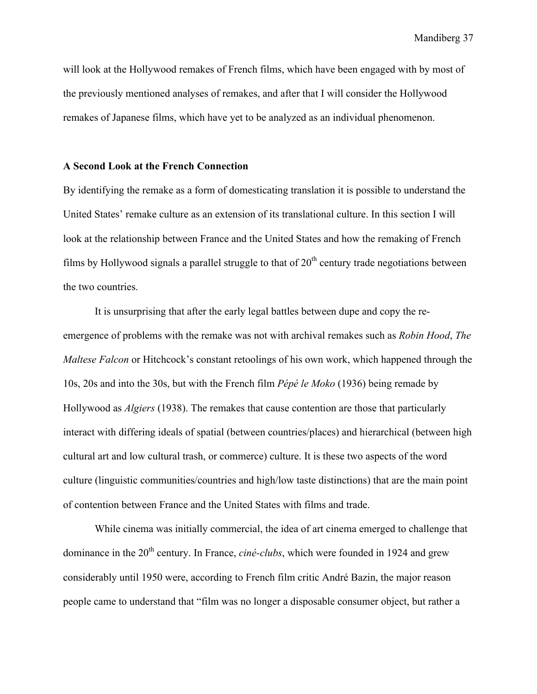will look at the Hollywood remakes of French films, which have been engaged with by most of the previously mentioned analyses of remakes, and after that I will consider the Hollywood remakes of Japanese films, which have yet to be analyzed as an individual phenomenon.

#### **A Second Look at the French Connection**

By identifying the remake as a form of domesticating translation it is possible to understand the United States' remake culture as an extension of its translational culture. In this section I will look at the relationship between France and the United States and how the remaking of French films by Hollywood signals a parallel struggle to that of  $20<sup>th</sup>$  century trade negotiations between the two countries.

It is unsurprising that after the early legal battles between dupe and copy the reemergence of problems with the remake was not with archival remakes such as *Robin Hood*, *The Maltese Falcon* or Hitchcock's constant retoolings of his own work, which happened through the 10s, 20s and into the 30s, but with the French film *Pépé le Moko* (1936) being remade by Hollywood as *Algiers* (1938). The remakes that cause contention are those that particularly interact with differing ideals of spatial (between countries/places) and hierarchical (between high cultural art and low cultural trash, or commerce) culture. It is these two aspects of the word culture (linguistic communities/countries and high/low taste distinctions) that are the main point of contention between France and the United States with films and trade.

While cinema was initially commercial, the idea of art cinema emerged to challenge that dominance in the 20<sup>th</sup> century. In France, *ciné-clubs*, which were founded in 1924 and grew considerably until 1950 were, according to French film critic André Bazin, the major reason people came to understand that "film was no longer a disposable consumer object, but rather a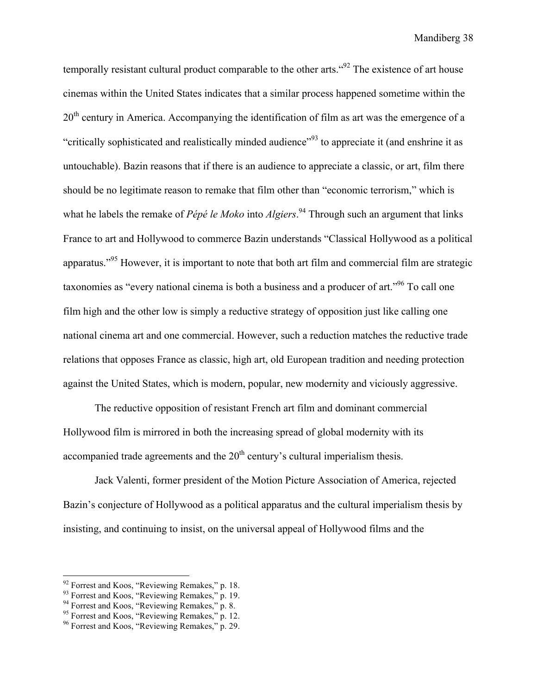temporally resistant cultural product comparable to the other arts.  $692$  The existence of art house cinemas within the United States indicates that a similar process happened sometime within the  $20<sup>th</sup>$  century in America. Accompanying the identification of film as art was the emergence of a "critically sophisticated and realistically minded audience"<sup>93</sup> to appreciate it (and enshrine it as untouchable). Bazin reasons that if there is an audience to appreciate a classic, or art, film there should be no legitimate reason to remake that film other than "economic terrorism," which is what he labels the remake of *Pépé le Moko* into *Algiers*. 94 Through such an argument that links France to art and Hollywood to commerce Bazin understands "Classical Hollywood as a political apparatus."95 However, it is important to note that both art film and commercial film are strategic taxonomies as "every national cinema is both a business and a producer of art."96 To call one film high and the other low is simply a reductive strategy of opposition just like calling one national cinema art and one commercial. However, such a reduction matches the reductive trade relations that opposes France as classic, high art, old European tradition and needing protection against the United States, which is modern, popular, new modernity and viciously aggressive.

The reductive opposition of resistant French art film and dominant commercial Hollywood film is mirrored in both the increasing spread of global modernity with its accompanied trade agreements and the  $20<sup>th</sup>$  century's cultural imperialism thesis.

Jack Valenti, former president of the Motion Picture Association of America, rejected Bazin's conjecture of Hollywood as a political apparatus and the cultural imperialism thesis by insisting, and continuing to insist, on the universal appeal of Hollywood films and the

 $92$  Forrest and Koos, "Reviewing Remakes," p. 18.<br> $93$  Forrest and Koos, "Reviewing Remakes," p. 19.

<sup>&</sup>lt;sup>94</sup> Forrest and Koos, "Reviewing Remakes," p. 8.

<sup>&</sup>lt;sup>95</sup> Forrest and Koos, "Reviewing Remakes," p. 12.

<sup>&</sup>lt;sup>96</sup> Forrest and Koos, "Reviewing Remakes," p. 29.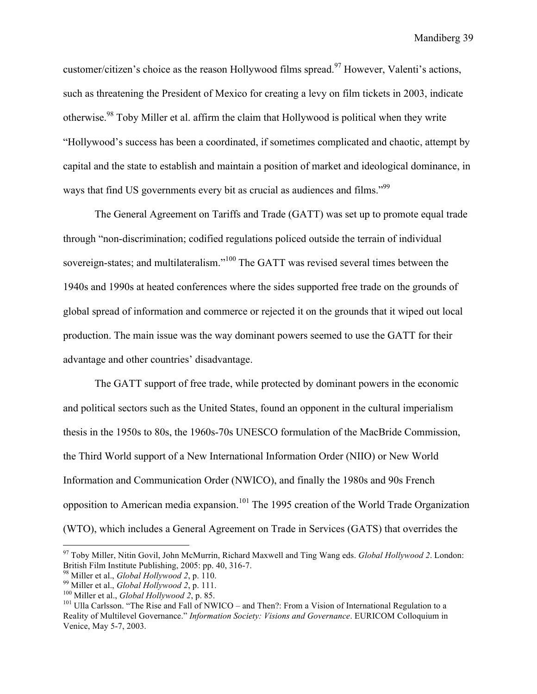customer/citizen's choice as the reason Hollywood films spread.<sup>97</sup> However, Valenti's actions, such as threatening the President of Mexico for creating a levy on film tickets in 2003, indicate otherwise.98 Toby Miller et al. affirm the claim that Hollywood is political when they write "Hollywood's success has been a coordinated, if sometimes complicated and chaotic, attempt by capital and the state to establish and maintain a position of market and ideological dominance, in ways that find US governments every bit as crucial as audiences and films."<sup>99</sup>

The General Agreement on Tariffs and Trade (GATT) was set up to promote equal trade through "non-discrimination; codified regulations policed outside the terrain of individual sovereign-states; and multilateralism."<sup>100</sup> The GATT was revised several times between the 1940s and 1990s at heated conferences where the sides supported free trade on the grounds of global spread of information and commerce or rejected it on the grounds that it wiped out local production. The main issue was the way dominant powers seemed to use the GATT for their advantage and other countries' disadvantage.

The GATT support of free trade, while protected by dominant powers in the economic and political sectors such as the United States, found an opponent in the cultural imperialism thesis in the 1950s to 80s, the 1960s-70s UNESCO formulation of the MacBride Commission, the Third World support of a New International Information Order (NIIO) or New World Information and Communication Order (NWICO), and finally the 1980s and 90s French opposition to American media expansion.101 The 1995 creation of the World Trade Organization (WTO), which includes a General Agreement on Trade in Services (GATS) that overrides the

<sup>&</sup>lt;sup>97</sup> Toby Miller, Nitin Govil, John McMurrin, Richard Maxwell and Ting Wang eds. *Global Hollywood 2*. London: British Film Institute Publishing, 2005: pp. 40, 316-7.

<sup>&</sup>lt;sup>98</sup> Miller et al., *Global Hollywood 2*, p. 110.<br><sup>99</sup> Miller et al., *Global Hollywood 2*, p. 111.<br><sup>100</sup> Miller et al., *Global Hollywood 2*, p. 85.<br><sup>101</sup> Ulla Carlsson. "The Rise and Fall of NWICO – and Then?: From a Vi Reality of Multilevel Governance." *Information Society: Visions and Governance*. EURICOM Colloquium in Venice, May 5-7, 2003.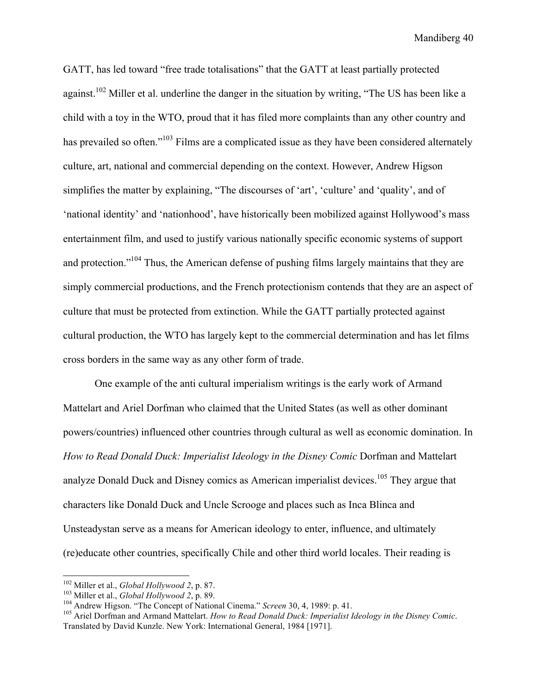GATT, has led toward "free trade totalisations" that the GATT at least partially protected against.<sup>102</sup> Miller et al. underline the danger in the situation by writing, "The US has been like a child with a toy in the WTO, proud that it has filed more complaints than any other country and has prevailed so often."<sup>103</sup> Films are a complicated issue as they have been considered alternately culture, art, national and commercial depending on the context. However, Andrew Higson simplifies the matter by explaining, "The discourses of 'art', 'culture' and 'quality', and of 'national identity' and 'nationhood', have historically been mobilized against Hollywood's mass entertainment film, and used to justify various nationally specific economic systems of support and protection."<sup>104</sup> Thus, the American defense of pushing films largely maintains that they are simply commercial productions, and the French protectionism contends that they are an aspect of culture that must be protected from extinction. While the GATT partially protected against cultural production, the WTO has largely kept to the commercial determination and has let films cross borders in the same way as any other form of trade.

One example of the anti cultural imperialism writings is the early work of Armand Mattelart and Ariel Dorfman who claimed that the United States (as well as other dominant powers/countries) influenced other countries through cultural as well as economic domination. In *How to Read Donald Duck: Imperialist Ideology in the Disney Comic* Dorfman and Mattelart analyze Donald Duck and Disney comics as American imperialist devices.<sup>105</sup> They argue that characters like Donald Duck and Uncle Scrooge and places such as Inca Blinca and Unsteadystan serve as a means for American ideology to enter, influence, and ultimately (re)educate other countries, specifically Chile and other third world locales. Their reading is

<sup>&</sup>lt;sup>102</sup> Miller et al., *Global Hollywood 2*, p. 87.<br><sup>103</sup> Miller et al., *Global Hollywood 2*, p. 89.<br><sup>103</sup> Andrew Higson. "The Concept of National Cinema." *Screen* 30, 4, 1989: p. 41.<br><sup>105</sup> Ariel Dorfman and Armand Mattela Translated by David Kunzle. New York: International General, 1984 [1971].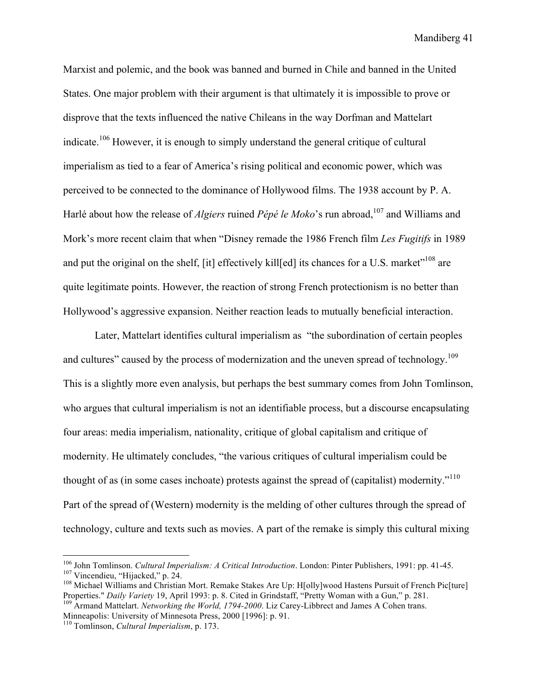Marxist and polemic, and the book was banned and burned in Chile and banned in the United States. One major problem with their argument is that ultimately it is impossible to prove or disprove that the texts influenced the native Chileans in the way Dorfman and Mattelart indicate.106 However, it is enough to simply understand the general critique of cultural imperialism as tied to a fear of America's rising political and economic power, which was perceived to be connected to the dominance of Hollywood films. The 1938 account by P. A. Harlé about how the release of *Algiers* ruined *Pépé le Moko*'s run abroad,<sup>107</sup> and Williams and Mork's more recent claim that when "Disney remade the 1986 French film *Les Fugitifs* in 1989 and put the original on the shelf, [it] effectively kill[ed] its chances for a U.S. market"<sup>108</sup> are quite legitimate points. However, the reaction of strong French protectionism is no better than Hollywood's aggressive expansion. Neither reaction leads to mutually beneficial interaction.

Later, Mattelart identifies cultural imperialism as "the subordination of certain peoples and cultures" caused by the process of modernization and the uneven spread of technology.<sup>109</sup> This is a slightly more even analysis, but perhaps the best summary comes from John Tomlinson, who argues that cultural imperialism is not an identifiable process, but a discourse encapsulating four areas: media imperialism, nationality, critique of global capitalism and critique of modernity. He ultimately concludes, "the various critiques of cultural imperialism could be thought of as (in some cases inchoate) protests against the spread of (capitalist) modernity."<sup>110</sup> Part of the spread of (Western) modernity is the melding of other cultures through the spread of technology, culture and texts such as movies. A part of the remake is simply this cultural mixing

<sup>&</sup>lt;sup>106</sup> John Tomlinson. *Cultural Imperialism: A Critical Introduction*. London: Pinter Publishers, 1991: pp. 41-45.<br><sup>107</sup> Vincendieu, "Hijacked," p. 24.<br><sup>108</sup> Michael Williams and Christian Mort. Remake Stakes Are Up: H[ol

Properties." *Daily Variety* 19, April 1993: p. 8. Cited in Grindstaff, "Pretty Woman with a Gun," p. 281. 109 Armand Mattelart. *Networking the World, 1794-2000*. Liz Carey-Libbrect and James A Cohen trans.

Minneapolis: University of Minnesota Press, 2000 [1996]: p. 91.

<sup>110</sup> Tomlinson, *Cultural Imperialism*, p. 173.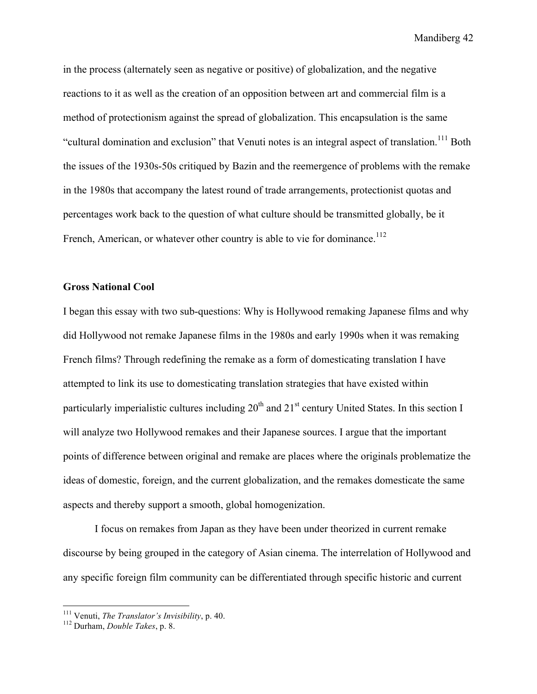in the process (alternately seen as negative or positive) of globalization, and the negative reactions to it as well as the creation of an opposition between art and commercial film is a method of protectionism against the spread of globalization. This encapsulation is the same "cultural domination and exclusion" that Venuti notes is an integral aspect of translation.111 Both the issues of the 1930s-50s critiqued by Bazin and the reemergence of problems with the remake in the 1980s that accompany the latest round of trade arrangements, protectionist quotas and percentages work back to the question of what culture should be transmitted globally, be it French, American, or whatever other country is able to vie for dominance.<sup>112</sup>

### **Gross National Cool**

I began this essay with two sub-questions: Why is Hollywood remaking Japanese films and why did Hollywood not remake Japanese films in the 1980s and early 1990s when it was remaking French films? Through redefining the remake as a form of domesticating translation I have attempted to link its use to domesticating translation strategies that have existed within particularly imperialistic cultures including  $20<sup>th</sup>$  and  $21<sup>st</sup>$  century United States. In this section I will analyze two Hollywood remakes and their Japanese sources. I argue that the important points of difference between original and remake are places where the originals problematize the ideas of domestic, foreign, and the current globalization, and the remakes domesticate the same aspects and thereby support a smooth, global homogenization.

I focus on remakes from Japan as they have been under theorized in current remake discourse by being grouped in the category of Asian cinema. The interrelation of Hollywood and any specific foreign film community can be differentiated through specific historic and current

 <sup>111</sup> Venuti, *The Translator's Invisibility*, p. 40. 112 Durham, *Double Takes*, p. 8.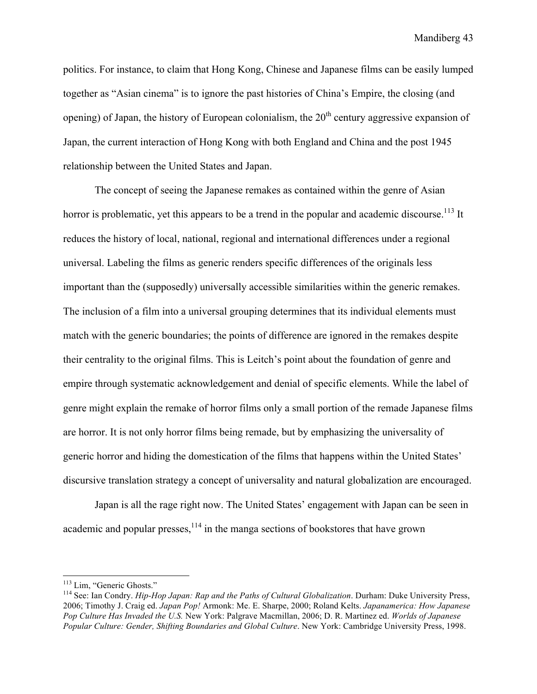politics. For instance, to claim that Hong Kong, Chinese and Japanese films can be easily lumped together as "Asian cinema" is to ignore the past histories of China's Empire, the closing (and opening) of Japan, the history of European colonialism, the  $20<sup>th</sup>$  century aggressive expansion of Japan, the current interaction of Hong Kong with both England and China and the post 1945 relationship between the United States and Japan.

The concept of seeing the Japanese remakes as contained within the genre of Asian horror is problematic, yet this appears to be a trend in the popular and academic discourse.<sup>113</sup> It reduces the history of local, national, regional and international differences under a regional universal. Labeling the films as generic renders specific differences of the originals less important than the (supposedly) universally accessible similarities within the generic remakes. The inclusion of a film into a universal grouping determines that its individual elements must match with the generic boundaries; the points of difference are ignored in the remakes despite their centrality to the original films. This is Leitch's point about the foundation of genre and empire through systematic acknowledgement and denial of specific elements. While the label of genre might explain the remake of horror films only a small portion of the remade Japanese films are horror. It is not only horror films being remade, but by emphasizing the universality of generic horror and hiding the domestication of the films that happens within the United States' discursive translation strategy a concept of universality and natural globalization are encouraged.

Japan is all the rage right now. The United States' engagement with Japan can be seen in academic and popular presses, $1^{14}$  in the manga sections of bookstores that have grown

<sup>&</sup>lt;sup>113</sup> Lim, "Generic Ghosts."<br><sup>114</sup> See: Ian Condry. *Hip-Hop Japan: Rap and the Paths of Cultural Globalization*. Durham: Duke University Press, 2006; Timothy J. Craig ed. *Japan Pop!* Armonk: Me. E. Sharpe, 2000; Roland Kelts. *Japanamerica: How Japanese Pop Culture Has Invaded the U.S.* New York: Palgrave Macmillan, 2006; D. R. Martinez ed. *Worlds of Japanese Popular Culture: Gender, Shifting Boundaries and Global Culture*. New York: Cambridge University Press, 1998.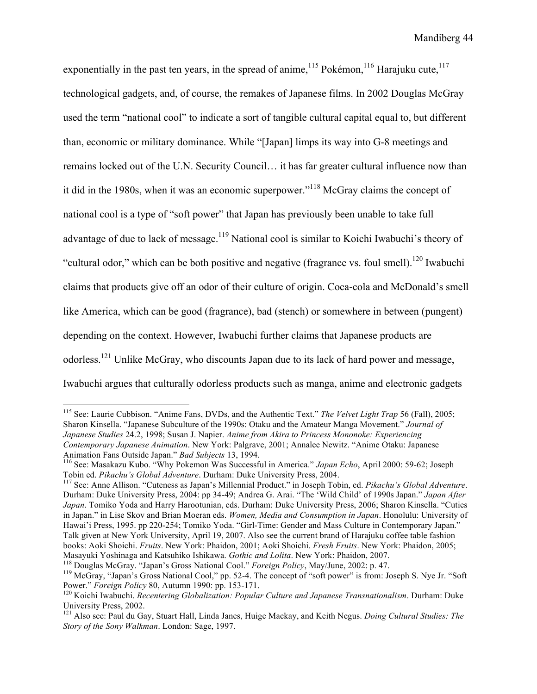exponentially in the past ten years, in the spread of anime,<sup>115</sup> Pokémon,<sup>116</sup> Harajuku cute,<sup>117</sup> technological gadgets, and, of course, the remakes of Japanese films. In 2002 Douglas McGray used the term "national cool" to indicate a sort of tangible cultural capital equal to, but different than, economic or military dominance. While "[Japan] limps its way into G-8 meetings and remains locked out of the U.N. Security Council… it has far greater cultural influence now than it did in the 1980s, when it was an economic superpower."118 McGray claims the concept of national cool is a type of "soft power" that Japan has previously been unable to take full advantage of due to lack of message.<sup>119</sup> National cool is similar to Koichi Iwabuchi's theory of "cultural odor," which can be both positive and negative (fragrance vs. foul smell).<sup>120</sup> Iwabuchi claims that products give off an odor of their culture of origin. Coca-cola and McDonald's smell like America, which can be good (fragrance), bad (stench) or somewhere in between (pungent) depending on the context. However, Iwabuchi further claims that Japanese products are odorless.121 Unlike McGray, who discounts Japan due to its lack of hard power and message, Iwabuchi argues that culturally odorless products such as manga, anime and electronic gadgets

 115 See: Laurie Cubbison. "Anime Fans, DVDs, and the Authentic Text." *The Velvet Light Trap* 56 (Fall), 2005; Sharon Kinsella. "Japanese Subculture of the 1990s: Otaku and the Amateur Manga Movement." *Journal of Japanese Studies* 24.2, 1998; Susan J. Napier. *Anime from Akira to Princess Mononoke: Experiencing Contemporary Japanese Animation*. New York: Palgrave, 2001; Annalee Newitz. "Anime Otaku: Japanese

<sup>&</sup>lt;sup>116</sup> See: Masakazu Kubo. "Why Pokemon Was Successful in America." *Japan Echo*, April 2000: 59-62; Joseph

Tobin ed. *Pikachu's Global Adventure*. Durham: Duke University Press, 2004. 117 See: Anne Allison. "Cuteness as Japan's Millennial Product." in Joseph Tobin, ed. *Pikachu's Global Adventure*. Durham: Duke University Press, 2004: pp 34-49; Andrea G. Arai. "The 'Wild Child' of 1990s Japan." *Japan After Japan*. Tomiko Yoda and Harry Harootunian, eds. Durham: Duke University Press, 2006; Sharon Kinsella. "Cuties in Japan." in Lise Skov and Brian Moeran eds. *Women, Media and Consumption in Japan*. Honolulu: University of Hawai'i Press, 1995. pp 220-254; Tomiko Yoda. "Girl-Time: Gender and Mass Culture in Contemporary Japan." Talk given at New York University, April 19, 2007. Also see the current brand of Harajuku coffee table fashion books: Aoki Shoichi. *Fruits*. New York: Phaidon, 2001; Aoki Shoichi. *Fresh Fruits*. New York: Phaidon, 2005; Masayuki Yoshinaga and Katsuhiko Ishikawa. *Gothic and Lolita*. New York: Phaidon, 2007.<br><sup>118</sup> Douglas McGray. "Japan's Gross National Cool." *Foreign Policy*, May/June, 2002: p. 47.<br><sup>119</sup> McGray. "Japan's Gross National C

Power." *Foreign Policy 80*, Autumn 1990: pp. 153-171.<br><sup>120</sup> Koichi Iwabuchi. *Recentering Globalization: Popular Culture and Japanese Transnationalism*. Durham: Duke

University Press, 2002.

<sup>121</sup> Also see: Paul du Gay, Stuart Hall, Linda Janes, Huige Mackay, and Keith Negus. *Doing Cultural Studies: The Story of the Sony Walkman*. London: Sage, 1997.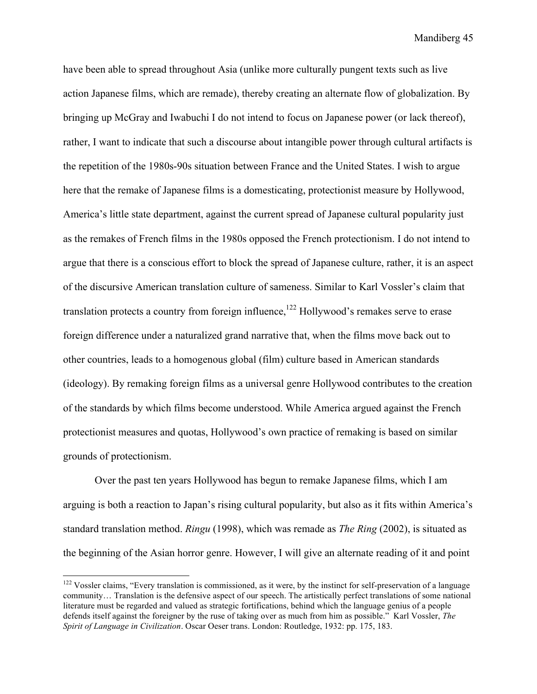have been able to spread throughout Asia (unlike more culturally pungent texts such as live action Japanese films, which are remade), thereby creating an alternate flow of globalization. By bringing up McGray and Iwabuchi I do not intend to focus on Japanese power (or lack thereof), rather, I want to indicate that such a discourse about intangible power through cultural artifacts is the repetition of the 1980s-90s situation between France and the United States. I wish to argue here that the remake of Japanese films is a domesticating, protectionist measure by Hollywood, America's little state department, against the current spread of Japanese cultural popularity just as the remakes of French films in the 1980s opposed the French protectionism. I do not intend to argue that there is a conscious effort to block the spread of Japanese culture, rather, it is an aspect of the discursive American translation culture of sameness. Similar to Karl Vossler's claim that translation protects a country from foreign influence,<sup>122</sup> Hollywood's remakes serve to erase foreign difference under a naturalized grand narrative that, when the films move back out to other countries, leads to a homogenous global (film) culture based in American standards (ideology). By remaking foreign films as a universal genre Hollywood contributes to the creation of the standards by which films become understood. While America argued against the French protectionist measures and quotas, Hollywood's own practice of remaking is based on similar grounds of protectionism.

Over the past ten years Hollywood has begun to remake Japanese films, which I am arguing is both a reaction to Japan's rising cultural popularity, but also as it fits within America's standard translation method. *Ringu* (1998), which was remade as *The Ring* (2002), is situated as the beginning of the Asian horror genre. However, I will give an alternate reading of it and point

<sup>&</sup>lt;sup>122</sup> Vossler claims, "Every translation is commissioned, as it were, by the instinct for self-preservation of a language community… Translation is the defensive aspect of our speech. The artistically perfect translations of some national literature must be regarded and valued as strategic fortifications, behind which the language genius of a people defends itself against the foreigner by the ruse of taking over as much from him as possible." Karl Vossler, *The Spirit of Language in Civilization*. Oscar Oeser trans. London: Routledge, 1932: pp. 175, 183.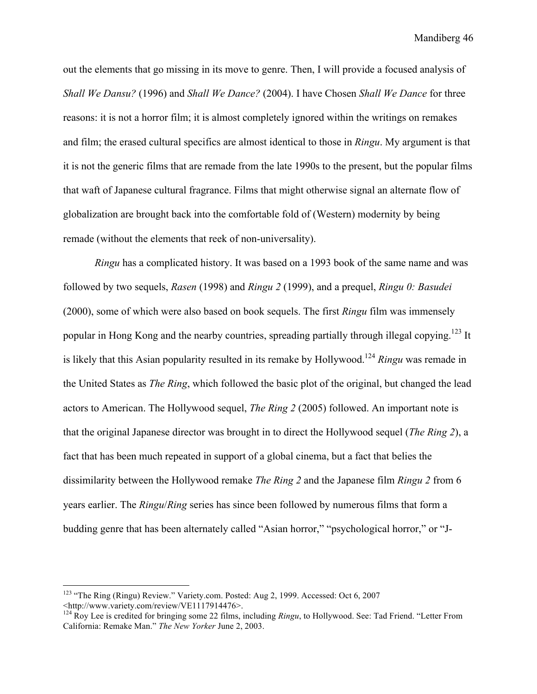out the elements that go missing in its move to genre. Then, I will provide a focused analysis of *Shall We Dansu?* (1996) and *Shall We Dance?* (2004). I have Chosen *Shall We Dance* for three reasons: it is not a horror film; it is almost completely ignored within the writings on remakes and film; the erased cultural specifics are almost identical to those in *Ringu*. My argument is that it is not the generic films that are remade from the late 1990s to the present, but the popular films that waft of Japanese cultural fragrance. Films that might otherwise signal an alternate flow of globalization are brought back into the comfortable fold of (Western) modernity by being remade (without the elements that reek of non-universality).

*Ringu* has a complicated history. It was based on a 1993 book of the same name and was followed by two sequels, *Rasen* (1998) and *Ringu 2* (1999), and a prequel, *Ringu 0: Basudei* (2000), some of which were also based on book sequels. The first *Ringu* film was immensely popular in Hong Kong and the nearby countries, spreading partially through illegal copying.<sup>123</sup> It is likely that this Asian popularity resulted in its remake by Hollywood.124 *Ringu* was remade in the United States as *The Ring*, which followed the basic plot of the original, but changed the lead actors to American. The Hollywood sequel, *The Ring 2* (2005) followed. An important note is that the original Japanese director was brought in to direct the Hollywood sequel (*The Ring 2*), a fact that has been much repeated in support of a global cinema, but a fact that belies the dissimilarity between the Hollywood remake *The Ring 2* and the Japanese film *Ringu 2* from 6 years earlier. The *Ringu*/*Ring* series has since been followed by numerous films that form a budding genre that has been alternately called "Asian horror," "psychological horror," or "J-

<sup>&</sup>lt;sup>123</sup> "The Ring (Ringu) Review." Variety.com. Posted: Aug 2, 1999. Accessed: Oct 6, 2007 <http://www.variety.com/review/VE1117914476>.

<sup>124</sup> Roy Lee is credited for bringing some 22 films, including *Ringu*, to Hollywood. See: Tad Friend. "Letter From California: Remake Man." *The New Yorker* June 2, 2003.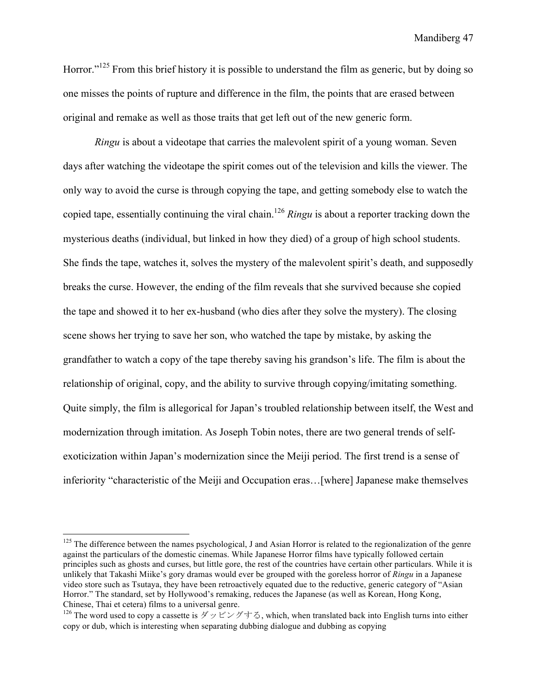Horror."<sup>125</sup> From this brief history it is possible to understand the film as generic, but by doing so one misses the points of rupture and difference in the film, the points that are erased between original and remake as well as those traits that get left out of the new generic form.

*Ringu* is about a videotape that carries the malevolent spirit of a young woman. Seven days after watching the videotape the spirit comes out of the television and kills the viewer. The only way to avoid the curse is through copying the tape, and getting somebody else to watch the copied tape, essentially continuing the viral chain.<sup>126</sup> *Ringu* is about a reporter tracking down the mysterious deaths (individual, but linked in how they died) of a group of high school students. She finds the tape, watches it, solves the mystery of the malevolent spirit's death, and supposedly breaks the curse. However, the ending of the film reveals that she survived because she copied the tape and showed it to her ex-husband (who dies after they solve the mystery). The closing scene shows her trying to save her son, who watched the tape by mistake, by asking the grandfather to watch a copy of the tape thereby saving his grandson's life. The film is about the relationship of original, copy, and the ability to survive through copying/imitating something. Quite simply, the film is allegorical for Japan's troubled relationship between itself, the West and modernization through imitation. As Joseph Tobin notes, there are two general trends of selfexoticization within Japan's modernization since the Meiji period. The first trend is a sense of inferiority "characteristic of the Meiji and Occupation eras…[where] Japanese make themselves

 $125$  The difference between the names psychological, J and Asian Horror is related to the regionalization of the genre against the particulars of the domestic cinemas. While Japanese Horror films have typically followed certain principles such as ghosts and curses, but little gore, the rest of the countries have certain other particulars. While it is unlikely that Takashi Miike's gory dramas would ever be grouped with the goreless horror of *Ringu* in a Japanese video store such as Tsutaya, they have been retroactively equated due to the reductive, generic category of "Asian Horror." The standard, set by Hollywood's remaking, reduces the Japanese (as well as Korean, Hong Kong, Chinese, Thai et cetera) films to a universal genre.

<sup>&</sup>lt;sup>126</sup> The word used to copy a cassette is  $\breve{\mathcal{F}} \vee \breve{\mathcal{F}} \uplus \breve{\mathcal{F}} \uplus \breve{\mathcal{F}}$ , which, when translated back into English turns into either copy or dub, which is interesting when separating dubbing dialogue and dubbing as copying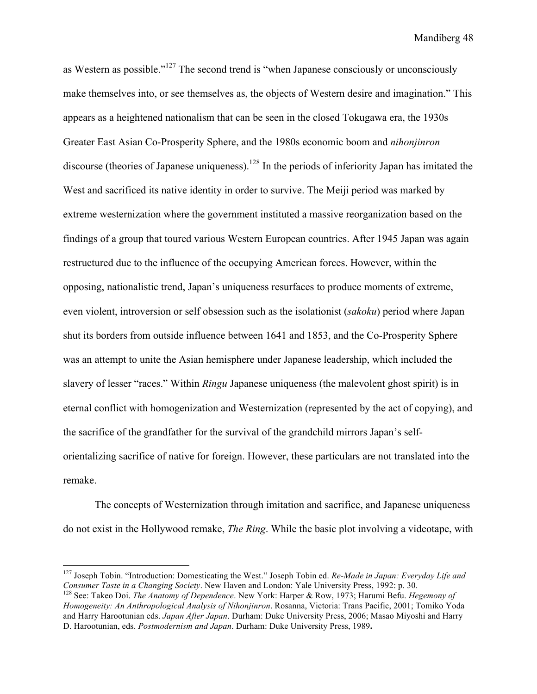as Western as possible."127 The second trend is "when Japanese consciously or unconsciously make themselves into, or see themselves as, the objects of Western desire and imagination." This appears as a heightened nationalism that can be seen in the closed Tokugawa era, the 1930s Greater East Asian Co-Prosperity Sphere, and the 1980s economic boom and *nihonjinron*  discourse (theories of Japanese uniqueness).<sup>128</sup> In the periods of inferiority Japan has imitated the West and sacrificed its native identity in order to survive. The Meiji period was marked by extreme westernization where the government instituted a massive reorganization based on the findings of a group that toured various Western European countries. After 1945 Japan was again restructured due to the influence of the occupying American forces. However, within the opposing, nationalistic trend, Japan's uniqueness resurfaces to produce moments of extreme, even violent, introversion or self obsession such as the isolationist (*sakoku*) period where Japan shut its borders from outside influence between 1641 and 1853, and the Co-Prosperity Sphere was an attempt to unite the Asian hemisphere under Japanese leadership, which included the slavery of lesser "races." Within *Ringu* Japanese uniqueness (the malevolent ghost spirit) is in eternal conflict with homogenization and Westernization (represented by the act of copying), and the sacrifice of the grandfather for the survival of the grandchild mirrors Japan's selforientalizing sacrifice of native for foreign. However, these particulars are not translated into the remake.

The concepts of Westernization through imitation and sacrifice, and Japanese uniqueness do not exist in the Hollywood remake, *The Ring*. While the basic plot involving a videotape, with

<sup>&</sup>lt;sup>127</sup> Joseph Tobin. "Introduction: Domesticating the West." Joseph Tobin ed. *Re-Made in Japan: Everyday Life and* Consumer Taste in a Changing Society. New Haven and London: Yale University Press, 1992: p. 30.

<sup>&</sup>lt;sup>128</sup> See: Takeo Doi. The Anatomy of Dependence. New York: Harper & Row, 1973; Harumi Befu. *Hegemony of Homogeneity: An Anthropological Analysis of Nihonjinron*. Rosanna, Victoria: Trans Pacific, 2001; Tomiko Yoda and Harry Harootunian eds. *Japan After Japan*. Durham: Duke University Press, 2006; Masao Miyoshi and Harry D. Harootunian, eds. *Postmodernism and Japan*. Durham: Duke University Press, 1989**.**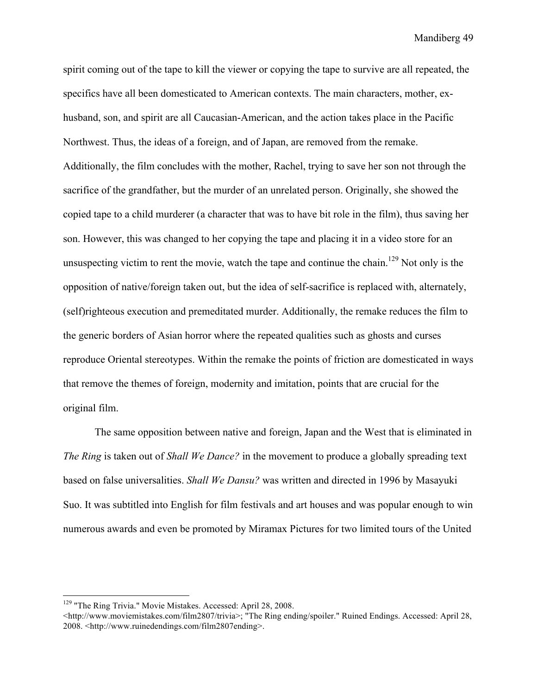spirit coming out of the tape to kill the viewer or copying the tape to survive are all repeated, the specifics have all been domesticated to American contexts. The main characters, mother, exhusband, son, and spirit are all Caucasian-American, and the action takes place in the Pacific Northwest. Thus, the ideas of a foreign, and of Japan, are removed from the remake. Additionally, the film concludes with the mother, Rachel, trying to save her son not through the sacrifice of the grandfather, but the murder of an unrelated person. Originally, she showed the copied tape to a child murderer (a character that was to have bit role in the film), thus saving her son. However, this was changed to her copying the tape and placing it in a video store for an unsuspecting victim to rent the movie, watch the tape and continue the chain.<sup>129</sup> Not only is the opposition of native/foreign taken out, but the idea of self-sacrifice is replaced with, alternately, (self)righteous execution and premeditated murder. Additionally, the remake reduces the film to the generic borders of Asian horror where the repeated qualities such as ghosts and curses reproduce Oriental stereotypes. Within the remake the points of friction are domesticated in ways that remove the themes of foreign, modernity and imitation, points that are crucial for the original film.

The same opposition between native and foreign, Japan and the West that is eliminated in *The Ring* is taken out of *Shall We Dance?* in the movement to produce a globally spreading text based on false universalities. *Shall We Dansu?* was written and directed in 1996 by Masayuki Suo. It was subtitled into English for film festivals and art houses and was popular enough to win numerous awards and even be promoted by Miramax Pictures for two limited tours of the United

<sup>&</sup>lt;sup>129</sup> "The Ring Trivia." Movie Mistakes. Accessed: April 28, 2008.

<sup>&</sup>lt;http://www.moviemistakes.com/film2807/trivia>; "The Ring ending/spoiler." Ruined Endings. Accessed: April 28, 2008. <http://www.ruinedendings.com/film2807ending>.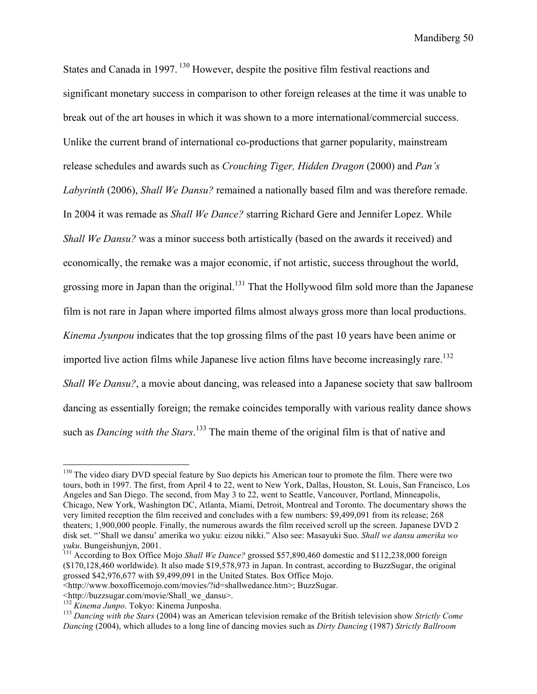States and Canada in 1997. <sup>130</sup> However, despite the positive film festival reactions and significant monetary success in comparison to other foreign releases at the time it was unable to break out of the art houses in which it was shown to a more international/commercial success. Unlike the current brand of international co-productions that garner popularity, mainstream release schedules and awards such as *Crouching Tiger, Hidden Dragon* (2000) and *Pan's Labyrinth* (2006), *Shall We Dansu?* remained a nationally based film and was therefore remade. In 2004 it was remade as *Shall We Dance?* starring Richard Gere and Jennifer Lopez. While *Shall We Dansu?* was a minor success both artistically (based on the awards it received) and economically, the remake was a major economic, if not artistic, success throughout the world, grossing more in Japan than the original.<sup>131</sup> That the Hollywood film sold more than the Japanese film is not rare in Japan where imported films almost always gross more than local productions. *Kinema Jyunpou* indicates that the top grossing films of the past 10 years have been anime or imported live action films while Japanese live action films have become increasingly rare.<sup>132</sup> *Shall We Dansu?*, a movie about dancing, was released into a Japanese society that saw ballroom dancing as essentially foreign; the remake coincides temporally with various reality dance shows such as *Dancing with the Stars*. 133 The main theme of the original film is that of native and

<sup>&</sup>lt;sup>130</sup> The video diary DVD special feature by Suo depicts his American tour to promote the film. There were two tours, both in 1997. The first, from April 4 to 22, went to New York, Dallas, Houston, St. Louis, San Francisco, Los Angeles and San Diego. The second, from May 3 to 22, went to Seattle, Vancouver, Portland, Minneapolis, Chicago, New York, Washington DC, Atlanta, Miami, Detroit, Montreal and Toronto. The documentary shows the very limited reception the film received and concludes with a few numbers: \$9,499,091 from its release; 268 theaters; 1,900,000 people. Finally, the numerous awards the film received scroll up the screen. Japanese DVD 2 disk set. "'Shall we dansu' amerika wo yuku: eizou nikki." Also see: Masayuki Suo. *Shall we dansu amerika wo yuku*. Bungeishunjyn, 2001.<br><sup>131</sup> According to Box Office Mojo *Shall We Dance?* grossed \$57,890,460 domestic and \$112,238,000 foreign

<sup>(\$170,128,460</sup> worldwide). It also made \$19,578,973 in Japan. In contrast, according to BuzzSugar, the original grossed \$42,976,677 with \$9,499,091 in the United States. Box Office Mojo.

<sup>&</sup>lt;http://www.boxofficemojo.com/movies/?id=shallwedance.htm>; BuzzSugar.

<sup>&</sup>lt;http://buzzsugar.com/movie/Shall\_we\_dansu>.

<sup>&</sup>lt;sup>133</sup> Dancing with the Stars (2004) was an American television remake of the British television show *Strictly Come Dancing* (2004), which alludes to a long line of dancing movies such as *Dirty Dancing* (1987) *Strictly Ballroom*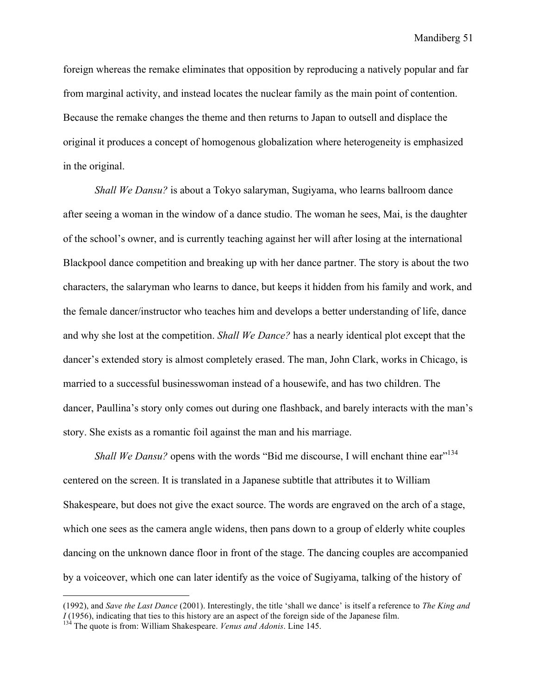foreign whereas the remake eliminates that opposition by reproducing a natively popular and far from marginal activity, and instead locates the nuclear family as the main point of contention. Because the remake changes the theme and then returns to Japan to outsell and displace the original it produces a concept of homogenous globalization where heterogeneity is emphasized in the original.

*Shall We Dansu?* is about a Tokyo salaryman, Sugiyama, who learns ballroom dance after seeing a woman in the window of a dance studio. The woman he sees, Mai, is the daughter of the school's owner, and is currently teaching against her will after losing at the international Blackpool dance competition and breaking up with her dance partner. The story is about the two characters, the salaryman who learns to dance, but keeps it hidden from his family and work, and the female dancer/instructor who teaches him and develops a better understanding of life, dance and why she lost at the competition. *Shall We Dance?* has a nearly identical plot except that the dancer's extended story is almost completely erased. The man, John Clark, works in Chicago, is married to a successful businesswoman instead of a housewife, and has two children. The dancer, Paullina's story only comes out during one flashback, and barely interacts with the man's story. She exists as a romantic foil against the man and his marriage.

*Shall We Dansu?* opens with the words "Bid me discourse, I will enchant thine ear"<sup>134</sup> centered on the screen. It is translated in a Japanese subtitle that attributes it to William Shakespeare, but does not give the exact source. The words are engraved on the arch of a stage, which one sees as the camera angle widens, then pans down to a group of elderly white couples dancing on the unknown dance floor in front of the stage. The dancing couples are accompanied by a voiceover, which one can later identify as the voice of Sugiyama, talking of the history of

 <sup>(1992),</sup> and *Save the Last Dance* (2001). Interestingly, the title 'shall we dance' is itself a reference to *The King and I* (1956), indicating that ties to this history are an aspect of the foreign side of the Japanese film.

<sup>134</sup> The quote is from: William Shakespeare. *Venus and Adonis*. Line 145.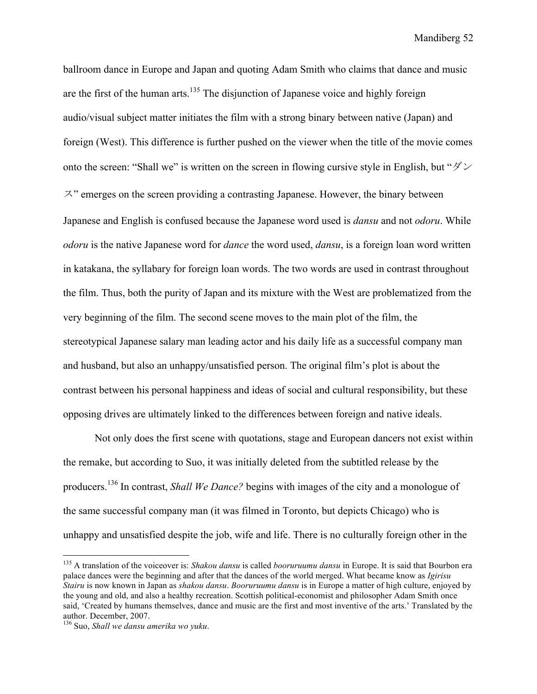ballroom dance in Europe and Japan and quoting Adam Smith who claims that dance and music are the first of the human arts.<sup>135</sup> The disjunction of Japanese voice and highly foreign audio/visual subject matter initiates the film with a strong binary between native (Japan) and foreign (West). This difference is further pushed on the viewer when the title of the movie comes onto the screen: "Shall we" is written on the screen in flowing cursive style in English, but " $\cancel{\partial}$ " ス" emerges on the screen providing a contrasting Japanese. However, the binary between Japanese and English is confused because the Japanese word used is *dansu* and not *odoru*. While *odoru* is the native Japanese word for *dance* the word used, *dansu*, is a foreign loan word written in katakana, the syllabary for foreign loan words. The two words are used in contrast throughout the film. Thus, both the purity of Japan and its mixture with the West are problematized from the very beginning of the film. The second scene moves to the main plot of the film, the stereotypical Japanese salary man leading actor and his daily life as a successful company man and husband, but also an unhappy/unsatisfied person. The original film's plot is about the contrast between his personal happiness and ideas of social and cultural responsibility, but these opposing drives are ultimately linked to the differences between foreign and native ideals.

Not only does the first scene with quotations, stage and European dancers not exist within the remake, but according to Suo, it was initially deleted from the subtitled release by the producers.136 In contrast, *Shall We Dance?* begins with images of the city and a monologue of the same successful company man (it was filmed in Toronto, but depicts Chicago) who is unhappy and unsatisfied despite the job, wife and life. There is no culturally foreign other in the

 <sup>135</sup> A translation of the voiceover is: *Shakou dansu* is called *booruruumu dansu* in Europe. It is said that Bourbon era palace dances were the beginning and after that the dances of the world merged. What became know as *Igirisu Stairu* is now known in Japan as *shakou dansu*. *Booruruumu dansu* is in Europe a matter of high culture, enjoyed by the young and old, and also a healthy recreation. Scottish political-economist and philosopher Adam Smith once said, 'Created by humans themselves, dance and music are the first and most inventive of the arts.' Translated by the author. December, 2007.

<sup>136</sup> Suo, *Shall we dansu amerika wo yuku*.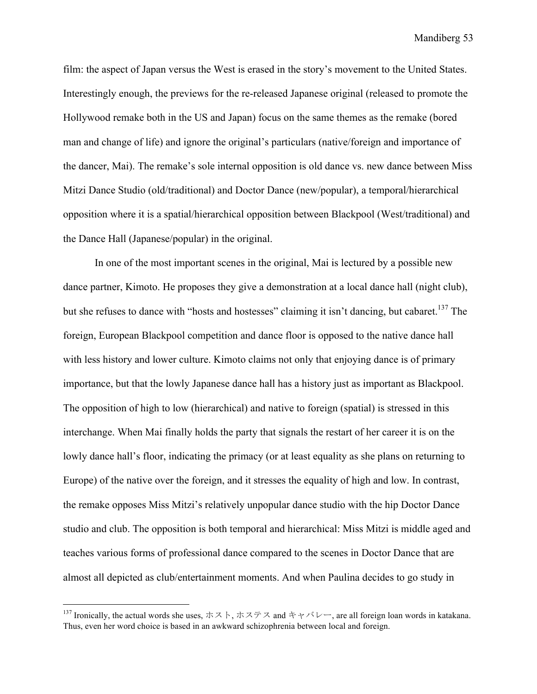film: the aspect of Japan versus the West is erased in the story's movement to the United States. Interestingly enough, the previews for the re-released Japanese original (released to promote the Hollywood remake both in the US and Japan) focus on the same themes as the remake (bored man and change of life) and ignore the original's particulars (native/foreign and importance of the dancer, Mai). The remake's sole internal opposition is old dance vs. new dance between Miss Mitzi Dance Studio (old/traditional) and Doctor Dance (new/popular), a temporal/hierarchical opposition where it is a spatial/hierarchical opposition between Blackpool (West/traditional) and the Dance Hall (Japanese/popular) in the original.

In one of the most important scenes in the original, Mai is lectured by a possible new dance partner, Kimoto. He proposes they give a demonstration at a local dance hall (night club), but she refuses to dance with "hosts and hostesses" claiming it isn't dancing, but cabaret.<sup>137</sup> The foreign, European Blackpool competition and dance floor is opposed to the native dance hall with less history and lower culture. Kimoto claims not only that enjoying dance is of primary importance, but that the lowly Japanese dance hall has a history just as important as Blackpool. The opposition of high to low (hierarchical) and native to foreign (spatial) is stressed in this interchange. When Mai finally holds the party that signals the restart of her career it is on the lowly dance hall's floor, indicating the primacy (or at least equality as she plans on returning to Europe) of the native over the foreign, and it stresses the equality of high and low. In contrast, the remake opposes Miss Mitzi's relatively unpopular dance studio with the hip Doctor Dance studio and club. The opposition is both temporal and hierarchical: Miss Mitzi is middle aged and teaches various forms of professional dance compared to the scenes in Doctor Dance that are almost all depicted as club/entertainment moments. And when Paulina decides to go study in

<sup>137</sup> Ironically, the actual words she uses, ホスト, ホステス and キャバレー, are all foreign loan words in katakana. Thus, even her word choice is based in an awkward schizophrenia between local and foreign.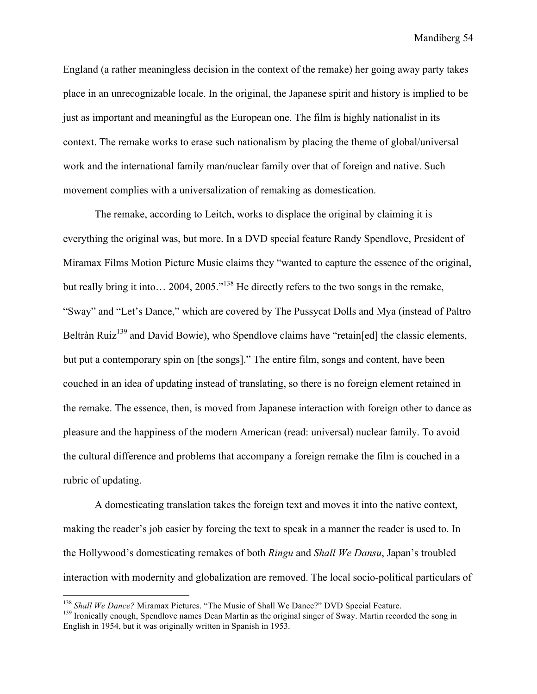England (a rather meaningless decision in the context of the remake) her going away party takes place in an unrecognizable locale. In the original, the Japanese spirit and history is implied to be just as important and meaningful as the European one. The film is highly nationalist in its context. The remake works to erase such nationalism by placing the theme of global/universal work and the international family man/nuclear family over that of foreign and native. Such movement complies with a universalization of remaking as domestication.

The remake, according to Leitch, works to displace the original by claiming it is everything the original was, but more. In a DVD special feature Randy Spendlove, President of Miramax Films Motion Picture Music claims they "wanted to capture the essence of the original, but really bring it into... 2004, 2005."<sup>138</sup> He directly refers to the two songs in the remake, "Sway" and "Let's Dance," which are covered by The Pussycat Dolls and Mya (instead of Paltro Beltràn Ruiz<sup>139</sup> and David Bowie), who Spendlove claims have "retain[ed] the classic elements, but put a contemporary spin on [the songs]." The entire film, songs and content, have been couched in an idea of updating instead of translating, so there is no foreign element retained in the remake. The essence, then, is moved from Japanese interaction with foreign other to dance as pleasure and the happiness of the modern American (read: universal) nuclear family. To avoid the cultural difference and problems that accompany a foreign remake the film is couched in a rubric of updating.

A domesticating translation takes the foreign text and moves it into the native context, making the reader's job easier by forcing the text to speak in a manner the reader is used to. In the Hollywood's domesticating remakes of both *Ringu* and *Shall We Dansu*, Japan's troubled interaction with modernity and globalization are removed. The local socio-political particulars of

<sup>&</sup>lt;sup>138</sup> *Shall We Dance?* Miramax Pictures. "The Music of Shall We Dance?" DVD Special Feature. <sup>139</sup> Ironically enough, Spendlove names Dean Martin as the original singer of Sway. Martin recorded the song in English in 1954, but it was originally written in Spanish in 1953.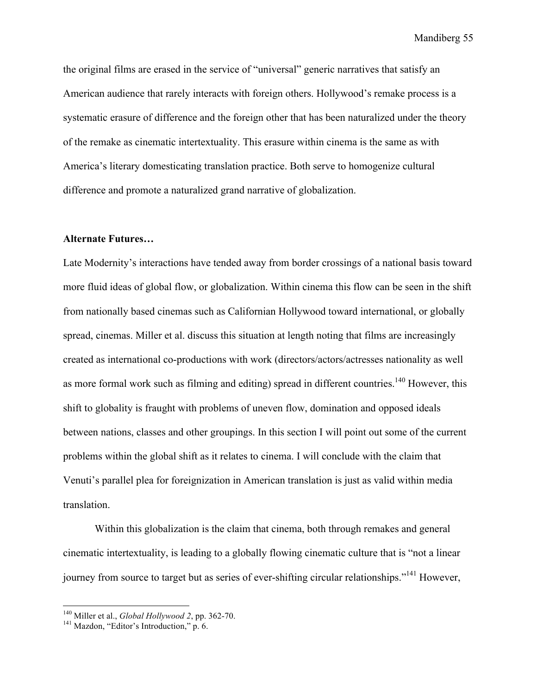the original films are erased in the service of "universal" generic narratives that satisfy an American audience that rarely interacts with foreign others. Hollywood's remake process is a systematic erasure of difference and the foreign other that has been naturalized under the theory of the remake as cinematic intertextuality. This erasure within cinema is the same as with America's literary domesticating translation practice. Both serve to homogenize cultural difference and promote a naturalized grand narrative of globalization.

# **Alternate Futures…**

Late Modernity's interactions have tended away from border crossings of a national basis toward more fluid ideas of global flow, or globalization. Within cinema this flow can be seen in the shift from nationally based cinemas such as Californian Hollywood toward international, or globally spread, cinemas. Miller et al. discuss this situation at length noting that films are increasingly created as international co-productions with work (directors/actors/actresses nationality as well as more formal work such as filming and editing) spread in different countries.<sup>140</sup> However, this shift to globality is fraught with problems of uneven flow, domination and opposed ideals between nations, classes and other groupings. In this section I will point out some of the current problems within the global shift as it relates to cinema. I will conclude with the claim that Venuti's parallel plea for foreignization in American translation is just as valid within media translation.

Within this globalization is the claim that cinema, both through remakes and general cinematic intertextuality, is leading to a globally flowing cinematic culture that is "not a linear journey from source to target but as series of ever-shifting circular relationships."<sup>141</sup> However,

<sup>&</sup>lt;sup>140</sup> Miller et al., *Global Hollywood 2*, pp. 362-70.<br><sup>141</sup> Mazdon, "Editor's Introduction," p. 6.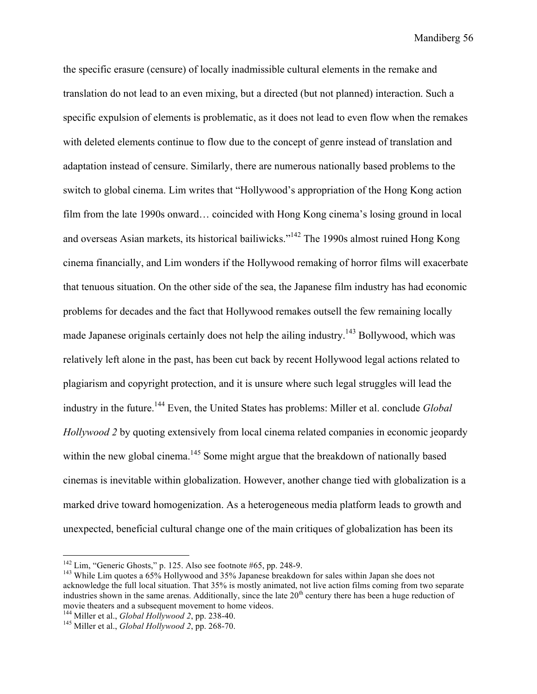the specific erasure (censure) of locally inadmissible cultural elements in the remake and translation do not lead to an even mixing, but a directed (but not planned) interaction. Such a specific expulsion of elements is problematic, as it does not lead to even flow when the remakes with deleted elements continue to flow due to the concept of genre instead of translation and adaptation instead of censure. Similarly, there are numerous nationally based problems to the switch to global cinema. Lim writes that "Hollywood's appropriation of the Hong Kong action film from the late 1990s onward… coincided with Hong Kong cinema's losing ground in local and overseas Asian markets, its historical bailiwicks."142 The 1990s almost ruined Hong Kong cinema financially, and Lim wonders if the Hollywood remaking of horror films will exacerbate that tenuous situation. On the other side of the sea, the Japanese film industry has had economic problems for decades and the fact that Hollywood remakes outsell the few remaining locally made Japanese originals certainly does not help the ailing industry.<sup>143</sup> Bollywood, which was relatively left alone in the past, has been cut back by recent Hollywood legal actions related to plagiarism and copyright protection, and it is unsure where such legal struggles will lead the industry in the future.144 Even, the United States has problems: Miller et al. conclude *Global Hollywood 2* by quoting extensively from local cinema related companies in economic jeopardy within the new global cinema.<sup>145</sup> Some might argue that the breakdown of nationally based cinemas is inevitable within globalization. However, another change tied with globalization is a marked drive toward homogenization. As a heterogeneous media platform leads to growth and unexpected, beneficial cultural change one of the main critiques of globalization has been its

<sup>&</sup>lt;sup>142</sup> Lim, "Generic Ghosts," p. 125. Also see footnote #65, pp. 248-9.<br><sup>143</sup> While Lim quotes a 65% Hollywood and 35% Japanese breakdown for sales within Japan she does not acknowledge the full local situation. That 35% is mostly animated, not live action films coming from two separate industries shown in the same arenas. Additionally, since the late  $20<sup>th</sup>$  century there has been a huge reduction of movie theaters and a subsequent movement to home videos.<br><sup>144</sup> Miller et al., *Global Hollywood 2*, pp. 238-40.<br><sup>145</sup> Miller et al., *Global Hollywood 2*, pp. 268-70.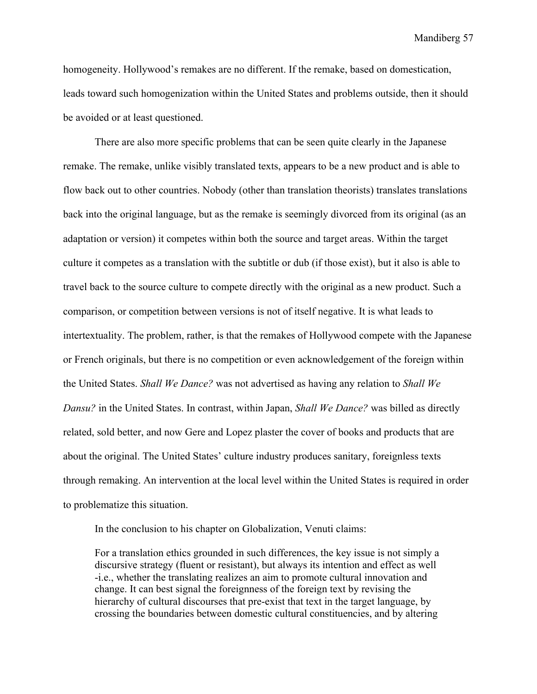homogeneity. Hollywood's remakes are no different. If the remake, based on domestication, leads toward such homogenization within the United States and problems outside, then it should be avoided or at least questioned.

There are also more specific problems that can be seen quite clearly in the Japanese remake. The remake, unlike visibly translated texts, appears to be a new product and is able to flow back out to other countries. Nobody (other than translation theorists) translates translations back into the original language, but as the remake is seemingly divorced from its original (as an adaptation or version) it competes within both the source and target areas. Within the target culture it competes as a translation with the subtitle or dub (if those exist), but it also is able to travel back to the source culture to compete directly with the original as a new product. Such a comparison, or competition between versions is not of itself negative. It is what leads to intertextuality. The problem, rather, is that the remakes of Hollywood compete with the Japanese or French originals, but there is no competition or even acknowledgement of the foreign within the United States. *Shall We Dance?* was not advertised as having any relation to *Shall We Dansu?* in the United States. In contrast, within Japan, *Shall We Dance?* was billed as directly related, sold better, and now Gere and Lopez plaster the cover of books and products that are about the original. The United States' culture industry produces sanitary, foreignless texts through remaking. An intervention at the local level within the United States is required in order to problematize this situation.

In the conclusion to his chapter on Globalization, Venuti claims:

For a translation ethics grounded in such differences, the key issue is not simply a discursive strategy (fluent or resistant), but always its intention and effect as well -i.e., whether the translating realizes an aim to promote cultural innovation and change. It can best signal the foreignness of the foreign text by revising the hierarchy of cultural discourses that pre-exist that text in the target language, by crossing the boundaries between domestic cultural constituencies, and by altering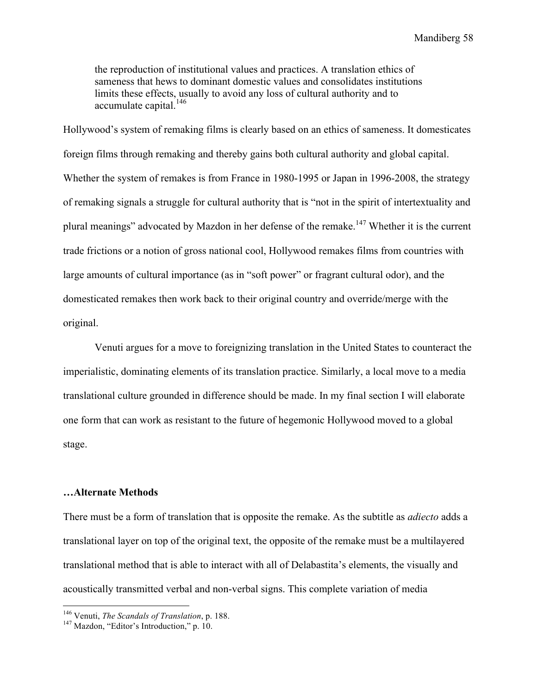the reproduction of institutional values and practices. A translation ethics of sameness that hews to dominant domestic values and consolidates institutions limits these effects, usually to avoid any loss of cultural authority and to accumulate capital.<sup>146</sup>

Hollywood's system of remaking films is clearly based on an ethics of sameness. It domesticates foreign films through remaking and thereby gains both cultural authority and global capital. Whether the system of remakes is from France in 1980-1995 or Japan in 1996-2008, the strategy of remaking signals a struggle for cultural authority that is "not in the spirit of intertextuality and plural meanings" advocated by Mazdon in her defense of the remake.<sup>147</sup> Whether it is the current trade frictions or a notion of gross national cool, Hollywood remakes films from countries with large amounts of cultural importance (as in "soft power" or fragrant cultural odor), and the domesticated remakes then work back to their original country and override/merge with the original.

Venuti argues for a move to foreignizing translation in the United States to counteract the imperialistic, dominating elements of its translation practice. Similarly, a local move to a media translational culture grounded in difference should be made. In my final section I will elaborate one form that can work as resistant to the future of hegemonic Hollywood moved to a global stage.

#### **…Alternate Methods**

There must be a form of translation that is opposite the remake. As the subtitle as *adiecto* adds a translational layer on top of the original text, the opposite of the remake must be a multilayered translational method that is able to interact with all of Delabastita's elements, the visually and acoustically transmitted verbal and non-verbal signs. This complete variation of media

<sup>&</sup>lt;sup>146</sup> Venuti, *The Scandals of Translation*, p. 188.<br><sup>147</sup> Mazdon, "Editor's Introduction," p. 10.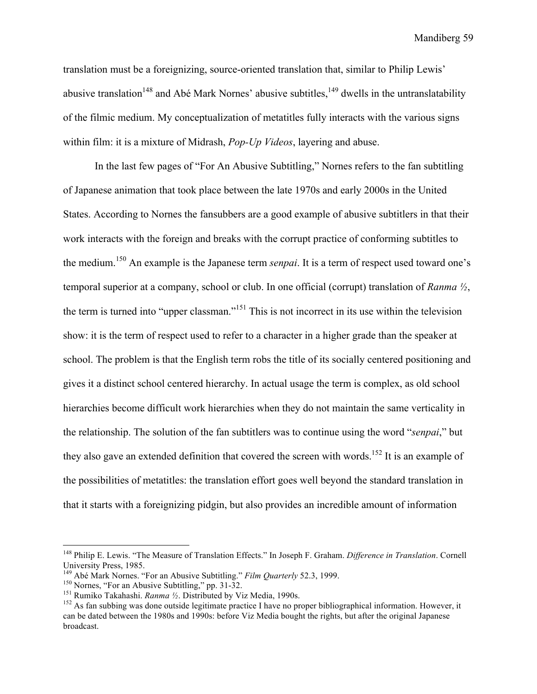translation must be a foreignizing, source-oriented translation that, similar to Philip Lewis' abusive translation<sup>148</sup> and Abé Mark Nornes' abusive subtitles,  $149$  dwells in the untranslatability of the filmic medium. My conceptualization of metatitles fully interacts with the various signs within film: it is a mixture of Midrash, *Pop-Up Videos*, layering and abuse.

In the last few pages of "For An Abusive Subtitling," Nornes refers to the fan subtitling of Japanese animation that took place between the late 1970s and early 2000s in the United States. According to Nornes the fansubbers are a good example of abusive subtitlers in that their work interacts with the foreign and breaks with the corrupt practice of conforming subtitles to the medium.150 An example is the Japanese term *senpai*. It is a term of respect used toward one's temporal superior at a company, school or club. In one official (corrupt) translation of *Ranma ½*, the term is turned into "upper classman."151 This is not incorrect in its use within the television show: it is the term of respect used to refer to a character in a higher grade than the speaker at school. The problem is that the English term robs the title of its socially centered positioning and gives it a distinct school centered hierarchy. In actual usage the term is complex, as old school hierarchies become difficult work hierarchies when they do not maintain the same verticality in the relationship. The solution of the fan subtitlers was to continue using the word "*senpai*," but they also gave an extended definition that covered the screen with words.<sup>152</sup> It is an example of the possibilities of metatitles: the translation effort goes well beyond the standard translation in that it starts with a foreignizing pidgin, but also provides an incredible amount of information

 <sup>148</sup> Philip E. Lewis. "The Measure of Translation Effects." In Joseph F. Graham. *Difference in Translation*. Cornell University Press, 1985.<br><sup>149</sup> Abé Mark Nornes. "For an Abusive Subtitling." *Film Ouarterly* 52.3, 1999.

<sup>&</sup>lt;sup>150</sup> Nornes, "For an Abusive Subtitling," pp. 31-32.<br><sup>151</sup> Rumiko Takahashi. *Ranma 1/2*. Distributed by Viz Media, 1990s.<br><sup>152</sup> As fan subbing was done outside legitimate practice I have no proper bibliographical inform can be dated between the 1980s and 1990s: before Viz Media bought the rights, but after the original Japanese broadcast.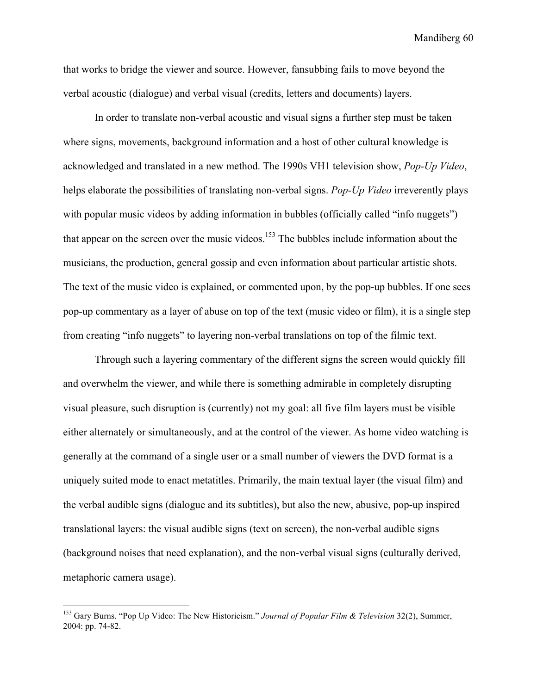that works to bridge the viewer and source. However, fansubbing fails to move beyond the verbal acoustic (dialogue) and verbal visual (credits, letters and documents) layers.

In order to translate non-verbal acoustic and visual signs a further step must be taken where signs, movements, background information and a host of other cultural knowledge is acknowledged and translated in a new method. The 1990s VH1 television show, *Pop-Up Video*, helps elaborate the possibilities of translating non-verbal signs. *Pop-Up Video* irreverently plays with popular music videos by adding information in bubbles (officially called "info nuggets") that appear on the screen over the music videos.<sup>153</sup> The bubbles include information about the musicians, the production, general gossip and even information about particular artistic shots. The text of the music video is explained, or commented upon, by the pop-up bubbles. If one sees pop-up commentary as a layer of abuse on top of the text (music video or film), it is a single step from creating "info nuggets" to layering non-verbal translations on top of the filmic text.

Through such a layering commentary of the different signs the screen would quickly fill and overwhelm the viewer, and while there is something admirable in completely disrupting visual pleasure, such disruption is (currently) not my goal: all five film layers must be visible either alternately or simultaneously, and at the control of the viewer. As home video watching is generally at the command of a single user or a small number of viewers the DVD format is a uniquely suited mode to enact metatitles. Primarily, the main textual layer (the visual film) and the verbal audible signs (dialogue and its subtitles), but also the new, abusive, pop-up inspired translational layers: the visual audible signs (text on screen), the non-verbal audible signs (background noises that need explanation), and the non-verbal visual signs (culturally derived, metaphoric camera usage).

 <sup>153</sup> Gary Burns. "Pop Up Video: The New Historicism." *Journal of Popular Film & Television* 32(2), Summer, 2004: pp. 74-82.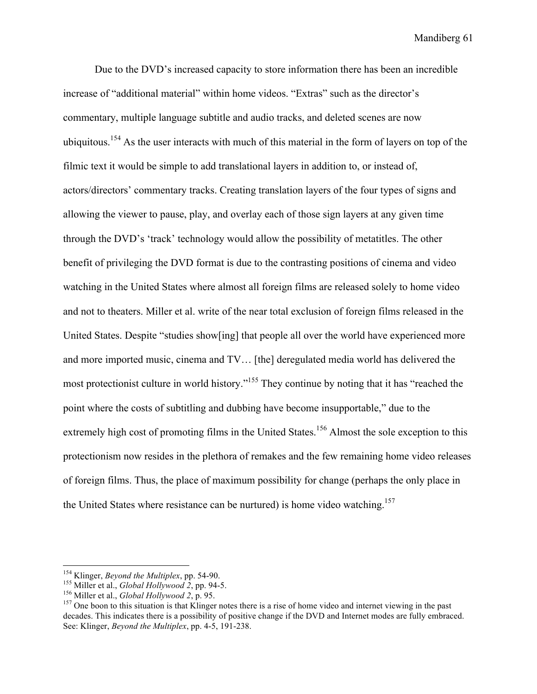Due to the DVD's increased capacity to store information there has been an incredible increase of "additional material" within home videos. "Extras" such as the director's commentary, multiple language subtitle and audio tracks, and deleted scenes are now ubiquitous.154 As the user interacts with much of this material in the form of layers on top of the filmic text it would be simple to add translational layers in addition to, or instead of, actors/directors' commentary tracks. Creating translation layers of the four types of signs and allowing the viewer to pause, play, and overlay each of those sign layers at any given time through the DVD's 'track' technology would allow the possibility of metatitles. The other benefit of privileging the DVD format is due to the contrasting positions of cinema and video watching in the United States where almost all foreign films are released solely to home video and not to theaters. Miller et al. write of the near total exclusion of foreign films released in the United States. Despite "studies show[ing] that people all over the world have experienced more and more imported music, cinema and TV… [the] deregulated media world has delivered the most protectionist culture in world history."155 They continue by noting that it has "reached the point where the costs of subtitling and dubbing have become insupportable," due to the extremely high cost of promoting films in the United States.<sup>156</sup> Almost the sole exception to this protectionism now resides in the plethora of remakes and the few remaining home video releases of foreign films. Thus, the place of maximum possibility for change (perhaps the only place in the United States where resistance can be nurtured) is home video watching.<sup>157</sup>

<sup>&</sup>lt;sup>154</sup> Klinger, *Beyond the Multiplex*, pp. 54-90.<br><sup>155</sup> Miller et al., *Global Hollywood 2*, pp. 94-5.<br><sup>156</sup> Miller et al., *Global Hollywood 2*, p. 95.<br><sup>156</sup> One boon to this situation is that Klinger notes there is a ri decades. This indicates there is a possibility of positive change if the DVD and Internet modes are fully embraced. See: Klinger, *Beyond the Multiplex*, pp. 4-5, 191-238.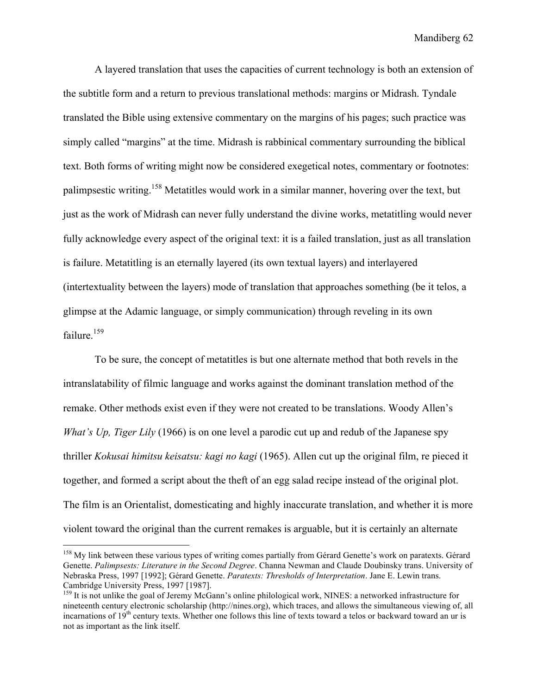A layered translation that uses the capacities of current technology is both an extension of the subtitle form and a return to previous translational methods: margins or Midrash. Tyndale translated the Bible using extensive commentary on the margins of his pages; such practice was simply called "margins" at the time. Midrash is rabbinical commentary surrounding the biblical text. Both forms of writing might now be considered exegetical notes, commentary or footnotes: palimpsestic writing.158 Metatitles would work in a similar manner, hovering over the text, but just as the work of Midrash can never fully understand the divine works, metatitling would never fully acknowledge every aspect of the original text: it is a failed translation, just as all translation is failure. Metatitling is an eternally layered (its own textual layers) and interlayered (intertextuality between the layers) mode of translation that approaches something (be it telos, a glimpse at the Adamic language, or simply communication) through reveling in its own failure.<sup>159</sup>

To be sure, the concept of metatitles is but one alternate method that both revels in the intranslatability of filmic language and works against the dominant translation method of the remake. Other methods exist even if they were not created to be translations. Woody Allen's *What's Up, Tiger Lily* (1966) is on one level a parodic cut up and redub of the Japanese spy thriller *Kokusai himitsu keisatsu: kagi no kagi* (1965). Allen cut up the original film, re pieced it together, and formed a script about the theft of an egg salad recipe instead of the original plot. The film is an Orientalist, domesticating and highly inaccurate translation, and whether it is more violent toward the original than the current remakes is arguable, but it is certainly an alternate

<sup>&</sup>lt;sup>158</sup> My link between these various types of writing comes partially from Gérard Genette's work on paratexts. Gérard Genette. *Palimpsests: Literature in the Second Degree*. Channa Newman and Claude Doubinsky trans. University of Nebraska Press, 1997 [1992]; Gérard Genette. *Paratexts: Thresholds of Interpretation*. Jane E. Lewin trans. Cambridge University Press, 1997 [1987].

<sup>&</sup>lt;sup>159</sup> It is not unlike the goal of Jeremy McGann's online philological work, NINES: a networked infrastructure for nineteenth century electronic scholarship (http://nines.org), which traces, and allows the simultaneous viewing of, all incarnations of 19<sup>th</sup> century texts. Whether one follows this line of texts toward a telos or backward toward an ur is not as important as the link itself.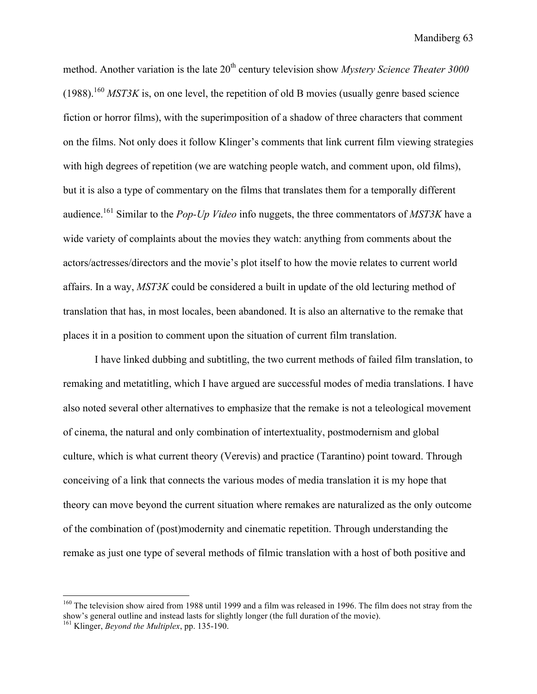method. Another variation is the late 20<sup>th</sup> century television show *Mystery Science Theater 3000*  $(1988)$ <sup>160</sup> *MST3K* is, on one level, the repetition of old B movies (usually genre based science fiction or horror films), with the superimposition of a shadow of three characters that comment on the films. Not only does it follow Klinger's comments that link current film viewing strategies with high degrees of repetition (we are watching people watch, and comment upon, old films), but it is also a type of commentary on the films that translates them for a temporally different audience.161 Similar to the *Pop-Up Video* info nuggets, the three commentators of *MST3K* have a wide variety of complaints about the movies they watch: anything from comments about the actors/actresses/directors and the movie's plot itself to how the movie relates to current world affairs. In a way, *MST3K* could be considered a built in update of the old lecturing method of translation that has, in most locales, been abandoned. It is also an alternative to the remake that places it in a position to comment upon the situation of current film translation.

I have linked dubbing and subtitling, the two current methods of failed film translation, to remaking and metatitling, which I have argued are successful modes of media translations. I have also noted several other alternatives to emphasize that the remake is not a teleological movement of cinema, the natural and only combination of intertextuality, postmodernism and global culture, which is what current theory (Verevis) and practice (Tarantino) point toward. Through conceiving of a link that connects the various modes of media translation it is my hope that theory can move beyond the current situation where remakes are naturalized as the only outcome of the combination of (post)modernity and cinematic repetition. Through understanding the remake as just one type of several methods of filmic translation with a host of both positive and

<sup>&</sup>lt;sup>160</sup> The television show aired from 1988 until 1999 and a film was released in 1996. The film does not stray from the show's general outline and instead lasts for slightly longer (the full duration of the movie).

<sup>161</sup> Klinger, *Beyond the Multiplex*, pp. 135-190.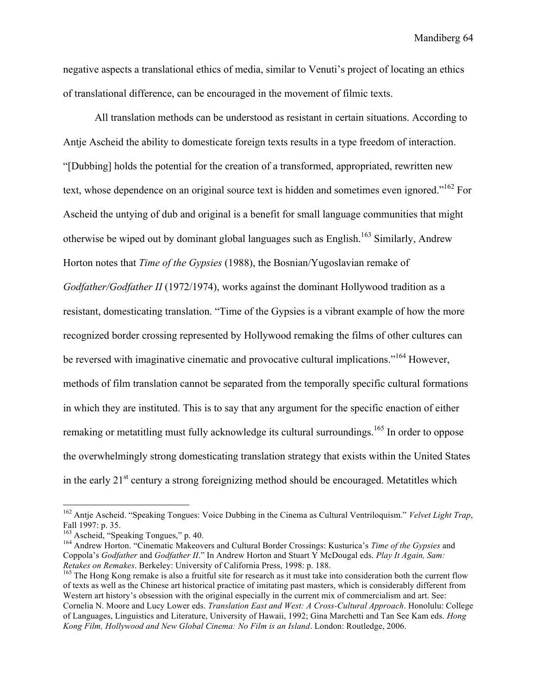negative aspects a translational ethics of media, similar to Venuti's project of locating an ethics of translational difference, can be encouraged in the movement of filmic texts.

All translation methods can be understood as resistant in certain situations. According to Antje Ascheid the ability to domesticate foreign texts results in a type freedom of interaction. "[Dubbing] holds the potential for the creation of a transformed, appropriated, rewritten new text, whose dependence on an original source text is hidden and sometimes even ignored."162 For Ascheid the untying of dub and original is a benefit for small language communities that might otherwise be wiped out by dominant global languages such as  $English<sup>163</sup>$  Similarly, Andrew Horton notes that *Time of the Gypsies* (1988), the Bosnian/Yugoslavian remake of *Godfather/Godfather II* (1972/1974), works against the dominant Hollywood tradition as a resistant, domesticating translation. "Time of the Gypsies is a vibrant example of how the more recognized border crossing represented by Hollywood remaking the films of other cultures can be reversed with imaginative cinematic and provocative cultural implications.<sup>"164</sup> However, methods of film translation cannot be separated from the temporally specific cultural formations in which they are instituted. This is to say that any argument for the specific enaction of either remaking or metatitling must fully acknowledge its cultural surroundings.<sup>165</sup> In order to oppose the overwhelmingly strong domesticating translation strategy that exists within the United States in the early  $21<sup>st</sup>$  century a strong foreignizing method should be encouraged. Metatitles which

 <sup>162</sup> Antje Ascheid. "Speaking Tongues: Voice Dubbing in the Cinema as Cultural Ventriloquism." *Velvet Light Trap*, Fall 1997: p. 35.<br><sup>163</sup> Ascheid, "Speaking Tongues," p. 40.

<sup>&</sup>lt;sup>164</sup> Andrew Horton. "Cinematic Makeovers and Cultural Border Crossings: Kusturica's *Time of the Gypsies* and Coppola's *Godfather* and *Godfather II*." In Andrew Horton and Stuart Y McDougal eds. *Play It Again, Sam: Retakes on Remakes*. Berkeley: University of California Press, 1998: p. 188.<br><sup>165</sup> The Hong Kong remake is also a fruitful site for research as it must take into consideration both the current flow

of texts as well as the Chinese art historical practice of imitating past masters, which is considerably different from Western art history's obsession with the original especially in the current mix of commercialism and art. See: Cornelia N. Moore and Lucy Lower eds. *Translation East and West: A Cross-Cultural Approach*. Honolulu: College of Languages, Linguistics and Literature, University of Hawaii, 1992; Gina Marchetti and Tan See Kam eds. *Hong Kong Film, Hollywood and New Global Cinema: No Film is an Island*. London: Routledge, 2006.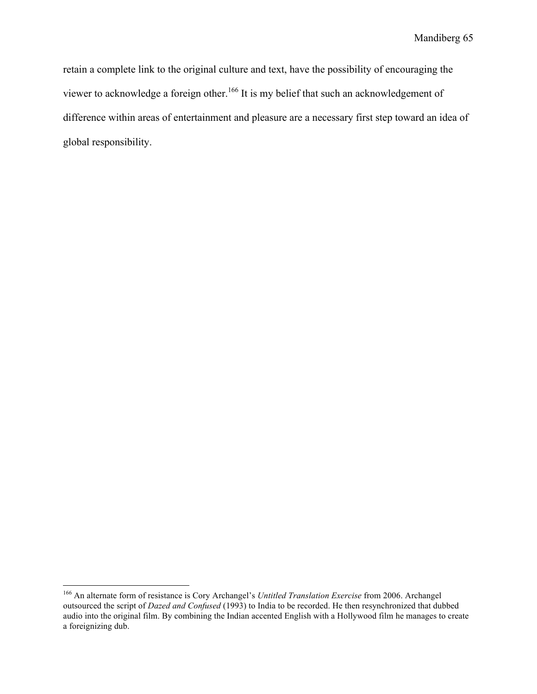retain a complete link to the original culture and text, have the possibility of encouraging the viewer to acknowledge a foreign other.<sup>166</sup> It is my belief that such an acknowledgement of difference within areas of entertainment and pleasure are a necessary first step toward an idea of global responsibility.

 <sup>166</sup> An alternate form of resistance is Cory Archangel's *Untitled Translation Exercise* from 2006. Archangel outsourced the script of *Dazed and Confused* (1993) to India to be recorded. He then resynchronized that dubbed audio into the original film. By combining the Indian accented English with a Hollywood film he manages to create a foreignizing dub.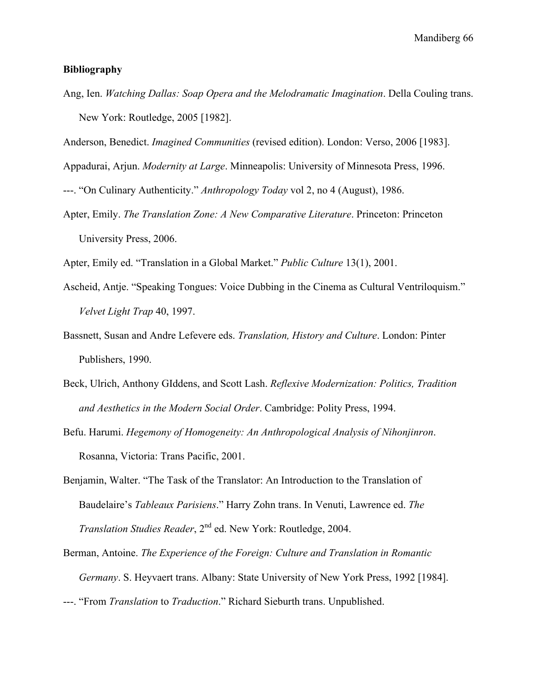# **Bibliography**

Ang, Ien. *Watching Dallas: Soap Opera and the Melodramatic Imagination*. Della Couling trans. New York: Routledge, 2005 [1982].

Anderson, Benedict. *Imagined Communities* (revised edition). London: Verso, 2006 [1983].

Appadurai, Arjun. *Modernity at Large*. Minneapolis: University of Minnesota Press, 1996.

---. "On Culinary Authenticity." *Anthropology Today* vol 2, no 4 (August), 1986.

Apter, Emily. *The Translation Zone: A New Comparative Literature*. Princeton: Princeton University Press, 2006.

Apter, Emily ed. "Translation in a Global Market." *Public Culture* 13(1), 2001.

- Ascheid, Antje. "Speaking Tongues: Voice Dubbing in the Cinema as Cultural Ventriloquism." *Velvet Light Trap* 40, 1997.
- Bassnett, Susan and Andre Lefevere eds. *Translation, History and Culture*. London: Pinter Publishers, 1990.
- Beck, Ulrich, Anthony GIddens, and Scott Lash. *Reflexive Modernization: Politics, Tradition and Aesthetics in the Modern Social Order*. Cambridge: Polity Press, 1994.
- Befu. Harumi. *Hegemony of Homogeneity: An Anthropological Analysis of Nihonjinron*. Rosanna, Victoria: Trans Pacific, 2001.
- Benjamin, Walter. "The Task of the Translator: An Introduction to the Translation of Baudelaire's *Tableaux Parisiens*." Harry Zohn trans. In Venuti, Lawrence ed. *The Translation Studies Reader*, 2<sup>nd</sup> ed. New York: Routledge, 2004.
- Berman, Antoine. *The Experience of the Foreign: Culture and Translation in Romantic Germany*. S. Heyvaert trans. Albany: State University of New York Press, 1992 [1984].
- ---. "From *Translation* to *Traduction*." Richard Sieburth trans. Unpublished.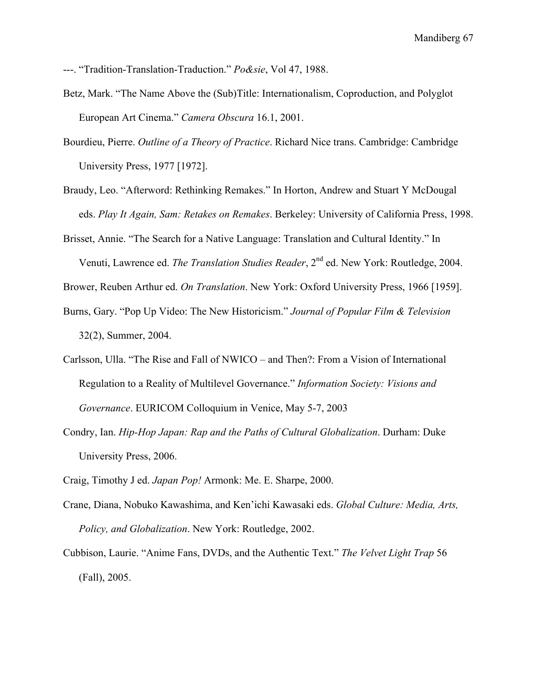---. "Tradition-Translation-Traduction." *Po&sie*, Vol 47, 1988.

- Betz, Mark. "The Name Above the (Sub)Title: Internationalism, Coproduction, and Polyglot European Art Cinema." *Camera Obscura* 16.1, 2001.
- Bourdieu, Pierre. *Outline of a Theory of Practice*. Richard Nice trans. Cambridge: Cambridge University Press, 1977 [1972].
- Braudy, Leo. "Afterword: Rethinking Remakes." In Horton, Andrew and Stuart Y McDougal eds. *Play It Again, Sam: Retakes on Remakes*. Berkeley: University of California Press, 1998.
- Brisset, Annie. "The Search for a Native Language: Translation and Cultural Identity." In Venuti, Lawrence ed. *The Translation Studies Reader*, 2nd ed. New York: Routledge, 2004.

Brower, Reuben Arthur ed. *On Translation*. New York: Oxford University Press, 1966 [1959].

- Burns, Gary. "Pop Up Video: The New Historicism." *Journal of Popular Film & Television* 32(2), Summer, 2004.
- Carlsson, Ulla. "The Rise and Fall of NWICO and Then?: From a Vision of International Regulation to a Reality of Multilevel Governance." *Information Society: Visions and Governance*. EURICOM Colloquium in Venice, May 5-7, 2003
- Condry, Ian. *Hip-Hop Japan: Rap and the Paths of Cultural Globalization*. Durham: Duke University Press, 2006.

Craig, Timothy J ed. *Japan Pop!* Armonk: Me. E. Sharpe, 2000.

- Crane, Diana, Nobuko Kawashima, and Ken'ichi Kawasaki eds. *Global Culture: Media, Arts, Policy, and Globalization*. New York: Routledge, 2002.
- Cubbison, Laurie. "Anime Fans, DVDs, and the Authentic Text." *The Velvet Light Trap* 56 (Fall), 2005.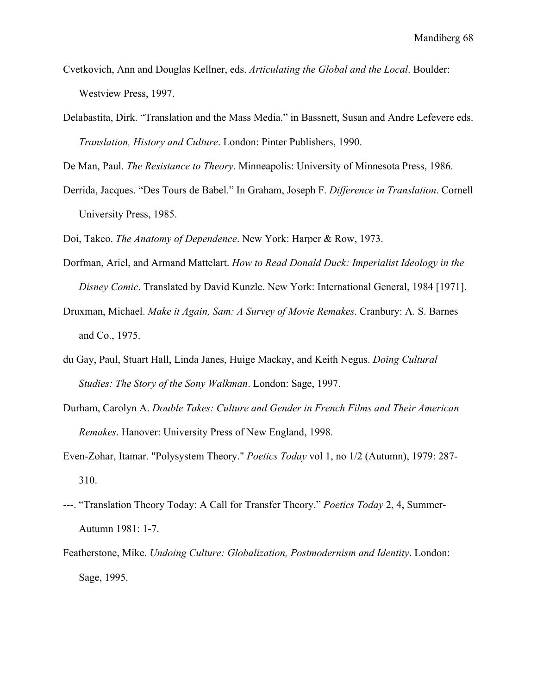- Cvetkovich, Ann and Douglas Kellner, eds. *Articulating the Global and the Local*. Boulder: Westview Press, 1997.
- Delabastita, Dirk. "Translation and the Mass Media." in Bassnett, Susan and Andre Lefevere eds. *Translation, History and Culture*. London: Pinter Publishers, 1990.

De Man, Paul. *The Resistance to Theory*. Minneapolis: University of Minnesota Press, 1986.

Derrida, Jacques. "Des Tours de Babel." In Graham, Joseph F. *Difference in Translation*. Cornell University Press, 1985.

Doi, Takeo. *The Anatomy of Dependence*. New York: Harper & Row, 1973.

- Dorfman, Ariel, and Armand Mattelart. *How to Read Donald Duck: Imperialist Ideology in the Disney Comic*. Translated by David Kunzle. New York: International General, 1984 [1971].
- Druxman, Michael. *Make it Again, Sam: A Survey of Movie Remakes*. Cranbury: A. S. Barnes and Co., 1975.
- du Gay, Paul, Stuart Hall, Linda Janes, Huige Mackay, and Keith Negus. *Doing Cultural Studies: The Story of the Sony Walkman*. London: Sage, 1997.
- Durham, Carolyn A. *Double Takes: Culture and Gender in French Films and Their American Remakes*. Hanover: University Press of New England, 1998.
- Even-Zohar, Itamar. "Polysystem Theory." *Poetics Today* vol 1, no 1/2 (Autumn), 1979: 287- 310.
- ---. "Translation Theory Today: A Call for Transfer Theory." *Poetics Today* 2, 4, Summer-Autumn 1981: 1-7.
- Featherstone, Mike. *Undoing Culture: Globalization, Postmodernism and Identity*. London: Sage, 1995.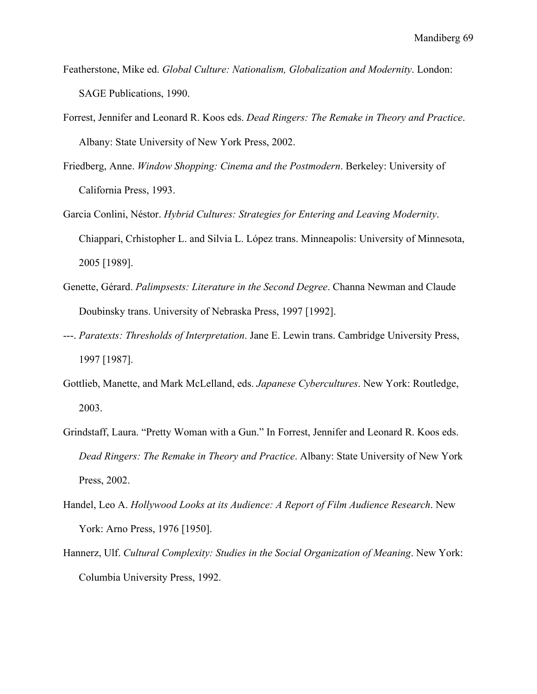- Featherstone, Mike ed. *Global Culture: Nationalism, Globalization and Modernity*. London: SAGE Publications, 1990.
- Forrest, Jennifer and Leonard R. Koos eds. *Dead Ringers: The Remake in Theory and Practice*. Albany: State University of New York Press, 2002.
- Friedberg, Anne. *Window Shopping: Cinema and the Postmodern*. Berkeley: University of California Press, 1993.
- Garcia Conlini, Néstor. *Hybrid Cultures: Strategies for Entering and Leaving Modernity*. Chiappari, Crhistopher L. and Silvia L. López trans. Minneapolis: University of Minnesota, 2005 [1989].
- Genette, Gérard. *Palimpsests: Literature in the Second Degree*. Channa Newman and Claude Doubinsky trans. University of Nebraska Press, 1997 [1992].
- ---. *Paratexts: Thresholds of Interpretation*. Jane E. Lewin trans. Cambridge University Press, 1997 [1987].
- Gottlieb, Manette, and Mark McLelland, eds. *Japanese Cybercultures*. New York: Routledge, 2003.
- Grindstaff, Laura. "Pretty Woman with a Gun." In Forrest, Jennifer and Leonard R. Koos eds. *Dead Ringers: The Remake in Theory and Practice*. Albany: State University of New York Press, 2002.
- Handel, Leo A. *Hollywood Looks at its Audience: A Report of Film Audience Research*. New York: Arno Press, 1976 [1950].
- Hannerz, Ulf. *Cultural Complexity: Studies in the Social Organization of Meaning*. New York: Columbia University Press, 1992.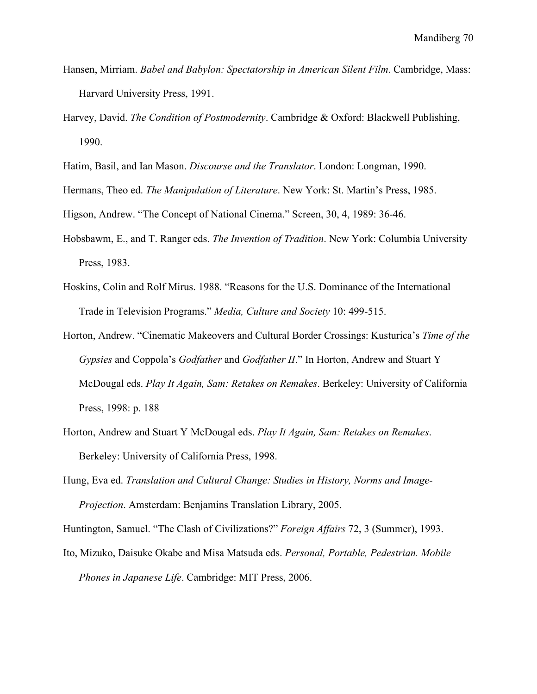- Hansen, Mirriam. *Babel and Babylon: Spectatorship in American Silent Film*. Cambridge, Mass: Harvard University Press, 1991.
- Harvey, David. *The Condition of Postmodernity*. Cambridge & Oxford: Blackwell Publishing, 1990.
- Hatim, Basil, and Ian Mason. *Discourse and the Translator*. London: Longman, 1990.
- Hermans, Theo ed. *The Manipulation of Literature*. New York: St. Martin's Press, 1985.

Higson, Andrew. "The Concept of National Cinema." Screen, 30, 4, 1989: 36-46.

- Hobsbawm, E., and T. Ranger eds. *The Invention of Tradition*. New York: Columbia University Press, 1983.
- Hoskins, Colin and Rolf Mirus. 1988. "Reasons for the U.S. Dominance of the International Trade in Television Programs." *Media, Culture and Society* 10: 499-515.
- Horton, Andrew. "Cinematic Makeovers and Cultural Border Crossings: Kusturica's *Time of the Gypsies* and Coppola's *Godfather* and *Godfather II*." In Horton, Andrew and Stuart Y McDougal eds. *Play It Again, Sam: Retakes on Remakes*. Berkeley: University of California Press, 1998: p. 188
- Horton, Andrew and Stuart Y McDougal eds. *Play It Again, Sam: Retakes on Remakes*. Berkeley: University of California Press, 1998.
- Hung, Eva ed. *Translation and Cultural Change: Studies in History, Norms and Image-Projection*. Amsterdam: Benjamins Translation Library, 2005.

Huntington, Samuel. "The Clash of Civilizations?" *Foreign Affairs* 72, 3 (Summer), 1993.

Ito, Mizuko, Daisuke Okabe and Misa Matsuda eds. *Personal, Portable, Pedestrian. Mobile Phones in Japanese Life*. Cambridge: MIT Press, 2006.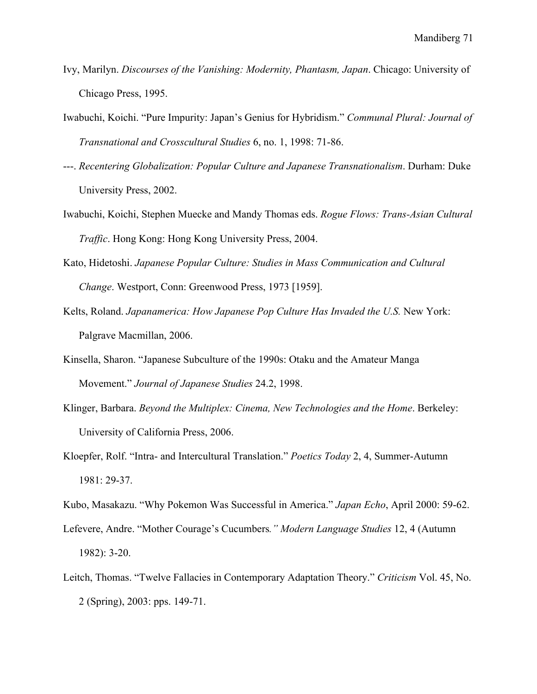- Ivy, Marilyn. *Discourses of the Vanishing: Modernity, Phantasm, Japan*. Chicago: University of Chicago Press, 1995.
- Iwabuchi, Koichi. "Pure Impurity: Japan's Genius for Hybridism." *Communal Plural: Journal of Transnational and Crosscultural Studies* 6, no. 1, 1998: 71-86.
- ---. *Recentering Globalization: Popular Culture and Japanese Transnationalism*. Durham: Duke University Press, 2002.
- Iwabuchi, Koichi, Stephen Muecke and Mandy Thomas eds. *Rogue Flows: Trans-Asian Cultural Traffic*. Hong Kong: Hong Kong University Press, 2004.
- Kato, Hidetoshi. *Japanese Popular Culture: Studies in Mass Communication and Cultural Change*. Westport, Conn: Greenwood Press, 1973 [1959].
- Kelts, Roland. *Japanamerica: How Japanese Pop Culture Has Invaded the U.S.* New York: Palgrave Macmillan, 2006.
- Kinsella, Sharon. "Japanese Subculture of the 1990s: Otaku and the Amateur Manga Movement." *Journal of Japanese Studies* 24.2, 1998.
- Klinger, Barbara. *Beyond the Multiplex: Cinema, New Technologies and the Home*. Berkeley: University of California Press, 2006.
- Kloepfer, Rolf. "Intra- and Intercultural Translation." *Poetics Today* 2, 4, Summer-Autumn 1981: 29-37.
- Kubo, Masakazu. "Why Pokemon Was Successful in America." *Japan Echo*, April 2000: 59-62.
- Lefevere, Andre. "Mother Courage's Cucumbers*." Modern Language Studies* 12, 4 (Autumn 1982): 3-20.
- Leitch, Thomas. "Twelve Fallacies in Contemporary Adaptation Theory." *Criticism* Vol. 45, No. 2 (Spring), 2003: pps. 149-71.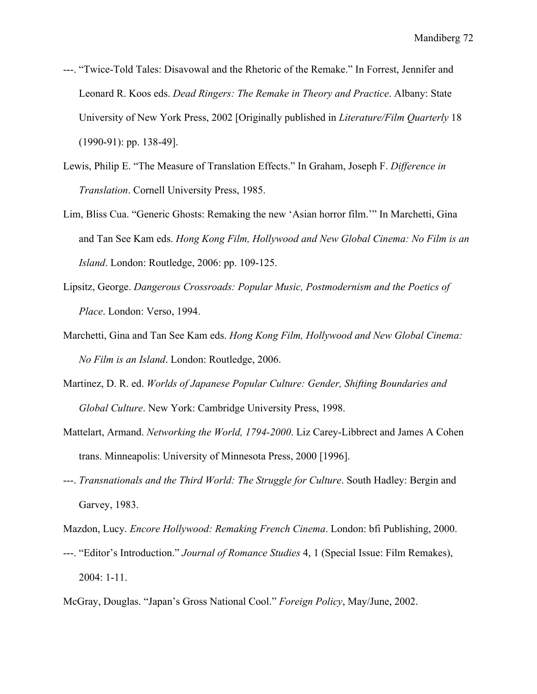- ---. "Twice-Told Tales: Disavowal and the Rhetoric of the Remake." In Forrest, Jennifer and Leonard R. Koos eds. *Dead Ringers: The Remake in Theory and Practice*. Albany: State University of New York Press, 2002 [Originally published in *Literature/Film Quarterly* 18 (1990-91): pp. 138-49].
- Lewis, Philip E. "The Measure of Translation Effects." In Graham, Joseph F. *Difference in Translation*. Cornell University Press, 1985.
- Lim, Bliss Cua. "Generic Ghosts: Remaking the new 'Asian horror film.'" In Marchetti, Gina and Tan See Kam eds. *Hong Kong Film, Hollywood and New Global Cinema: No Film is an Island*. London: Routledge, 2006: pp. 109-125.
- Lipsitz, George. *Dangerous Crossroads: Popular Music, Postmodernism and the Poetics of Place*. London: Verso, 1994.
- Marchetti, Gina and Tan See Kam eds. *Hong Kong Film, Hollywood and New Global Cinema: No Film is an Island*. London: Routledge, 2006.
- Martinez, D. R. ed. *Worlds of Japanese Popular Culture: Gender, Shifting Boundaries and Global Culture*. New York: Cambridge University Press, 1998.
- Mattelart, Armand. *Networking the World, 1794-2000*. Liz Carey-Libbrect and James A Cohen trans. Minneapolis: University of Minnesota Press, 2000 [1996].
- ---. *Transnationals and the Third World: The Struggle for Culture*. South Hadley: Bergin and Garvey, 1983.

- ---. "Editor's Introduction." *Journal of Romance Studies* 4, 1 (Special Issue: Film Remakes), 2004: 1-11.
- McGray, Douglas. "Japan's Gross National Cool." *Foreign Policy*, May/June, 2002.

Mazdon, Lucy. *Encore Hollywood: Remaking French Cinema*. London: bfi Publishing, 2000.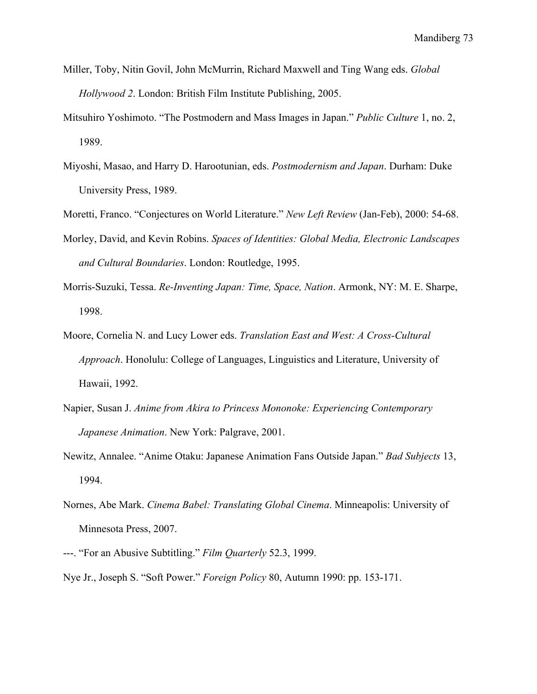- Miller, Toby, Nitin Govil, John McMurrin, Richard Maxwell and Ting Wang eds. *Global Hollywood 2*. London: British Film Institute Publishing, 2005.
- Mitsuhiro Yoshimoto. "The Postmodern and Mass Images in Japan." *Public Culture* 1, no. 2, 1989.
- Miyoshi, Masao, and Harry D. Harootunian, eds. *Postmodernism and Japan*. Durham: Duke University Press, 1989.

Moretti, Franco. "Conjectures on World Literature." *New Left Review* (Jan-Feb), 2000: 54-68.

- Morley, David, and Kevin Robins. *Spaces of Identities: Global Media, Electronic Landscapes and Cultural Boundaries*. London: Routledge, 1995.
- Morris-Suzuki, Tessa. *Re-Inventing Japan: Time, Space, Nation*. Armonk, NY: M. E. Sharpe, 1998.
- Moore, Cornelia N. and Lucy Lower eds. *Translation East and West: A Cross-Cultural Approach*. Honolulu: College of Languages, Linguistics and Literature, University of Hawaii, 1992.
- Napier, Susan J. *Anime from Akira to Princess Mononoke: Experiencing Contemporary Japanese Animation*. New York: Palgrave, 2001.
- Newitz, Annalee. "Anime Otaku: Japanese Animation Fans Outside Japan." *Bad Subjects* 13, 1994.
- Nornes, Abe Mark. *Cinema Babel: Translating Global Cinema*. Minneapolis: University of Minnesota Press, 2007.
- ---. "For an Abusive Subtitling." *Film Quarterly* 52.3, 1999.
- Nye Jr., Joseph S. "Soft Power." *Foreign Policy* 80, Autumn 1990: pp. 153-171.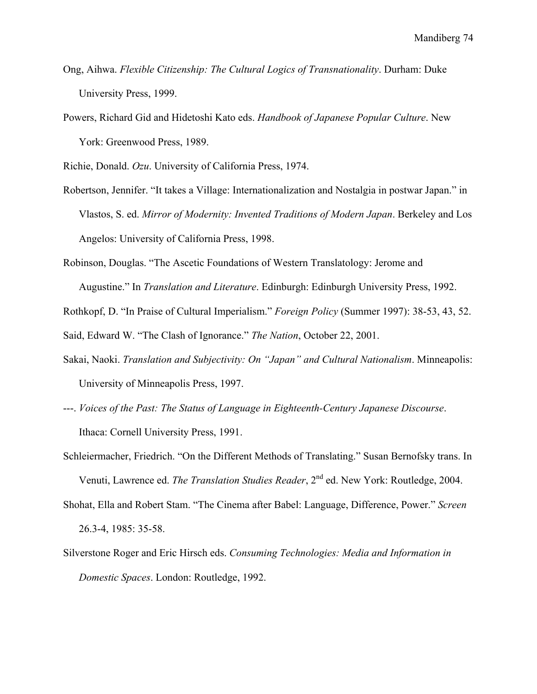- Ong, Aihwa. *Flexible Citizenship: The Cultural Logics of Transnationality*. Durham: Duke University Press, 1999.
- Powers, Richard Gid and Hidetoshi Kato eds. *Handbook of Japanese Popular Culture*. New York: Greenwood Press, 1989.

Richie, Donald. *Ozu*. University of California Press, 1974.

- Robertson, Jennifer. "It takes a Village: Internationalization and Nostalgia in postwar Japan." in Vlastos, S. ed. *Mirror of Modernity: Invented Traditions of Modern Japan*. Berkeley and Los Angelos: University of California Press, 1998.
- Robinson, Douglas. "The Ascetic Foundations of Western Translatology: Jerome and Augustine." In *Translation and Literature*. Edinburgh: Edinburgh University Press, 1992.

Rothkopf, D. "In Praise of Cultural Imperialism." *Foreign Policy* (Summer 1997): 38-53, 43, 52.

Said, Edward W. "The Clash of Ignorance." *The Nation*, October 22, 2001.

- Sakai, Naoki. *Translation and Subjectivity: On "Japan" and Cultural Nationalism*. Minneapolis: University of Minneapolis Press, 1997.
- ---. *Voices of the Past: The Status of Language in Eighteenth-Century Japanese Discourse*. Ithaca: Cornell University Press, 1991.
- Schleiermacher, Friedrich. "On the Different Methods of Translating." Susan Bernofsky trans. In Venuti, Lawrence ed. *The Translation Studies Reader*, 2<sup>nd</sup> ed. New York: Routledge, 2004.
- Shohat, Ella and Robert Stam. "The Cinema after Babel: Language, Difference, Power." *Screen* 26.3-4, 1985: 35-58.
- Silverstone Roger and Eric Hirsch eds. *Consuming Technologies: Media and Information in Domestic Spaces*. London: Routledge, 1992.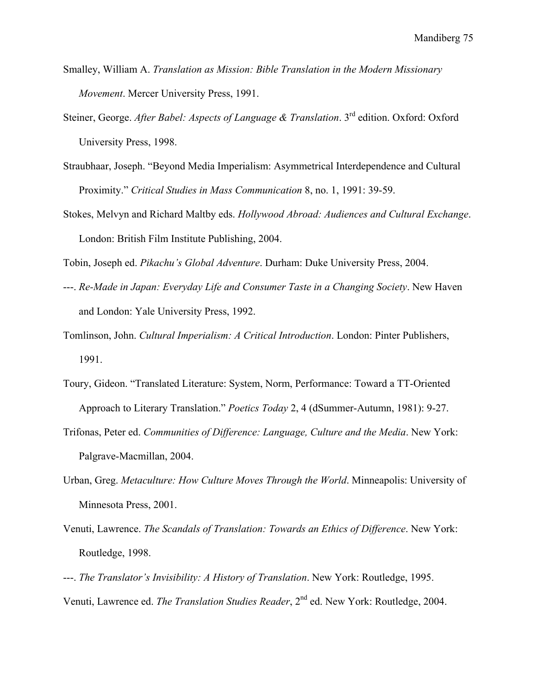- Smalley, William A. *Translation as Mission: Bible Translation in the Modern Missionary Movement*. Mercer University Press, 1991.
- Steiner, George. *After Babel: Aspects of Language & Translation*. 3<sup>rd</sup> edition. Oxford: Oxford University Press, 1998.
- Straubhaar, Joseph. "Beyond Media Imperialism: Asymmetrical Interdependence and Cultural Proximity." *Critical Studies in Mass Communication* 8, no. 1, 1991: 39-59.
- Stokes, Melvyn and Richard Maltby eds. *Hollywood Abroad: Audiences and Cultural Exchange*. London: British Film Institute Publishing, 2004.

Tobin, Joseph ed. *Pikachu's Global Adventure*. Durham: Duke University Press, 2004.

- ---. *Re-Made in Japan: Everyday Life and Consumer Taste in a Changing Society*. New Haven and London: Yale University Press, 1992.
- Tomlinson, John. *Cultural Imperialism: A Critical Introduction*. London: Pinter Publishers, 1991.
- Toury, Gideon. "Translated Literature: System, Norm, Performance: Toward a TT-Oriented Approach to Literary Translation." *Poetics Today* 2, 4 (dSummer-Autumn, 1981): 9-27.
- Trifonas, Peter ed. *Communities of Difference: Language, Culture and the Media*. New York: Palgrave-Macmillan, 2004.
- Urban, Greg. *Metaculture: How Culture Moves Through the World*. Minneapolis: University of Minnesota Press, 2001.
- Venuti, Lawrence. *The Scandals of Translation: Towards an Ethics of Difference*. New York: Routledge, 1998.
- ---. *The Translator's Invisibility: A History of Translation*. New York: Routledge, 1995. Venuti, Lawrence ed. *The Translation Studies Reader*, 2nd ed. New York: Routledge, 2004.